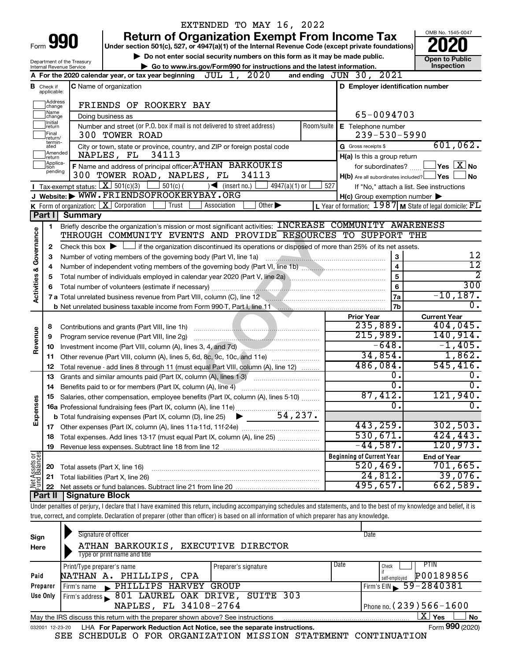|                         |                                  |                            | EXTENDED TO MAY 16, 2022                                                                                                                                                   |            |                                                     |                                                                            |
|-------------------------|----------------------------------|----------------------------|----------------------------------------------------------------------------------------------------------------------------------------------------------------------------|------------|-----------------------------------------------------|----------------------------------------------------------------------------|
|                         |                                  |                            | <b>Return of Organization Exempt From Income Tax</b>                                                                                                                       |            |                                                     | OMB No. 1545-0047                                                          |
|                         |                                  | Form 990                   | Under section 501(c), 527, or 4947(a)(1) of the Internal Revenue Code (except private foundations)                                                                         |            |                                                     |                                                                            |
|                         |                                  | Department of the Treasury | Do not enter social security numbers on this form as it may be made public.                                                                                                |            |                                                     | <b>Open to Public</b>                                                      |
|                         |                                  | Internal Revenue Service   | Go to www.irs.gov/Form990 for instructions and the latest information.                                                                                                     |            |                                                     | Inspection                                                                 |
|                         |                                  |                            | JUL 1, 2020<br>A For the 2020 calendar year, or tax year beginning                                                                                                         |            | and ending JUN 30, 2021                             |                                                                            |
|                         | <b>B</b> Check if<br>applicable: |                            | <b>C</b> Name of organization                                                                                                                                              |            | D Employer identification number                    |                                                                            |
|                         | Address<br>change                |                            | FRIENDS OF ROOKERY BAY                                                                                                                                                     |            |                                                     |                                                                            |
|                         | Name<br>change<br>Initial        |                            | Doing business as                                                                                                                                                          |            | 65-0094703                                          |                                                                            |
|                         | return<br>Final<br>return/       |                            | Number and street (or P.O. box if mail is not delivered to street address)<br>300 TOWER ROAD                                                                               | Room/suite | E Telephone number<br>$239 - 530 - 5990$            |                                                                            |
|                         | termin-<br>ated                  |                            | City or town, state or province, country, and ZIP or foreign postal code                                                                                                   |            | G Gross receipts \$                                 | 601,062.                                                                   |
|                         | Amended<br>Ireturn               |                            | 34113<br>NAPLES, FL                                                                                                                                                        |            | H(a) Is this a group return                         |                                                                            |
|                         | Applica-<br>tion                 |                            | F Name and address of principal officer: ATHAN BARKOUKIS                                                                                                                   |            | for subordinates?                                   | $\mathbin{\sqcup}$ Yes $\mathbin{\lfloor} \mathbf{X} \mathbin{\rfloor}$ No |
|                         | pending                          |                            | 300 TOWER ROAD, NAPLES, FL 34113                                                                                                                                           |            | $H(b)$ Are all subordinates included? $\Box$ Yes    | No                                                                         |
|                         |                                  |                            | Tax-exempt status: $X \over 301(c)(3)$<br>$501(c)$ (<br>$\sqrt{\frac{1}{1}}$ (insert no.)<br>$4947(a)(1)$ or                                                               | 527        |                                                     | If "No," attach a list. See instructions                                   |
|                         |                                  |                            | J Website: WWW.FRIENDSOFROOKERYBAY.ORG                                                                                                                                     |            | $H(c)$ Group exemption number $\blacktriangleright$ |                                                                            |
|                         |                                  |                            | K Form of organization: $X$ Corporation<br>Trust<br>Other $\blacktriangleright$<br>Association                                                                             |            |                                                     | L Year of formation: $1987$ M State of legal domicile: $FL$                |
|                         | Part I                           | <b>Summary</b>             |                                                                                                                                                                            |            |                                                     |                                                                            |
|                         | 1                                |                            | Briefly describe the organization's mission or most significant activities: INCREASE COMMUNITY AWARENESS                                                                   |            |                                                     |                                                                            |
| Governance              |                                  |                            | THROUGH COMMUNITY EVENTS AND PROVIDE RESOURCES TO SUPPORT THE                                                                                                              |            |                                                     |                                                                            |
|                         | 2                                |                            | Check this box $\blacktriangleright$ $\Box$ if the organization discontinued its operations or disposed of more than 25% of its net assets.                                |            |                                                     |                                                                            |
|                         | з                                |                            |                                                                                                                                                                            |            | $\mathbf{3}$                                        | 12                                                                         |
|                         | 4                                |                            |                                                                                                                                                                            |            | $\overline{4}$                                      | $\overline{12}$                                                            |
|                         | 5                                |                            |                                                                                                                                                                            |            | $\overline{5}$                                      | $\overline{2}$                                                             |
| <b>Activities &amp;</b> | 6                                |                            |                                                                                                                                                                            |            | 6                                                   | 300                                                                        |
|                         |                                  |                            | 7 a Total unrelated business revenue from Part VIII, column (C), line 12 <b>Column COVID 12</b>                                                                            |            | <b>7a</b>                                           | $-10, 187.$                                                                |
|                         |                                  |                            |                                                                                                                                                                            |            | <b>7b</b>                                           | $\overline{0}$ .                                                           |
|                         |                                  |                            |                                                                                                                                                                            |            | <b>Prior Year</b>                                   | <b>Current Year</b>                                                        |
|                         | 8                                |                            |                                                                                                                                                                            |            | 235,889.                                            | 404,045.                                                                   |
| Revenue                 | 9                                |                            | Program service revenue (Part VIII, line 2g)                                                                                                                               |            | 215,989.                                            | 140,914.                                                                   |
|                         | 10                               |                            |                                                                                                                                                                            |            | $-648.$                                             | $-1,405.$                                                                  |
|                         | 11                               |                            | Other revenue (Part VIII, column (A), lines 5, 6d, 8c, 9c, 10c, and 11e)                                                                                                   |            | 34,854.                                             | 1,862.                                                                     |
|                         | 12                               |                            | Total revenue - add lines 8 through 11 (must equal Part VIII, column (A), line 12)                                                                                         |            | 486,084.                                            | 545, 416.                                                                  |
|                         | 13                               |                            | Grants and similar amounts paid (Part IX, column (A), lines 1-3)                                                                                                           |            | О.                                                  | $0$ .                                                                      |
|                         |                                  |                            | 14 Benefits paid to or for members (Part IX, column (A), line 4)                                                                                                           |            | $\overline{\mathfrak{o}}$ .                         | $\overline{0}$ .                                                           |
|                         |                                  |                            | Salaries, other compensation, employee benefits (Part IX, column (A), lines 5-10)                                                                                          |            | 87,412.                                             | 121,940.                                                                   |
| Expenses                |                                  |                            |                                                                                                                                                                            |            | σ.                                                  | $\overline{0}$ .                                                           |
|                         |                                  |                            | 54,237.                                                                                                                                                                    |            |                                                     |                                                                            |
|                         |                                  |                            | <b>b</b> Total fundraising expenses (Part IX, column (D), line 25)                                                                                                         |            | 443,259.                                            | 302,503.                                                                   |
|                         |                                  |                            |                                                                                                                                                                            |            | 530,671.                                            | 424, 443.                                                                  |
|                         | 18                               |                            | Total expenses. Add lines 13-17 (must equal Part IX, column (A), line 25) <i></i>                                                                                          |            | $-44,587$ .                                         | 120,973.                                                                   |
|                         | 19                               |                            |                                                                                                                                                                            |            |                                                     |                                                                            |
| Net Assets or           |                                  |                            |                                                                                                                                                                            |            | <b>Beginning of Current Year</b><br>520, 469.       | <b>End of Year</b><br>701,665.                                             |
|                         | 20                               |                            | Total assets (Part X, line 16)                                                                                                                                             |            | 24,812.                                             | 39,076.                                                                    |
|                         | 21                               |                            | Total liabilities (Part X, line 26)                                                                                                                                        |            | 495,657.                                            | 662,589.                                                                   |
|                         | 22                               |                            |                                                                                                                                                                            |            |                                                     |                                                                            |
|                         | Part II                          | Signature Block            |                                                                                                                                                                            |            |                                                     |                                                                            |
|                         |                                  |                            | Under penalties of perjury, I declare that I have examined this return, including accompanying schedules and statements, and to the best of my knowledge and belief, it is |            |                                                     |                                                                            |
|                         |                                  |                            | true, correct, and complete. Declaration of preparer (other than officer) is based on all information of which preparer has any knowledge.                                 |            |                                                     |                                                                            |
|                         |                                  |                            | Cianature of officer                                                                                                                                                       |            | <b>D</b> ate                                        |                                                                            |

| Sign<br>Here | Signature of officer<br>ATHAN BARKOUKIS,<br>Type or print name and title                                     | <b>EXECUTIVE DIRECTOR</b> | Date |                                             |  |  |  |  |
|--------------|--------------------------------------------------------------------------------------------------------------|---------------------------|------|---------------------------------------------|--|--|--|--|
| Paid         | Print/Type preparer's name<br>NATHAN A. PHILLIPS, CPA                                                        | Preparer's signature      | Date | PTIN<br>Check<br>P00189856<br>self-emploved |  |  |  |  |
| Preparer     | Firm's name PHILLIPS HARVEY GROUP                                                                            |                           |      | Firm's EIN $\, 59 - 2840381$                |  |  |  |  |
| Use Only     | Firm's address 801 LAUREL OAK DRIVE, SUITE 303<br>NAPLES, FL 34108-2764                                      |                           |      | Phone no. $(239)$ 566 - 1600                |  |  |  |  |
|              | x.<br><b>No</b><br>Yes<br>May the IRS discuss this return with the preparer shown above? See instructions    |                           |      |                                             |  |  |  |  |
|              | Form 990 (2020)<br>LHA For Paperwork Reduction Act Notice, see the separate instructions.<br>032001 12-23-20 |                           |      |                                             |  |  |  |  |

SEE SCHEDULE O FOR ORGANIZATION MISSION STATEMENT CONTINUATION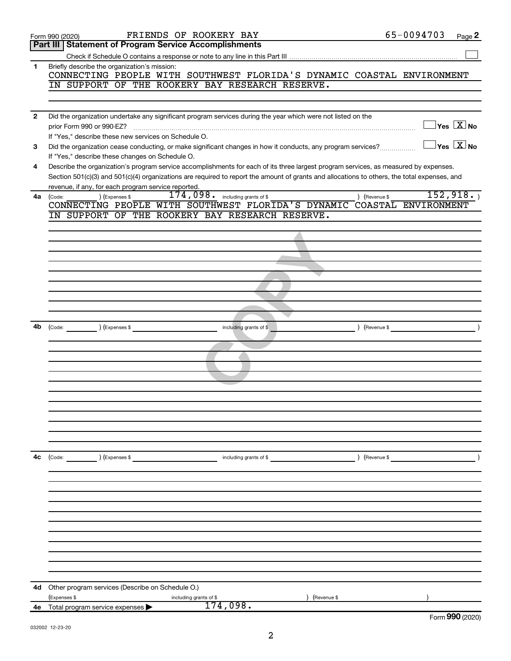|                | FRIENDS OF ROOKERY BAY<br>Form 990 (2020)                                                                                                                            | 65-0094703           | Page 2                                         |
|----------------|----------------------------------------------------------------------------------------------------------------------------------------------------------------------|----------------------|------------------------------------------------|
|                | <b>Part III Statement of Program Service Accomplishments</b>                                                                                                         |                      |                                                |
|                |                                                                                                                                                                      |                      |                                                |
| 1              | Briefly describe the organization's mission:<br>CONNECTING PEOPLE WITH SOUTHWEST FLORIDA'S DYNAMIC COASTAL ENVIRONMENT                                               |                      |                                                |
|                | IN SUPPORT OF THE ROOKERY BAY RESEARCH RESERVE.                                                                                                                      |                      |                                                |
|                |                                                                                                                                                                      |                      |                                                |
|                |                                                                                                                                                                      |                      |                                                |
| $\overline{2}$ | Did the organization undertake any significant program services during the year which were not listed on the                                                         |                      | $\overline{\ }$ Yes $\overline{\ \text{X}}$ No |
|                | prior Form 990 or 990-EZ?                                                                                                                                            |                      |                                                |
| 3              | If "Yes," describe these new services on Schedule O.<br>Did the organization cease conducting, or make significant changes in how it conducts, any program services? |                      | $\exists$ Yes $\boxed{\text{X}}$ No            |
|                | If "Yes," describe these changes on Schedule O.                                                                                                                      |                      |                                                |
| 4              | Describe the organization's program service accomplishments for each of its three largest program services, as measured by expenses.                                 |                      |                                                |
|                | Section 501(c)(3) and 501(c)(4) organizations are required to report the amount of grants and allocations to others, the total expenses, and                         |                      |                                                |
|                | revenue, if any, for each program service reported.                                                                                                                  |                      |                                                |
| 4a             | $174,098$ $\cdot$ including grants of \$<br>) (Expenses \$<br>) (Revenue \$<br>(Code:                                                                                |                      | 152,918.                                       |
|                | CONNECTING PEOPLE WITH SOUTHWEST FLORIDA'S DYNAMIC COASTAL ENVIRONMENT                                                                                               |                      |                                                |
|                | IN SUPPORT OF THE ROOKERY BAY RESEARCH RESERVE.                                                                                                                      |                      |                                                |
|                |                                                                                                                                                                      |                      |                                                |
|                |                                                                                                                                                                      |                      |                                                |
|                |                                                                                                                                                                      |                      |                                                |
|                |                                                                                                                                                                      |                      |                                                |
|                |                                                                                                                                                                      |                      |                                                |
|                |                                                                                                                                                                      |                      |                                                |
|                |                                                                                                                                                                      |                      |                                                |
|                |                                                                                                                                                                      |                      |                                                |
|                |                                                                                                                                                                      |                      |                                                |
| 4b             | (Expenses \$<br>including grants of \$                                                                                                                               | (Revenue \$          |                                                |
|                |                                                                                                                                                                      |                      |                                                |
|                |                                                                                                                                                                      |                      |                                                |
|                |                                                                                                                                                                      |                      |                                                |
|                |                                                                                                                                                                      |                      |                                                |
|                |                                                                                                                                                                      |                      |                                                |
|                |                                                                                                                                                                      |                      |                                                |
|                |                                                                                                                                                                      |                      |                                                |
|                |                                                                                                                                                                      |                      |                                                |
|                |                                                                                                                                                                      |                      |                                                |
|                |                                                                                                                                                                      |                      |                                                |
|                |                                                                                                                                                                      |                      |                                                |
|                |                                                                                                                                                                      |                      |                                                |
| 4с             | (Code: ) (Expenses \$<br>including grants of \$                                                                                                                      | $\angle$ (Revenue \$ |                                                |
|                |                                                                                                                                                                      |                      |                                                |
|                |                                                                                                                                                                      |                      |                                                |
|                |                                                                                                                                                                      |                      |                                                |
|                |                                                                                                                                                                      |                      |                                                |
|                |                                                                                                                                                                      |                      |                                                |
|                |                                                                                                                                                                      |                      |                                                |
|                |                                                                                                                                                                      |                      |                                                |
|                |                                                                                                                                                                      |                      |                                                |
|                |                                                                                                                                                                      |                      |                                                |
|                |                                                                                                                                                                      |                      |                                                |
|                |                                                                                                                                                                      |                      |                                                |
| 4d             | Other program services (Describe on Schedule O.)                                                                                                                     |                      |                                                |
|                | (Expenses \$<br>(Revenue \$<br>including grants of \$                                                                                                                |                      |                                                |
| 4е             | 174,098.<br>Total program service expenses                                                                                                                           |                      |                                                |
|                |                                                                                                                                                                      |                      | Form 990 (2020)                                |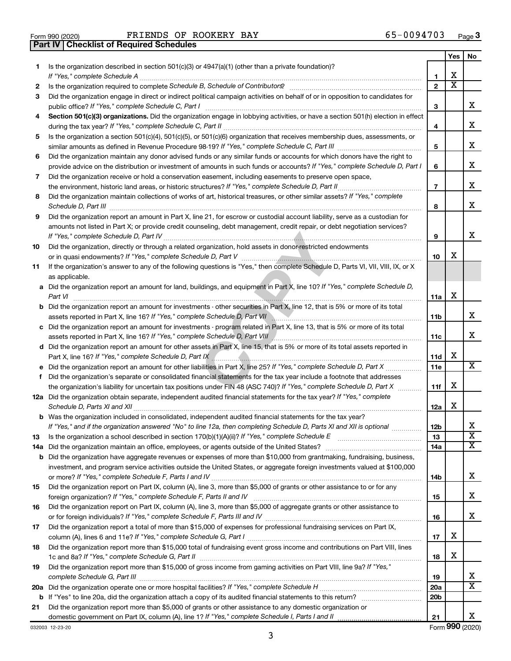**Part IV Checklist of Required Schedules**

Form 990 (2020) FRIENDS OF ROOKERY BAY Page FRIENDS OF ROOKERY BAY 65-0094703

|     |                                                                                                                                                      |                 | Yes | No                      |
|-----|------------------------------------------------------------------------------------------------------------------------------------------------------|-----------------|-----|-------------------------|
| 1.  | Is the organization described in section 501(c)(3) or 4947(a)(1) (other than a private foundation)?<br>If "Yes," complete Schedule A                 | 1               | х   |                         |
| 2   |                                                                                                                                                      | $\mathbf{2}$    | х   |                         |
| 3   | Did the organization engage in direct or indirect political campaign activities on behalf of or in opposition to candidates for                      |                 |     |                         |
|     |                                                                                                                                                      | 3               |     | х                       |
| 4   | Section 501(c)(3) organizations. Did the organization engage in lobbying activities, or have a section 501(h) election in effect                     |                 |     |                         |
|     |                                                                                                                                                      | 4               |     | х                       |
| 5   | Is the organization a section 501(c)(4), 501(c)(5), or 501(c)(6) organization that receives membership dues, assessments, or                         | 5               |     | х                       |
| 6   | Did the organization maintain any donor advised funds or any similar funds or accounts for which donors have the right to                            |                 |     |                         |
|     | provide advice on the distribution or investment of amounts in such funds or accounts? If "Yes," complete Schedule D, Part I                         | 6               |     | х                       |
| 7   | Did the organization receive or hold a conservation easement, including easements to preserve open space,                                            |                 |     |                         |
|     |                                                                                                                                                      | $\overline{7}$  |     | х                       |
| 8   | Did the organization maintain collections of works of art, historical treasures, or other similar assets? If "Yes," complete<br>Schedule D, Part III | 8               |     | х                       |
| 9   | Did the organization report an amount in Part X, line 21, for escrow or custodial account liability, serve as a custodian for                        |                 |     |                         |
|     | amounts not listed in Part X; or provide credit counseling, debt management, credit repair, or debt negotiation services?                            |                 |     |                         |
|     |                                                                                                                                                      | 9               |     | х                       |
| 10  | Did the organization, directly or through a related organization, hold assets in donor-restricted endowments                                         |                 |     |                         |
|     |                                                                                                                                                      | 10              | х   |                         |
| 11  | If the organization's answer to any of the following questions is "Yes," then complete Schedule D, Parts VI, VII, VIII, IX, or X<br>as applicable.   |                 |     |                         |
|     | a Did the organization report an amount for land, buildings, and equipment in Part X, line 10? If "Yes," complete Schedule D,                        |                 |     |                         |
|     | Part VI                                                                                                                                              | 11a             | х   |                         |
| b   | Did the organization report an amount for investments - other securities in Part X, line 12, that is 5% or more of its total                         | 11b             |     | х                       |
|     | c Did the organization report an amount for investments - program related in Part X, line 13, that is 5% or more of its total                        |                 |     |                         |
|     |                                                                                                                                                      | 11c             |     | x                       |
|     | d Did the organization report an amount for other assets in Part X, line 15, that is 5% or more of its total assets reported in                      |                 |     |                         |
|     |                                                                                                                                                      | 11d             | х   |                         |
| е   | Did the organization report an amount for other liabilities in Part X, line 25? If "Yes," complete Schedule D, Part X                                | 11e             |     | х                       |
| f   | Did the organization's separate or consolidated financial statements for the tax year include a footnote that addresses                              |                 |     |                         |
|     | the organization's liability for uncertain tax positions under FIN 48 (ASC 740)? If "Yes," complete Schedule D, Part X                               | 11f             | х   |                         |
|     | 12a Did the organization obtain separate, independent audited financial statements for the tax year? If "Yes," complete                              | 12a             | х   |                         |
|     | <b>b</b> Was the organization included in consolidated, independent audited financial statements for the tax year?                                   |                 |     |                         |
|     | If "Yes," and if the organization answered "No" to line 12a, then completing Schedule D, Parts XI and XII is optional                                | 12 <sub>b</sub> |     | х                       |
| 13  |                                                                                                                                                      | 13              |     | $\overline{\textbf{x}}$ |
| 14a |                                                                                                                                                      | 14a             |     | x                       |
|     | <b>b</b> Did the organization have aggregate revenues or expenses of more than \$10,000 from grantmaking, fundraising, business,                     |                 |     |                         |
|     | investment, and program service activities outside the United States, or aggregate foreign investments valued at \$100,000                           |                 |     |                         |
|     |                                                                                                                                                      | 14b             |     | х                       |
| 15  | Did the organization report on Part IX, column (A), line 3, more than \$5,000 of grants or other assistance to or for any                            | 15              |     | х                       |
| 16  | Did the organization report on Part IX, column (A), line 3, more than \$5,000 of aggregate grants or other assistance to                             |                 |     |                         |
|     |                                                                                                                                                      | 16              |     | х                       |
| 17  | Did the organization report a total of more than \$15,000 of expenses for professional fundraising services on Part IX,                              |                 |     |                         |
|     |                                                                                                                                                      | 17              | х   |                         |
| 18  | Did the organization report more than \$15,000 total of fundraising event gross income and contributions on Part VIII, lines                         |                 |     |                         |
|     |                                                                                                                                                      | 18              | х   |                         |
| 19  | Did the organization report more than \$15,000 of gross income from gaming activities on Part VIII, line 9a? If "Yes,"                               |                 |     |                         |
|     |                                                                                                                                                      | 19              |     | x                       |
| 20a |                                                                                                                                                      | 20a             |     | х                       |
|     |                                                                                                                                                      | 20 <sub>b</sub> |     |                         |
| 21  | Did the organization report more than \$5,000 of grants or other assistance to any domestic organization or                                          |                 |     |                         |
|     | domestic government on Part IX, column (A), line 1? If "Yes," complete Schedule I, Parts I and II                                                    | 21              |     | x                       |

3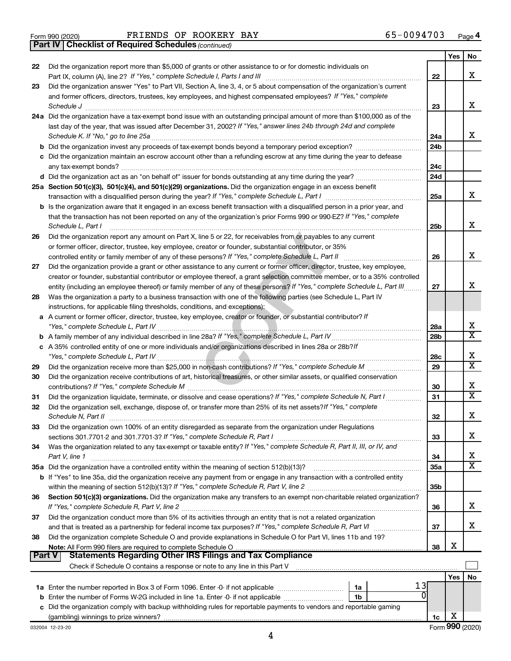*(continued)* **Part IV Checklist of Required Schedules**

|               |                                                                                                                                                                                                                                               |                 | Yes | <b>No</b>               |
|---------------|-----------------------------------------------------------------------------------------------------------------------------------------------------------------------------------------------------------------------------------------------|-----------------|-----|-------------------------|
| 22            | Did the organization report more than \$5,000 of grants or other assistance to or for domestic individuals on                                                                                                                                 |                 |     |                         |
|               |                                                                                                                                                                                                                                               | 22              |     | X                       |
| 23            | Did the organization answer "Yes" to Part VII, Section A, line 3, 4, or 5 about compensation of the organization's current                                                                                                                    |                 |     |                         |
|               | and former officers, directors, trustees, key employees, and highest compensated employees? If "Yes," complete                                                                                                                                |                 |     |                         |
|               |                                                                                                                                                                                                                                               | 23              |     | X                       |
|               | 24a Did the organization have a tax-exempt bond issue with an outstanding principal amount of more than \$100,000 as of the                                                                                                                   |                 |     |                         |
|               | last day of the year, that was issued after December 31, 2002? If "Yes," answer lines 24b through 24d and complete                                                                                                                            |                 |     |                         |
|               |                                                                                                                                                                                                                                               | 24a             |     | x                       |
|               |                                                                                                                                                                                                                                               | 24 <sub>b</sub> |     |                         |
|               | c Did the organization maintain an escrow account other than a refunding escrow at any time during the year to defease                                                                                                                        |                 |     |                         |
|               |                                                                                                                                                                                                                                               | 24c             |     |                         |
|               |                                                                                                                                                                                                                                               | 24d             |     |                         |
|               | 25a Section 501(c)(3), 501(c)(4), and 501(c)(29) organizations. Did the organization engage in an excess benefit                                                                                                                              |                 |     |                         |
|               |                                                                                                                                                                                                                                               | 25a             |     | х                       |
|               | b Is the organization aware that it engaged in an excess benefit transaction with a disqualified person in a prior year, and                                                                                                                  |                 |     |                         |
|               | that the transaction has not been reported on any of the organization's prior Forms 990 or 990-EZ? If "Yes," complete                                                                                                                         |                 |     | х                       |
|               | Schedule L, Part I                                                                                                                                                                                                                            | 25b             |     |                         |
| 26            | Did the organization report any amount on Part X, line 5 or 22, for receivables from or payables to any current                                                                                                                               |                 |     |                         |
|               | or former officer, director, trustee, key employee, creator or founder, substantial contributor, or 35%                                                                                                                                       |                 |     | X                       |
|               |                                                                                                                                                                                                                                               | 26              |     |                         |
| 27            | Did the organization provide a grant or other assistance to any current or former officer, director, trustee, key employee,                                                                                                                   |                 |     |                         |
|               | creator or founder, substantial contributor or employee thereof, a grant selection committee member, or to a 35% controlled                                                                                                                   | 27              |     | х                       |
| 28            | entity (including an employee thereof) or family member of any of these persons? If "Yes," complete Schedule L, Part III<br>Was the organization a party to a business transaction with one of the following parties (see Schedule L, Part IV |                 |     |                         |
|               | instructions, for applicable filing thresholds, conditions, and exceptions):                                                                                                                                                                  |                 |     |                         |
|               | a A current or former officer, director, trustee, key employee, creator or founder, or substantial contributor? If                                                                                                                            |                 |     |                         |
|               |                                                                                                                                                                                                                                               | 28a             |     | х                       |
|               |                                                                                                                                                                                                                                               | 28 <sub>b</sub> |     | $\overline{\texttt{x}}$ |
|               | c A 35% controlled entity of one or more individuals and/or organizations described in lines 28a or 28b?If                                                                                                                                    |                 |     |                         |
|               |                                                                                                                                                                                                                                               | 28c             |     | Х                       |
| 29            |                                                                                                                                                                                                                                               | 29              |     | $\overline{\textbf{X}}$ |
| 30            | Did the organization receive contributions of art, historical treasures, or other similar assets, or qualified conservation                                                                                                                   |                 |     |                         |
|               |                                                                                                                                                                                                                                               | 30              |     | Х                       |
| 31            | Did the organization liquidate, terminate, or dissolve and cease operations? If "Yes," complete Schedule N, Part I                                                                                                                            | 31              |     | $\overline{\mathbf{X}}$ |
| 32            | Did the organization sell, exchange, dispose of, or transfer more than 25% of its net assets? If "Yes," complete                                                                                                                              |                 |     |                         |
|               |                                                                                                                                                                                                                                               | 32              |     | X                       |
| 33            | Did the organization own 100% of an entity disregarded as separate from the organization under Regulations                                                                                                                                    |                 |     |                         |
|               |                                                                                                                                                                                                                                               | 33              |     | х                       |
| 34            | Was the organization related to any tax-exempt or taxable entity? If "Yes," complete Schedule R, Part II, III, or IV, and                                                                                                                     |                 |     |                         |
|               | Part V, line 1                                                                                                                                                                                                                                | 34              |     | х                       |
|               |                                                                                                                                                                                                                                               | <b>35a</b>      |     | X                       |
|               | b If "Yes" to line 35a, did the organization receive any payment from or engage in any transaction with a controlled entity                                                                                                                   |                 |     |                         |
|               |                                                                                                                                                                                                                                               | 35b             |     |                         |
| 36            | Section 501(c)(3) organizations. Did the organization make any transfers to an exempt non-charitable related organization?                                                                                                                    |                 |     |                         |
|               |                                                                                                                                                                                                                                               | 36              |     | x                       |
| 37            | Did the organization conduct more than 5% of its activities through an entity that is not a related organization                                                                                                                              |                 |     |                         |
|               | and that is treated as a partnership for federal income tax purposes? If "Yes," complete Schedule R, Part VI                                                                                                                                  | 37              |     | x                       |
| 38            | Did the organization complete Schedule O and provide explanations in Schedule O for Part VI, lines 11b and 19?                                                                                                                                |                 |     |                         |
| <b>Part V</b> | Note: All Form 990 filers are required to complete Schedule O<br><b>Statements Regarding Other IRS Filings and Tax Compliance</b>                                                                                                             | 38              | х   |                         |
|               |                                                                                                                                                                                                                                               |                 |     |                         |
|               |                                                                                                                                                                                                                                               |                 |     |                         |
|               |                                                                                                                                                                                                                                               |                 | Yes | No                      |
|               | 1a                                                                                                                                                                                                                                            |                 |     |                         |
|               | b Enter the number of Forms W-2G included in line 1a. Enter -0- if not applicable<br>1b<br>c Did the organization comply with backup withholding rules for reportable payments to vendors and reportable gaming                               |                 |     |                         |
|               |                                                                                                                                                                                                                                               | 1c              | х   |                         |
|               |                                                                                                                                                                                                                                               |                 |     |                         |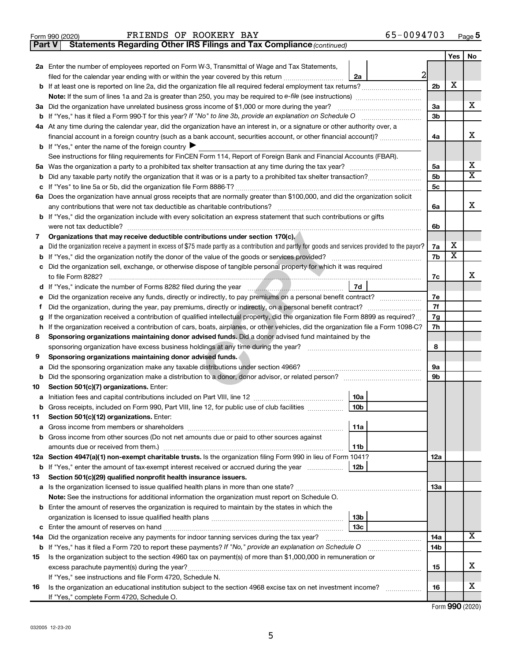| 65-0094703 | Page 5 |
|------------|--------|
|------------|--------|

**Yes No**

|                                                                                        | FRIENDS OF ROOKERY BAY<br>Form 990 (2020)                                                                               |    | 65-0094703 |                |     | Page |
|----------------------------------------------------------------------------------------|-------------------------------------------------------------------------------------------------------------------------|----|------------|----------------|-----|------|
| Part V<br><b>Statements Regarding Other IRS Filings and Tax Compliance (continued)</b> |                                                                                                                         |    |            |                |     |      |
|                                                                                        |                                                                                                                         |    |            |                | res | No   |
|                                                                                        | 2a Enter the number of employees reported on Form W-3, Transmittal of Wage and Tax Statements,                          |    |            |                |     |      |
|                                                                                        | filed for the calendar year ending with or within the year covered by this return                                       | 2a |            |                |     |      |
|                                                                                        | <b>b</b> If at least one is reported on line 2a, did the organization file all required federal employment tax returns? |    |            | 2 <sub>b</sub> |     |      |
|                                                                                        |                                                                                                                         |    |            |                |     |      |

|     | 2 <sub>b</sub>                                                                                                                                                                                                                      | х   |                         |                         |  |
|-----|-------------------------------------------------------------------------------------------------------------------------------------------------------------------------------------------------------------------------------------|-----|-------------------------|-------------------------|--|
|     |                                                                                                                                                                                                                                     |     |                         |                         |  |
| За  | Did the organization have unrelated business gross income of \$1,000 or more during the year?                                                                                                                                       | 3a  |                         | x                       |  |
| b   |                                                                                                                                                                                                                                     | 3b  |                         |                         |  |
|     | 4a At any time during the calendar year, did the organization have an interest in, or a signature or other authority over, a                                                                                                        |     |                         |                         |  |
|     | financial account in a foreign country (such as a bank account, securities account, or other financial account)?                                                                                                                    | 4a  |                         | х                       |  |
|     | <b>b</b> If "Yes," enter the name of the foreign country $\blacktriangleright$                                                                                                                                                      |     |                         |                         |  |
|     | See instructions for filing requirements for FinCEN Form 114, Report of Foreign Bank and Financial Accounts (FBAR).                                                                                                                 |     |                         |                         |  |
| 5a  |                                                                                                                                                                                                                                     | 5a  |                         | х                       |  |
| b   |                                                                                                                                                                                                                                     | 5b  |                         | $\overline{\mathtt{x}}$ |  |
| с   |                                                                                                                                                                                                                                     | 5c  |                         |                         |  |
|     | 6a Does the organization have annual gross receipts that are normally greater than \$100,000, and did the organization solicit                                                                                                      |     |                         |                         |  |
|     |                                                                                                                                                                                                                                     | 6a  |                         | x                       |  |
| b   | If "Yes," did the organization include with every solicitation an express statement that such contributions or gifts                                                                                                                |     |                         |                         |  |
|     | were not tax deductible?                                                                                                                                                                                                            | 6b  |                         |                         |  |
| 7   | Organizations that may receive deductible contributions under section 170(c).                                                                                                                                                       |     |                         |                         |  |
| a   | Did the organization receive a payment in excess of \$75 made partly as a contribution and partly for goods and services provided to the payor?                                                                                     | 7a  | х                       |                         |  |
| b   | If "Yes," did the organization notify the donor of the value of the goods or services provided?                                                                                                                                     | 7b  | $\overline{\texttt{x}}$ |                         |  |
| с   | Did the organization sell, exchange, or otherwise dispose of tangible personal property for which it was required                                                                                                                   |     |                         |                         |  |
|     |                                                                                                                                                                                                                                     | 7c  |                         | х                       |  |
| d   | <b>7d</b>                                                                                                                                                                                                                           |     |                         |                         |  |
| е   | Did the organization receive any funds, directly or indirectly, to pay premiums on a personal benefit contract?                                                                                                                     |     |                         |                         |  |
| Ť   | Did the organization, during the year, pay premiums, directly or indirectly, on a personal benefit contract?                                                                                                                        |     |                         |                         |  |
| g   | If the organization received a contribution of qualified intellectual property, did the organization file Form 8899 as required?                                                                                                    |     |                         |                         |  |
| h   | If the organization received a contribution of cars, boats, airplanes, or other vehicles, did the organization file a Form 1098-C?                                                                                                  |     |                         |                         |  |
| 8   | Sponsoring organizations maintaining donor advised funds. Did a donor advised fund maintained by the                                                                                                                                |     |                         |                         |  |
|     | sponsoring organization have excess business holdings at any time during the year?                                                                                                                                                  |     |                         |                         |  |
| 9   | Sponsoring organizations maintaining donor advised funds.                                                                                                                                                                           |     |                         |                         |  |
| а   | Did the sponsoring organization make any taxable distributions under section 4966?                                                                                                                                                  | 9а  |                         |                         |  |
| b   |                                                                                                                                                                                                                                     | 9b  |                         |                         |  |
| 10  | Section 501(c)(7) organizations. Enter:                                                                                                                                                                                             |     |                         |                         |  |
| а   | 10a                                                                                                                                                                                                                                 |     |                         |                         |  |
| b   | 10 <sub>b</sub><br>Gross receipts, included on Form 990, Part VIII, line 12, for public use of club facilities                                                                                                                      |     |                         |                         |  |
| 11  | Section 501(c)(12) organizations. Enter:                                                                                                                                                                                            |     |                         |                         |  |
| а   | 11a<br>Gross income from members or shareholders cross-                                                                                                                                                                             |     |                         |                         |  |
| b   | Gross income from other sources (Do not net amounts due or paid to other sources against                                                                                                                                            |     |                         |                         |  |
|     | 11b                                                                                                                                                                                                                                 |     |                         |                         |  |
|     | Section 4947(a)(1) non-exempt charitable trusts. Is the organization filing Form 990 in lieu of Form 1041?                                                                                                                          | 12a |                         |                         |  |
|     | <b>b</b> If "Yes," enter the amount of tax-exempt interest received or accrued during the year $\ldots$ $\ldots$ [12b]                                                                                                              |     |                         |                         |  |
| 13  | Section 501(c)(29) qualified nonprofit health insurance issuers.                                                                                                                                                                    |     |                         |                         |  |
| а   |                                                                                                                                                                                                                                     | 1За |                         |                         |  |
|     | Note: See the instructions for additional information the organization must report on Schedule O.                                                                                                                                   |     |                         |                         |  |
| b   | Enter the amount of reserves the organization is required to maintain by the states in which the                                                                                                                                    |     |                         |                         |  |
|     | 13b                                                                                                                                                                                                                                 |     |                         |                         |  |
| с   | 13 <sub>c</sub><br>Did the organization receive any payments for indoor tanning services during the tax year?                                                                                                                       | 14a |                         | $\overline{\text{X}}$   |  |
| 14a |                                                                                                                                                                                                                                     | 14b |                         |                         |  |
|     | <b>b</b> If "Yes," has it filed a Form 720 to report these payments? If "No," provide an explanation on Schedule O<br>Is the organization subject to the section 4960 tax on payment(s) of more than \$1,000,000 in remuneration or |     |                         |                         |  |
| 15  |                                                                                                                                                                                                                                     | 15  |                         | x                       |  |
|     | If "Yes," see instructions and file Form 4720, Schedule N.                                                                                                                                                                          |     |                         |                         |  |
| 16  | Is the organization an educational institution subject to the section 4968 excise tax on net investment income?                                                                                                                     | 16  |                         | х                       |  |
|     | If "Yes," complete Form 4720, Schedule O.                                                                                                                                                                                           |     |                         |                         |  |
|     |                                                                                                                                                                                                                                     |     |                         |                         |  |

Form (2020) **990**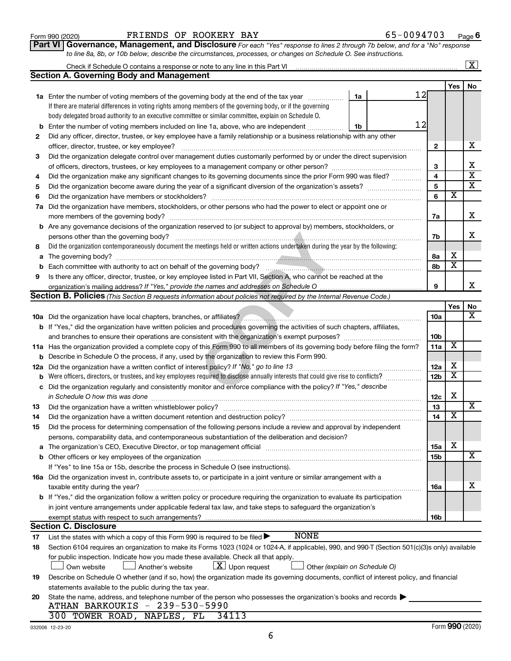032006 12-23-20

|              | to line 8a, 8b, or 10b below, describe the circumstances, processes, or changes on Schedule O. See instructions.                                                                                                                                                     |                               |                              |                         |     |                             |
|--------------|----------------------------------------------------------------------------------------------------------------------------------------------------------------------------------------------------------------------------------------------------------------------|-------------------------------|------------------------------|-------------------------|-----|-----------------------------|
|              |                                                                                                                                                                                                                                                                      |                               |                              |                         |     | $\overline{\text{X}}$       |
|              | <b>Section A. Governing Body and Management</b>                                                                                                                                                                                                                      |                               |                              |                         |     |                             |
|              |                                                                                                                                                                                                                                                                      |                               |                              |                         | Yes | No                          |
|              | 1a Enter the number of voting members of the governing body at the end of the tax year                                                                                                                                                                               | 1a                            | 12                           |                         |     |                             |
|              | If there are material differences in voting rights among members of the governing body, or if the governing                                                                                                                                                          |                               |                              |                         |     |                             |
|              | body delegated broad authority to an executive committee or similar committee, explain on Schedule O.                                                                                                                                                                |                               |                              |                         |     |                             |
|              | <b>b</b> Enter the number of voting members included on line 1a, above, who are independent                                                                                                                                                                          | 1b                            | 12                           |                         |     |                             |
| $\mathbf{2}$ | Did any officer, director, trustee, or key employee have a family relationship or a business relationship with any other                                                                                                                                             |                               |                              |                         |     |                             |
|              |                                                                                                                                                                                                                                                                      |                               | $\mathbf{2}$                 |                         |     | х                           |
| з            | Did the organization delegate control over management duties customarily performed by or under the direct supervision                                                                                                                                                |                               |                              |                         |     |                             |
|              |                                                                                                                                                                                                                                                                      |                               | З<br>$\overline{\mathbf{4}}$ |                         |     | х<br>$\overline{\text{x}}$  |
| 4            | Did the organization make any significant changes to its governing documents since the prior Form 990 was filed?                                                                                                                                                     |                               |                              |                         |     |                             |
| 5            |                                                                                                                                                                                                                                                                      |                               | $\overline{\mathbf{5}}$      |                         |     | $\overline{\text{x}}$       |
| 6            |                                                                                                                                                                                                                                                                      |                               | 6                            |                         | X   |                             |
|              | 7a Did the organization have members, stockholders, or other persons who had the power to elect or appoint one or                                                                                                                                                    |                               |                              |                         |     |                             |
|              |                                                                                                                                                                                                                                                                      |                               | 7a                           |                         |     | х                           |
|              | <b>b</b> Are any governance decisions of the organization reserved to (or subject to approval by) members, stockholders, or                                                                                                                                          |                               |                              |                         |     |                             |
|              | persons other than the governing body?                                                                                                                                                                                                                               |                               | 7b                           |                         |     | Х                           |
| 8            | Did the organization contemporaneously document the meetings held or written actions undertaken during the year by the following:                                                                                                                                    |                               |                              |                         |     |                             |
|              |                                                                                                                                                                                                                                                                      |                               | 8а                           | х                       |     |                             |
|              |                                                                                                                                                                                                                                                                      |                               | 8b                           |                         | x   |                             |
| 9            | Is there any officer, director, trustee, or key employee listed in Part VII, Section A, who cannot be reached at the                                                                                                                                                 |                               |                              |                         |     |                             |
|              |                                                                                                                                                                                                                                                                      |                               | 9                            |                         |     | х                           |
|              | <b>Section B. Policies</b> (This Section B requests information about policies not required by the Internal Revenue Code.)                                                                                                                                           |                               |                              |                         |     |                             |
|              |                                                                                                                                                                                                                                                                      |                               |                              | Yes                     |     | No<br>X                     |
|              |                                                                                                                                                                                                                                                                      |                               | 10a                          |                         |     |                             |
|              | <b>b</b> If "Yes," did the organization have written policies and procedures governing the activities of such chapters, affiliates,                                                                                                                                  |                               |                              |                         |     |                             |
|              |                                                                                                                                                                                                                                                                      |                               | 10 <sub>b</sub>              | X                       |     |                             |
|              | 11a Has the organization provided a complete copy of this Form 990 to all members of its governing body before filing the form?                                                                                                                                      |                               | 11a                          |                         |     |                             |
|              | <b>b</b> Describe in Schedule O the process, if any, used by the organization to review this Form 990.                                                                                                                                                               |                               |                              | х                       |     |                             |
|              |                                                                                                                                                                                                                                                                      |                               | 12a                          | $\overline{\textbf{x}}$ |     |                             |
|              | <b>b</b> Were officers, directors, or trustees, and key employees required to disclose annually interests that could give rise to conflicts?<br>c Did the organization regularly and consistently monitor and enforce compliance with the policy? If "Yes," describe |                               | 12 <sub>b</sub>              |                         |     |                             |
|              |                                                                                                                                                                                                                                                                      |                               |                              | х                       |     |                             |
| 13           | in Schedule O how this was done manufactured and continuum control of the state of the state of the state of t                                                                                                                                                       |                               | 12c<br>13                    |                         |     | $\overline{\textnormal{x}}$ |
| 14           | Did the organization have a written document retention and destruction policy? [11] manufaction manufaction in                                                                                                                                                       |                               | 14                           |                         | х   |                             |
| 15           | Did the process for determining compensation of the following persons include a review and approval by independent                                                                                                                                                   |                               |                              |                         |     |                             |
|              | persons, comparability data, and contemporaneous substantiation of the deliberation and decision?                                                                                                                                                                    |                               |                              |                         |     |                             |
|              |                                                                                                                                                                                                                                                                      |                               | <b>15a</b>                   | х                       |     |                             |
|              |                                                                                                                                                                                                                                                                      |                               | <b>15b</b>                   |                         |     | $\overline{\textbf{x}}$     |
|              | If "Yes" to line 15a or 15b, describe the process in Schedule O (see instructions).                                                                                                                                                                                  |                               |                              |                         |     |                             |
|              | 16a Did the organization invest in, contribute assets to, or participate in a joint venture or similar arrangement with a                                                                                                                                            |                               |                              |                         |     |                             |
|              | taxable entity during the year?                                                                                                                                                                                                                                      |                               | 16a                          |                         |     | Х                           |
|              | <b>b</b> If "Yes," did the organization follow a written policy or procedure requiring the organization to evaluate its participation                                                                                                                                |                               |                              |                         |     |                             |
|              | in joint venture arrangements under applicable federal tax law, and take steps to safeguard the organization's                                                                                                                                                       |                               |                              |                         |     |                             |
|              | exempt status with respect to such arrangements?                                                                                                                                                                                                                     |                               | 16b                          |                         |     |                             |
|              | <b>Section C. Disclosure</b>                                                                                                                                                                                                                                         |                               |                              |                         |     |                             |
| 17           | <b>NONE</b><br>List the states with which a copy of this Form 990 is required to be filed $\blacktriangleright$                                                                                                                                                      |                               |                              |                         |     |                             |
| 18           | Section 6104 requires an organization to make its Forms 1023 (1024 or 1024-A, if applicable), 990, and 990-T (Section 501(c)(3)s only) available                                                                                                                     |                               |                              |                         |     |                             |
|              | for public inspection. Indicate how you made these available. Check all that apply.                                                                                                                                                                                  |                               |                              |                         |     |                             |
|              | $\underline{\textbf{X}}$ Upon request<br>Own website<br>Another's website                                                                                                                                                                                            | Other (explain on Schedule O) |                              |                         |     |                             |
|              |                                                                                                                                                                                                                                                                      |                               |                              |                         |     |                             |

6

|  | ATHAN BARKOUKIS - 239-530-5990 |                                  |
|--|--------------------------------|----------------------------------|
|  |                                | 300 TOWER ROAD, NAPLES, FL 34113 |

### **Part VI** Governance, Management, and Disclosure For each "Yes" response to lines 2 through 7b below, and for a "No" response *to line 8a, 8b, or 10b below, describe the circumstances, processes, or changes on Schedule O. See instructions.*  $Form 990 (2020)$   $FRIEND$

**6** 65-0094703

**Yes No**

 $\boxed{\text{X}}$ 

**Yes No**

|  | DS OF ROOKERY BAY |  |
|--|-------------------|--|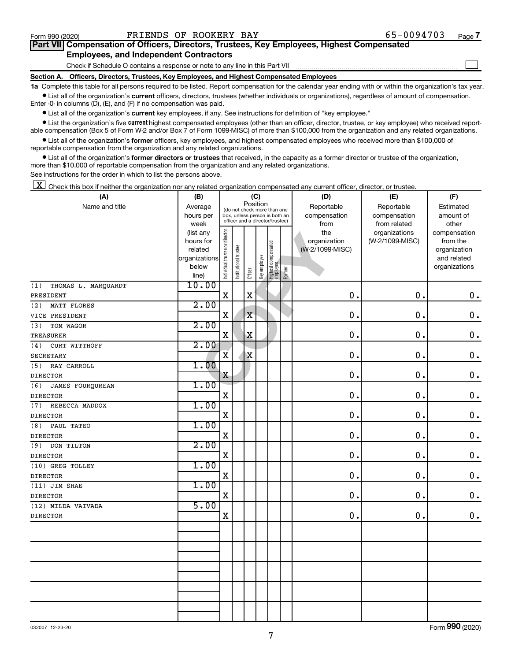$\Box$ 

| Part VII Compensation of Officers, Directors, Trustees, Key Employees, Highest Compensated |  |  |
|--------------------------------------------------------------------------------------------|--|--|
| <b>Employees, and Independent Contractors</b>                                              |  |  |

Check if Schedule O contains a response or note to any line in this Part VII

**Section A. Officers, Directors, Trustees, Key Employees, and Highest Compensated Employees**

**1a**  Complete this table for all persons required to be listed. Report compensation for the calendar year ending with or within the organization's tax year.  $\bullet$  List all of the organization's current officers, directors, trustees (whether individuals or organizations), regardless of amount of compensation.

Enter -0- in columns (D), (E), and (F) if no compensation was paid.

**•** List all of the organization's current key employees, if any. See instructions for definition of "key employee."

• List the organization's five *current* highest compensated employees (other than an officer, director, trustee, or key employee) who received reportable compensation (Box 5 of Form W-2 and/or Box 7 of Form 1099-MISC) of more than \$100,000 from the organization and any related organizations.

 $\bullet$  List all of the organization's former officers, key employees, and highest compensated employees who received more than \$100,000 of reportable compensation from the organization and any related organizations.

**•** List all of the organization's former directors or trustees that received, in the capacity as a former director or trustee of the organization, more than \$10,000 of reportable compensation from the organization and any related organizations.

See instructions for the order in which to list the persons above.

 $\boxed{\textbf{X}}$  Check this box if neither the organization nor any related organization compensated any current officer, director, or trustee.

| (A)                        | (B)                    |                                         |                                                                  |             | (C)          |                                 |        | (D)             | (E)             | (F)           |
|----------------------------|------------------------|-----------------------------------------|------------------------------------------------------------------|-------------|--------------|---------------------------------|--------|-----------------|-----------------|---------------|
| Name and title             | Average                | Position<br>(do not check more than one |                                                                  |             |              |                                 |        | Reportable      | Reportable      | Estimated     |
|                            | hours per              |                                         | box, unless person is both an<br>officer and a director/trustee) |             |              |                                 |        | compensation    | compensation    | amount of     |
|                            | week                   |                                         |                                                                  |             |              |                                 |        | from            | from related    | other         |
|                            | (list any              |                                         |                                                                  |             |              |                                 |        | the             | organizations   | compensation  |
|                            | hours for              |                                         |                                                                  |             |              |                                 |        | organization    | (W-2/1099-MISC) | from the      |
|                            | related                |                                         |                                                                  |             |              |                                 |        | (W-2/1099-MISC) |                 | organization  |
|                            | organizations<br>below |                                         |                                                                  |             |              |                                 |        |                 |                 | and related   |
|                            | line)                  | Individual trustee or director          | Institutional trustee                                            | Officer     | Key employee | Highest compensated<br>employee | Former |                 |                 | organizations |
| THOMAS L. MARQUARDT<br>(1) | 10.00                  |                                         |                                                                  |             |              |                                 |        |                 |                 |               |
| PRESIDENT                  |                        | $\mathbf X$                             |                                                                  | $\mathbf X$ |              |                                 |        | $\mathbf 0$     | 0.              | $\mathbf 0$ . |
| MATT FLORES<br>(2)         | 2.00                   |                                         |                                                                  |             |              |                                 |        |                 |                 |               |
| VICE PRESIDENT             |                        | X                                       |                                                                  | $\mathbf X$ |              |                                 |        | $\mathbf 0$ .   | $\mathbf 0$ .   | $\mathbf 0$ . |
| (3)<br>TOM WAGOR           | 2.00                   |                                         |                                                                  |             |              |                                 |        |                 |                 |               |
| TREASURER                  |                        | X                                       |                                                                  | $\mathbf X$ |              |                                 |        | 0               | $\mathbf 0$     | $\mathbf 0$ . |
| (4)<br>CURT WITTHOFF       | 2.00                   |                                         |                                                                  |             |              |                                 |        |                 |                 |               |
| <b>SECRETARY</b>           |                        | $\overline{\mathbf{X}}$                 |                                                                  | $\mathbf X$ |              |                                 |        | 0.              | $\mathbf 0$ .   | $\mathbf 0$ . |
| RAY CARROLL<br>(5)         | 1.00                   |                                         |                                                                  |             |              |                                 |        |                 |                 |               |
| <b>DIRECTOR</b>            |                        | X                                       |                                                                  |             |              |                                 |        | 0.              | $\mathbf 0$ .   | $\mathbf 0$ . |
| (6)<br>JAMES FOURQUREAN    | 1.00                   |                                         |                                                                  |             |              |                                 |        |                 |                 |               |
| <b>DIRECTOR</b>            |                        | $\mathbf X$                             |                                                                  |             |              |                                 |        | $\mathbf 0$ .   | $\mathbf 0$ .   | $\mathbf 0$ . |
| REBECCA MADDOX<br>(7)      | 1.00                   |                                         |                                                                  |             |              |                                 |        |                 |                 |               |
| <b>DIRECTOR</b>            |                        | $\mathbf X$                             |                                                                  |             |              |                                 |        | 0.              | $\mathbf 0$ .   | $\mathbf 0$ . |
| PAUL TATEO<br>(8)          | 1.00                   |                                         |                                                                  |             |              |                                 |        |                 |                 |               |
| <b>DIRECTOR</b>            |                        | $\mathbf X$                             |                                                                  |             |              |                                 |        | 0.              | 0.              | $\mathbf 0$ . |
| DON TILTON<br>(9)          | 2.00                   |                                         |                                                                  |             |              |                                 |        |                 |                 |               |
| <b>DIRECTOR</b>            |                        | $\mathbf X$                             |                                                                  |             |              |                                 |        | 0.              | 0.              | $\mathbf 0$ . |
| (10) GREG TOLLEY           | 1.00                   |                                         |                                                                  |             |              |                                 |        |                 |                 |               |
| <b>DIRECTOR</b>            |                        | $\mathbf X$                             |                                                                  |             |              |                                 |        | 0.              | 0.              | $\mathbf 0$ . |
| (11) JIM SHAE              | 1.00                   |                                         |                                                                  |             |              |                                 |        |                 |                 |               |
| <b>DIRECTOR</b>            |                        | $\mathbf x$                             |                                                                  |             |              |                                 |        | 0.              | 0.              | $\mathbf 0$ . |
| (12) MILDA VAIVADA         | 5.00                   |                                         |                                                                  |             |              |                                 |        |                 |                 |               |
| <b>DIRECTOR</b>            |                        | $\mathbf X$                             |                                                                  |             |              |                                 |        | 0.              | 0.              | $\mathbf 0$ . |
|                            |                        |                                         |                                                                  |             |              |                                 |        |                 |                 |               |
|                            |                        |                                         |                                                                  |             |              |                                 |        |                 |                 |               |
|                            |                        |                                         |                                                                  |             |              |                                 |        |                 |                 |               |
|                            |                        |                                         |                                                                  |             |              |                                 |        |                 |                 |               |
|                            |                        |                                         |                                                                  |             |              |                                 |        |                 |                 |               |
|                            |                        |                                         |                                                                  |             |              |                                 |        |                 |                 |               |
|                            |                        |                                         |                                                                  |             |              |                                 |        |                 |                 |               |
|                            |                        |                                         |                                                                  |             |              |                                 |        |                 |                 |               |
|                            |                        |                                         |                                                                  |             |              |                                 |        |                 |                 |               |
|                            |                        |                                         |                                                                  |             |              |                                 |        |                 |                 |               |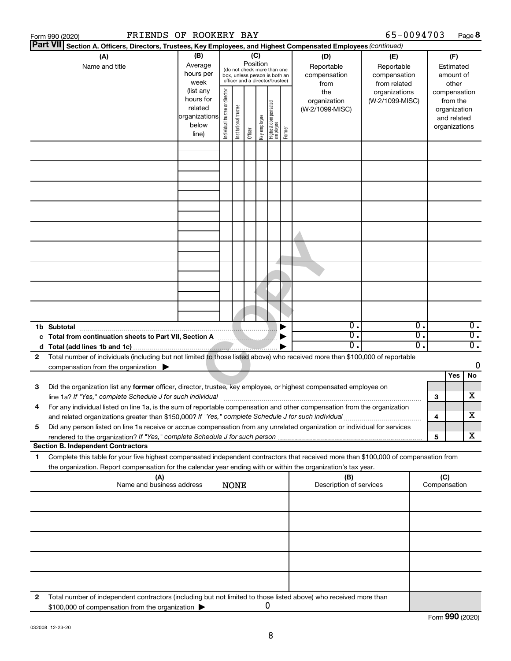|    | FRIENDS OF ROOKERY BAY<br>Form 990 (2020)                                                                                                                                                                                                              |                                                                      |                                |                       |                                                                                                                    |              |                                   |        |                                           | 65-0094703                                        |              |                                                                          | Page 8                               |
|----|--------------------------------------------------------------------------------------------------------------------------------------------------------------------------------------------------------------------------------------------------------|----------------------------------------------------------------------|--------------------------------|-----------------------|--------------------------------------------------------------------------------------------------------------------|--------------|-----------------------------------|--------|-------------------------------------------|---------------------------------------------------|--------------|--------------------------------------------------------------------------|--------------------------------------|
|    | <b>Part VII</b><br>Section A. Officers, Directors, Trustees, Key Employees, and Highest Compensated Employees (continued)                                                                                                                              |                                                                      |                                |                       |                                                                                                                    |              |                                   |        |                                           |                                                   |              |                                                                          |                                      |
|    | (A)<br>Name and title                                                                                                                                                                                                                                  | (B)<br>Average<br>hours per<br>week                                  |                                |                       | (C)<br>Position<br>(do not check more than one<br>box, unless person is both an<br>officer and a director/trustee) |              |                                   |        | (D)<br>Reportable<br>compensation<br>from | (E)<br>Reportable<br>compensation<br>from related |              | (F)<br>Estimated<br>amount of<br>other                                   |                                      |
|    |                                                                                                                                                                                                                                                        | (list any<br>hours for<br>related<br>organizations<br>below<br>line) | Individual trustee or director | Institutional trustee | Officer                                                                                                            | Key employee | Highest compensated<br>  employee | Former | the<br>organization<br>(W-2/1099-MISC)    | organizations<br>(W-2/1099-MISC)                  |              | compensation<br>from the<br>organization<br>and related<br>organizations |                                      |
|    |                                                                                                                                                                                                                                                        |                                                                      |                                |                       |                                                                                                                    |              |                                   |        |                                           |                                                   |              |                                                                          |                                      |
|    |                                                                                                                                                                                                                                                        |                                                                      |                                |                       |                                                                                                                    |              |                                   |        |                                           |                                                   |              |                                                                          |                                      |
|    |                                                                                                                                                                                                                                                        |                                                                      |                                |                       |                                                                                                                    |              |                                   |        |                                           |                                                   |              |                                                                          |                                      |
|    |                                                                                                                                                                                                                                                        |                                                                      |                                |                       |                                                                                                                    |              |                                   |        |                                           |                                                   |              |                                                                          |                                      |
|    |                                                                                                                                                                                                                                                        |                                                                      |                                |                       |                                                                                                                    |              |                                   |        |                                           |                                                   |              |                                                                          |                                      |
|    |                                                                                                                                                                                                                                                        |                                                                      |                                |                       |                                                                                                                    |              |                                   |        |                                           |                                                   |              |                                                                          |                                      |
|    | 1b Subtotal                                                                                                                                                                                                                                            |                                                                      |                                |                       |                                                                                                                    |              |                                   |        | $\mathbf 0$ .                             | 0.                                                |              |                                                                          | $\overline{0}$ .                     |
|    | c Total from continuation sheets to Part VII, Section A <b>Constitution</b> D                                                                                                                                                                          |                                                                      |                                |                       |                                                                                                                    |              |                                   |        | σ.<br>0.                                  | 0.<br>$\overline{0}$ .                            |              |                                                                          | $\overline{0}$ .<br>$\overline{0}$ . |
| 2  | Total number of individuals (including but not limited to those listed above) who received more than \$100,000 of reportable                                                                                                                           |                                                                      |                                |                       |                                                                                                                    |              |                                   |        |                                           |                                                   |              |                                                                          |                                      |
|    | compensation from the organization                                                                                                                                                                                                                     |                                                                      |                                |                       |                                                                                                                    |              |                                   |        |                                           |                                                   |              |                                                                          | 0                                    |
|    |                                                                                                                                                                                                                                                        |                                                                      |                                |                       |                                                                                                                    |              |                                   |        |                                           |                                                   |              | Yes                                                                      | No                                   |
| 3  | Did the organization list any former officer, director, trustee, key employee, or highest compensated employee on<br>line 1a? If "Yes," complete Schedule J for such individual [11] manufacture in the content of the schedule J for such individual  |                                                                      |                                |                       |                                                                                                                    |              |                                   |        |                                           |                                                   | з            |                                                                          | х                                    |
|    | For any individual listed on line 1a, is the sum of reportable compensation and other compensation from the organization<br>and related organizations greater than \$150,000? If "Yes," complete Schedule J for such individual                        |                                                                      |                                |                       |                                                                                                                    |              |                                   |        |                                           |                                                   | 4            |                                                                          | x                                    |
| 5  | Did any person listed on line 1a receive or accrue compensation from any unrelated organization or individual for services                                                                                                                             |                                                                      |                                |                       |                                                                                                                    |              |                                   |        |                                           |                                                   | 5            |                                                                          | х                                    |
|    | <b>Section B. Independent Contractors</b>                                                                                                                                                                                                              |                                                                      |                                |                       |                                                                                                                    |              |                                   |        |                                           |                                                   |              |                                                                          |                                      |
| 1. | Complete this table for your five highest compensated independent contractors that received more than \$100,000 of compensation from<br>the organization. Report compensation for the calendar year ending with or within the organization's tax year. |                                                                      |                                |                       |                                                                                                                    |              |                                   |        |                                           |                                                   |              |                                                                          |                                      |
|    | (A)<br>Name and business address                                                                                                                                                                                                                       |                                                                      |                                | <b>NONE</b>           |                                                                                                                    |              |                                   |        | (B)<br>Description of services            |                                                   | Compensation | (C)                                                                      |                                      |
|    |                                                                                                                                                                                                                                                        |                                                                      |                                |                       |                                                                                                                    |              |                                   |        |                                           |                                                   |              |                                                                          |                                      |
|    |                                                                                                                                                                                                                                                        |                                                                      |                                |                       |                                                                                                                    |              |                                   |        |                                           |                                                   |              |                                                                          |                                      |
|    |                                                                                                                                                                                                                                                        |                                                                      |                                |                       |                                                                                                                    |              |                                   |        |                                           |                                                   |              |                                                                          |                                      |
|    |                                                                                                                                                                                                                                                        |                                                                      |                                |                       |                                                                                                                    |              |                                   |        |                                           |                                                   |              |                                                                          |                                      |
| 2  | Total number of independent contractors (including but not limited to those listed above) who received more than<br>\$100,000 of compensation from the organization                                                                                    |                                                                      |                                |                       |                                                                                                                    |              | 0                                 |        |                                           |                                                   |              |                                                                          |                                      |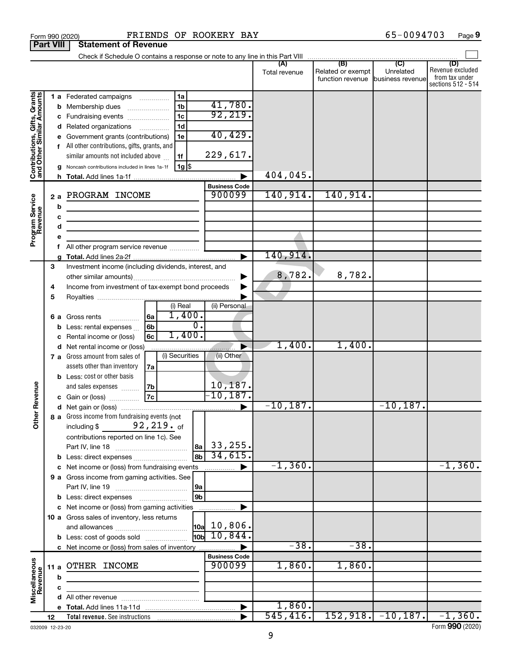|                                                           | <b>Part VIII</b>  | <b>Statement of Revenue</b>                                                                                                                                                                                                                                                                                                                                                                      |                                            |               |                                                        |            |                                                                 |
|-----------------------------------------------------------|-------------------|--------------------------------------------------------------------------------------------------------------------------------------------------------------------------------------------------------------------------------------------------------------------------------------------------------------------------------------------------------------------------------------------------|--------------------------------------------|---------------|--------------------------------------------------------|------------|-----------------------------------------------------------------|
|                                                           |                   |                                                                                                                                                                                                                                                                                                                                                                                                  |                                            |               |                                                        |            |                                                                 |
|                                                           |                   |                                                                                                                                                                                                                                                                                                                                                                                                  |                                            | Total revenue | Related or exempt<br>function revenue business revenue | Unrelated  | (D)<br>Revenue excluded<br>from tax under<br>sections 512 - 514 |
| Contributions, Gifts, Grants<br>and Other Similar Amounts | b<br>d<br>h.      | 1 a Federated campaigns<br>1a<br>1 <sub>b</sub><br>Membership dues<br>1 <sub>c</sub><br>Fundraising events<br>1 <sub>d</sub><br>Related organizations<br>$\overline{\phantom{a}}$<br>Government grants (contributions)<br>1e<br>f All other contributions, gifts, grants, and<br>similar amounts not included above<br>1f<br>$1g$ $\frac{1}{3}$<br>Noncash contributions included in lines 1a-1f | 41,780.<br>92,219.<br>40, 429.<br>229,617. | 404,045.      |                                                        |            |                                                                 |
|                                                           |                   |                                                                                                                                                                                                                                                                                                                                                                                                  | <b>Business Code</b>                       |               |                                                        |            |                                                                 |
| Program Service<br>Revenue                                | 2a<br>b<br>с<br>d | PROGRAM INCOME<br><u> 1989 - Johann Barbara, martin a bhann an t-Alban an t-Alban an t-Alban an t-Alban an t-Alban an t-Alban an t-</u><br><u> 1989 - Johann Barbara, martin a bhann an t-Alban an t-Alban an t-Alban an t-Alban an t-Alban an t-Alban an t-Alban an t-Alban an t-Alban an t-Alban an t-Alban an t-Alban an t-Alban an t-Alban an t-Alban an t-Alban an t-A</u>                  | 900099                                     | 140,914.      | 140,914.                                               |            |                                                                 |
|                                                           | е                 |                                                                                                                                                                                                                                                                                                                                                                                                  |                                            |               |                                                        |            |                                                                 |
|                                                           | f                 |                                                                                                                                                                                                                                                                                                                                                                                                  |                                            |               |                                                        |            |                                                                 |
|                                                           |                   |                                                                                                                                                                                                                                                                                                                                                                                                  |                                            | 140,914.      |                                                        |            |                                                                 |
|                                                           | 3<br>4<br>5       | Investment income (including dividends, interest, and<br>Income from investment of tax-exempt bond proceeds                                                                                                                                                                                                                                                                                      |                                            | 8,782.        | 8,782.                                                 |            |                                                                 |
|                                                           | b<br>с            | (i) Real<br>1,400.<br>6a<br>6 a Gross rents<br>.<br>$\overline{0}$ .<br>6 <sub>b</sub><br>Less: rental expenses<br>1,400.<br>6c<br>Rental income or (loss)                                                                                                                                                                                                                                       | (ii) Personal                              |               |                                                        |            |                                                                 |
|                                                           | d                 | Net rental income or (loss)                                                                                                                                                                                                                                                                                                                                                                      |                                            | 1,400.        | 1,400.                                                 |            |                                                                 |
| Revenue                                                   |                   | (i) Securities<br>7 a Gross amount from sales of<br>assets other than inventory<br>7a<br><b>b</b> Less: cost or other basis<br>7b<br>and sales expenses<br>7c<br>c Gain or (loss)                                                                                                                                                                                                                | (ii) Other<br>$\frac{10,187}{-10,187}$ .   |               |                                                        |            |                                                                 |
|                                                           |                   |                                                                                                                                                                                                                                                                                                                                                                                                  |                                            | $-10,187.$    |                                                        | $-10,187.$ |                                                                 |
| $\tilde{\vec{b}}$                                         |                   | 8 a Gross income from fundraising events (not  <br>92,219. of<br>including \$<br>contributions reported on line 1c). See<br><b>b</b> Less: direct expenses                                                                                                                                                                                                                                       | 33,255.<br> 8a  <br>34,615.                |               |                                                        |            |                                                                 |
|                                                           |                   | c Net income or (loss) from fundraising events                                                                                                                                                                                                                                                                                                                                                   |                                            | $-1,360.$     |                                                        |            | $-1,360.$                                                       |
|                                                           |                   | 9 a Gross income from gaming activities. See<br> 9a<br><b>b</b> Less: direct expenses <b>manually</b>                                                                                                                                                                                                                                                                                            | 9 <sub>b</sub>                             |               |                                                        |            |                                                                 |
|                                                           |                   | c Net income or (loss) from gaming activities                                                                                                                                                                                                                                                                                                                                                    |                                            |               |                                                        |            |                                                                 |
|                                                           |                   | 10 a Gross sales of inventory, less returns<br><b>b</b> Less: cost of goods sold                                                                                                                                                                                                                                                                                                                 | $ 10a $ 10,806.<br>10,844.<br>ld0rl        |               |                                                        |            |                                                                 |
|                                                           |                   | c Net income or (loss) from sales of inventory                                                                                                                                                                                                                                                                                                                                                   |                                            | $-38.$        | $-38.$                                                 |            |                                                                 |
| Miscellaneous<br>Revenue                                  | 11 a              | OTHER INCOME                                                                                                                                                                                                                                                                                                                                                                                     | <b>Business Code</b><br>900099             | 1,860.        | 1,860.                                                 |            |                                                                 |
|                                                           | b                 |                                                                                                                                                                                                                                                                                                                                                                                                  |                                            |               |                                                        |            |                                                                 |
|                                                           | с                 |                                                                                                                                                                                                                                                                                                                                                                                                  |                                            |               |                                                        |            |                                                                 |
|                                                           | е                 |                                                                                                                                                                                                                                                                                                                                                                                                  |                                            | 1,860.        |                                                        |            |                                                                 |
|                                                           | 12                |                                                                                                                                                                                                                                                                                                                                                                                                  |                                            | 545, 416.     |                                                        |            | $152, 918. -10, 187. -1, 360.$                                  |

Form 990 (2020) **PRIENDS OF ROOKERY BAY** 65-0094703 Page

032009 12-23-20

**9**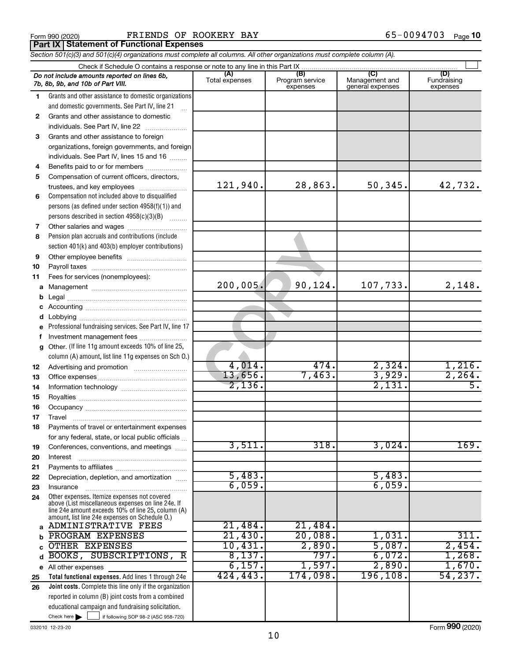|  | Form 990 (2020) |
|--|-----------------|
|  |                 |

Form 990 (2020) **PRIENDS OF ROOKERY BAY** 65-0094703 Page **Part IX Statement of Functional Expenses**

*Section 501(c)(3) and 501(c)(4) organizations must complete all columns. All other organizations must complete column (A).*

|          | Do not include amounts reported on lines 6b,<br>7b, 8b, 9b, and 10b of Part VIII.                        | (A)<br>Total expenses | (B)<br>Program service<br>expenses | lC)<br>Management and<br>general expenses | (D)<br>Fundraising<br>expenses |
|----------|----------------------------------------------------------------------------------------------------------|-----------------------|------------------------------------|-------------------------------------------|--------------------------------|
| 1.       | Grants and other assistance to domestic organizations                                                    |                       |                                    |                                           |                                |
|          | and domestic governments. See Part IV, line 21                                                           |                       |                                    |                                           |                                |
| 2        | Grants and other assistance to domestic                                                                  |                       |                                    |                                           |                                |
|          | individuals. See Part IV, line 22                                                                        |                       |                                    |                                           |                                |
| 3        | Grants and other assistance to foreign                                                                   |                       |                                    |                                           |                                |
|          | organizations, foreign governments, and foreign                                                          |                       |                                    |                                           |                                |
|          | individuals. See Part IV, lines 15 and 16                                                                |                       |                                    |                                           |                                |
| 4        | Benefits paid to or for members                                                                          |                       |                                    |                                           |                                |
| 5        | Compensation of current officers, directors,                                                             |                       |                                    |                                           |                                |
|          | trustees, and key employees                                                                              | 121,940.              | 28,863.                            | 50, 345.                                  | 42,732.                        |
| 6        | Compensation not included above to disqualified                                                          |                       |                                    |                                           |                                |
|          | persons (as defined under section $4958(f)(1)$ ) and                                                     |                       |                                    |                                           |                                |
|          | persons described in section 4958(c)(3)(B)                                                               |                       |                                    |                                           |                                |
| 7        |                                                                                                          |                       |                                    |                                           |                                |
| 8        | Pension plan accruals and contributions (include                                                         |                       |                                    |                                           |                                |
|          | section 401(k) and 403(b) employer contributions)                                                        |                       |                                    |                                           |                                |
| 9        |                                                                                                          |                       |                                    |                                           |                                |
| 10       |                                                                                                          |                       |                                    |                                           |                                |
| 11       | Fees for services (nonemployees):                                                                        |                       |                                    |                                           |                                |
|          |                                                                                                          | 200,005.              | 90,124.                            | 107,733.                                  | 2,148.                         |
| b        |                                                                                                          |                       |                                    |                                           |                                |
|          |                                                                                                          |                       |                                    |                                           |                                |
| d        |                                                                                                          |                       |                                    |                                           |                                |
| e        | Professional fundraising services. See Part IV, line 17                                                  |                       |                                    |                                           |                                |
| f        | Investment management fees                                                                               |                       |                                    |                                           |                                |
| g        | Other. (If line 11g amount exceeds 10% of line 25,                                                       |                       |                                    |                                           |                                |
|          | column (A) amount, list line 11g expenses on Sch 0.)                                                     | 4,014.                | 474.                               | 2,324.                                    | 1,216.                         |
| 12       |                                                                                                          | 13,656.               | 7,463.                             | 3,929.                                    | 2, 264.                        |
| 13<br>14 |                                                                                                          | 2,136.                |                                    | 2,131.                                    | $\overline{5}$ .               |
| 15       |                                                                                                          |                       |                                    |                                           |                                |
| 16       |                                                                                                          |                       |                                    |                                           |                                |
| 17       | Travel                                                                                                   |                       |                                    |                                           |                                |
| 18       | Payments of travel or entertainment expenses                                                             |                       |                                    |                                           |                                |
|          | for any federal, state, or local public officials                                                        |                       |                                    |                                           |                                |
| 19       | Conferences, conventions, and meetings                                                                   | 3,511                 | 318.                               | 3,024.                                    | 169.                           |
| 20       | Interest                                                                                                 |                       |                                    |                                           |                                |
| 21       |                                                                                                          |                       |                                    |                                           |                                |
| 22       | Depreciation, depletion, and amortization                                                                | 5,483.                |                                    | 5,483.                                    |                                |
| 23       | Insurance                                                                                                | 6,059.                |                                    | 6,059.                                    |                                |
| 24       | Other expenses. Itemize expenses not covered                                                             |                       |                                    |                                           |                                |
|          | above (List miscellaneous expenses on line 24e. If<br>line 24e amount exceeds 10% of line 25, column (A) |                       |                                    |                                           |                                |
|          | amount, list line 24e expenses on Schedule 0.)                                                           |                       |                                    |                                           |                                |
|          | a ADMINISTRATIVE FEES                                                                                    | 21,484.               | 21,484.                            |                                           |                                |
| b        | PROGRAM EXPENSES                                                                                         | 21,430.               | 20,088.                            | 1,031.                                    | 311.                           |
| C        | OTHER EXPENSES                                                                                           | 10,431.               | 2,890.                             | 5,087.                                    | 2,454.                         |
| d        | BOOKS, SUBSCRIPTIONS,<br>R                                                                               | 8,137.                | 797.                               | 6,072.                                    | 1,268.                         |
|          | e All other expenses                                                                                     | 6,157.                | 1,597.                             | 2,890.                                    | 1,670.                         |
| 25       | Total functional expenses. Add lines 1 through 24e                                                       | 424,443.              | 174,098.                           | 196, 108.                                 | 54, 237.                       |
| 26       | Joint costs. Complete this line only if the organization                                                 |                       |                                    |                                           |                                |
|          | reported in column (B) joint costs from a combined                                                       |                       |                                    |                                           |                                |
|          | educational campaign and fundraising solicitation.                                                       |                       |                                    |                                           |                                |
|          | Check here $\blacktriangleright$<br>if following SOP 98-2 (ASC 958-720)                                  |                       |                                    |                                           |                                |

032010 12-23-20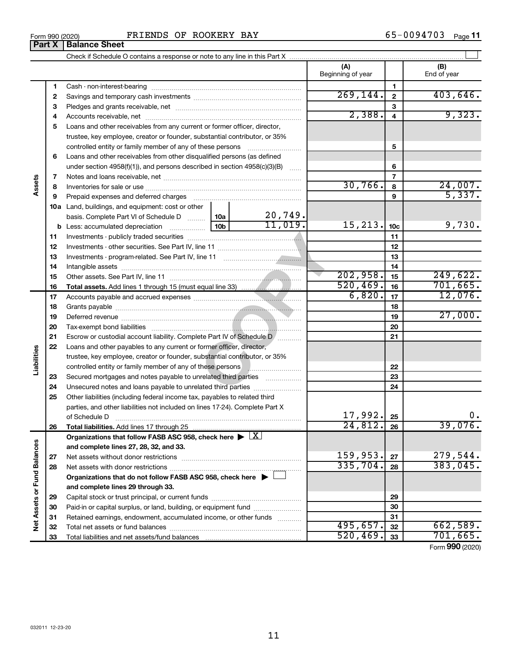### Form 990 (2020) FRIENDS OF ROOKERY BAY Form 990 (2020) Page

65-0094703 Page 11

 $\perp$ 

| Check if Schedule O contains a response or note to any line in this Part X ……………………………………………………………… |                   |  |             |  |  |  |  |
|-----------------------------------------------------------------------------------------------------|-------------------|--|-------------|--|--|--|--|
|                                                                                                     | Beginning of year |  | End of year |  |  |  |  |
| Cash - non-interest-bearing                                                                         |                   |  |             |  |  |  |  |
| Savings and temporary cash investments                                                              |                   |  |             |  |  |  |  |

|                        | 1  |                                                                                                                                       |           | 1               |          |
|------------------------|----|---------------------------------------------------------------------------------------------------------------------------------------|-----------|-----------------|----------|
|                        | 2  |                                                                                                                                       | 269, 144. | $\mathbf{2}$    | 403,646. |
|                        | 3  |                                                                                                                                       |           | 3               |          |
|                        | 4  |                                                                                                                                       | 2,388.    | 4               | 9,323.   |
|                        | 5  | Loans and other receivables from any current or former officer, director,                                                             |           |                 |          |
|                        |    | trustee, key employee, creator or founder, substantial contributor, or 35%                                                            |           |                 |          |
|                        |    | controlled entity or family member of any of these persons                                                                            |           | 5               |          |
|                        | 6  | Loans and other receivables from other disqualified persons (as defined                                                               |           |                 |          |
|                        |    | under section $4958(f)(1)$ , and persons described in section $4958(c)(3)(B)$<br><b>Barbara</b>                                       |           | 6               |          |
|                        | 7  |                                                                                                                                       |           | $\overline{7}$  |          |
| Assets                 | 8  |                                                                                                                                       | 30,766.   | 8               | 24,007.  |
|                        | 9  | Prepaid expenses and deferred charges                                                                                                 |           | 9               | 5,337.   |
|                        |    | <b>10a</b> Land, buildings, and equipment: cost or other                                                                              |           |                 |          |
|                        |    | 20,749.<br>10a  <br>basis. Complete Part VI of Schedule D                                                                             |           |                 |          |
|                        | b  | 11,019.<br>10 <sub>b</sub><br>Less: accumulated depreciation                                                                          | 15, 213.  | 10 <sub>c</sub> | 9,730.   |
|                        | 11 |                                                                                                                                       |           | 11              |          |
|                        | 12 |                                                                                                                                       |           | 12              |          |
|                        | 13 |                                                                                                                                       |           | 13              |          |
|                        | 14 |                                                                                                                                       |           | 14              |          |
|                        | 15 |                                                                                                                                       | 202,958.  | 15              | 249,622. |
|                        | 16 |                                                                                                                                       | 520, 469. | 16              | 701,665. |
|                        | 17 |                                                                                                                                       | 6,820.    | 17              | 12,076.  |
|                        | 18 |                                                                                                                                       |           | 18              |          |
|                        | 19 |                                                                                                                                       |           | 19              | 27,000.  |
|                        | 20 |                                                                                                                                       |           | 20              |          |
|                        | 21 | Escrow or custodial account liability. Complete Part IV of Schedule D /                                                               |           | 21              |          |
|                        | 22 | Loans and other payables to any current or former officer, director,                                                                  |           |                 |          |
| Liabilities            |    | trustee, key employee, creator or founder, substantial contributor, or 35%                                                            |           |                 |          |
|                        |    | controlled entity or family member of any of these persons <b>with any controlled</b> entity or family member of any of these persons |           | 22              |          |
|                        | 23 | Secured mortgages and notes payable to unrelated third parties                                                                        |           | 23              |          |
|                        | 24 | Unsecured notes and loans payable to unrelated third parties                                                                          |           | 24              |          |
|                        | 25 | Other liabilities (including federal income tax, payables to related third                                                            |           |                 |          |
|                        |    | parties, and other liabilities not included on lines 17-24). Complete Part X                                                          |           |                 |          |
|                        |    | of Schedule D                                                                                                                         | 17,992.   | 25              | 0.       |
|                        | 26 |                                                                                                                                       | 24,812.   | 26              | 39,076.  |
|                        |    | Organizations that follow FASB ASC 958, check here $\blacktriangleright \lfloor \underline{X} \rfloor$                                |           |                 |          |
| ances                  |    | and complete lines 27, 28, 32, and 33.                                                                                                |           |                 |          |
|                        | 27 |                                                                                                                                       | 159,953.  | 27              | 279,544  |
|                        | 28 |                                                                                                                                       | 335,704.  | 28              | 383,045. |
|                        |    | Organizations that do not follow FASB ASC 958, check here $\blacktriangleright$                                                       |           |                 |          |
|                        |    | and complete lines 29 through 33.                                                                                                     |           |                 |          |
| Net Assets or Fund Bal | 29 |                                                                                                                                       |           | 29              |          |
|                        | 30 | Paid-in or capital surplus, or land, building, or equipment fund                                                                      |           | 30              |          |
|                        | 31 | Retained earnings, endowment, accumulated income, or other funds                                                                      |           | 31              |          |
|                        | 32 |                                                                                                                                       | 495,657.  | 32              | 662,589. |
|                        | 33 |                                                                                                                                       | 520, 469. | 33              | 701,665. |

Form (2020) **990**

| Form 990 (2020) |                               |
|-----------------|-------------------------------|
|                 | <b>Part X   Balance Sheet</b> |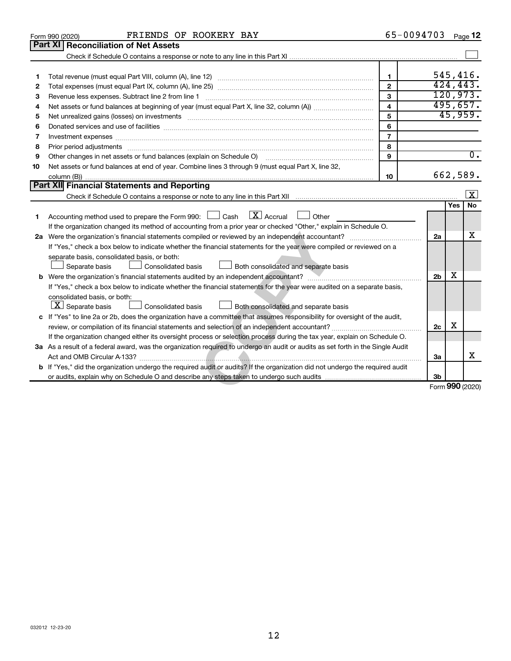|    | FRIENDS OF ROOKERY BAY<br>Form 990 (2020)                                                                                                                                                                                     |                         | 65-0094703     |            | Page 12                 |
|----|-------------------------------------------------------------------------------------------------------------------------------------------------------------------------------------------------------------------------------|-------------------------|----------------|------------|-------------------------|
|    | Part XI Reconciliation of Net Assets                                                                                                                                                                                          |                         |                |            |                         |
|    |                                                                                                                                                                                                                               |                         |                |            |                         |
|    |                                                                                                                                                                                                                               |                         |                |            |                         |
| 1  |                                                                                                                                                                                                                               | 1                       |                |            | 545,416.                |
| 2  |                                                                                                                                                                                                                               | $\mathbf{2}$            |                |            | 424, 443.               |
| 3  | Revenue less expenses. Subtract line 2 from line 1                                                                                                                                                                            | 3                       |                |            | 120,973.                |
| 4  |                                                                                                                                                                                                                               | $\overline{\mathbf{4}}$ |                |            | 495,657.                |
| 5  | Net unrealized gains (losses) on investments [11] matter in the content of the state of the state of the state of the state of the state of the state of the state of the state of the state of the state of the state of the | 5                       |                |            | 45,959.                 |
| 6  |                                                                                                                                                                                                                               | 6                       |                |            |                         |
| 7  | Investment expenses www.communication.com/www.communication.com/www.communication.com/www.com                                                                                                                                 | $\overline{7}$          |                |            |                         |
| 8  | Prior period adjustments www.communication.communication.communication.com                                                                                                                                                    | 8                       |                |            |                         |
| 9  | Other changes in net assets or fund balances (explain on Schedule O)                                                                                                                                                          | 9                       |                |            | $\overline{0}$ .        |
| 10 | Net assets or fund balances at end of year. Combine lines 3 through 9 (must equal Part X, line 32,                                                                                                                            |                         |                |            |                         |
|    |                                                                                                                                                                                                                               | 10                      |                |            | 662,589.                |
|    | Part XII Financial Statements and Reporting                                                                                                                                                                                   |                         |                |            |                         |
|    |                                                                                                                                                                                                                               |                         |                |            | $\overline{\mathbf{x}}$ |
|    |                                                                                                                                                                                                                               |                         |                | <b>Yes</b> | No                      |
| 1  | $\boxed{\text{X}}$ Accrual<br>Accounting method used to prepare the Form 990: $\Box$ Cash<br>Other                                                                                                                            |                         |                |            |                         |
|    | If the organization changed its method of accounting from a prior year or checked "Other," explain in Schedule O.                                                                                                             |                         |                |            |                         |
|    |                                                                                                                                                                                                                               |                         | 2a             |            | х                       |
|    | If "Yes," check a box below to indicate whether the financial statements for the year were compiled or reviewed on a                                                                                                          |                         |                |            |                         |
|    | separate basis, consolidated basis, or both:                                                                                                                                                                                  |                         |                |            |                         |
|    | Separate basis<br><b>Consolidated basis</b><br>Both consolidated and separate basis                                                                                                                                           |                         |                |            |                         |
|    |                                                                                                                                                                                                                               |                         | 2 <sub>b</sub> | x          |                         |
|    | If "Yes," check a box below to indicate whether the financial statements for the year were audited on a separate basis,                                                                                                       |                         |                |            |                         |
|    | consolidated basis, or both:                                                                                                                                                                                                  |                         |                |            |                         |
|    | $\boxed{\textbf{X}}$ Separate basis<br>Consolidated basis<br>Both consolidated and separate basis                                                                                                                             |                         |                |            |                         |
|    | c If "Yes" to line 2a or 2b, does the organization have a committee that assumes responsibility for oversight of the audit,                                                                                                   |                         |                |            |                         |
|    |                                                                                                                                                                                                                               |                         | 2c             | х          |                         |
|    | If the organization changed either its oversight process or selection process during the tax year, explain on Schedule O.                                                                                                     |                         |                |            |                         |
|    | 3a As a result of a federal award, was the organization required to undergo an audit or audits as set forth in the Single Audit                                                                                               |                         |                |            |                         |
|    |                                                                                                                                                                                                                               |                         | 3a             |            | X                       |
|    | b If "Yes," did the organization undergo the required audit or audits? If the organization did not undergo the required audit                                                                                                 |                         |                |            |                         |
|    |                                                                                                                                                                                                                               |                         | 3 <sub>b</sub> |            |                         |
|    |                                                                                                                                                                                                                               |                         |                |            | Form 990 (2020)         |
|    |                                                                                                                                                                                                                               |                         |                |            |                         |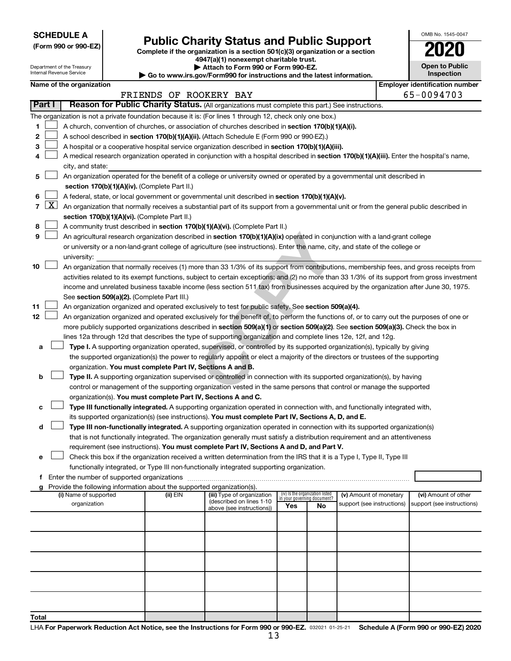**SCHEDULE A**

Department of the Treasury Internal Revenue Service

| (Form 990 or 990-EZ) |  |  |  |  |
|----------------------|--|--|--|--|
|----------------------|--|--|--|--|

# Form 990 or 990-EZ) **Public Charity Status and Public Support**<br>
Complete if the organization is a section 501(c)(3) organization or a section<br> **2020**

**4947(a)(1) nonexempt charitable trust.**

| Attach to Form 990 or Form 990-EZ.                                       |
|--------------------------------------------------------------------------|
| ► Go to www.irs.gov/Form990 for instructions and the latest information. |

| <b>Open to Public</b><br>Inspection |
|-------------------------------------|
|                                     |

OMB No. 1545-0047

|  | Name of the organization |
|--|--------------------------|
|  |                          |

| Name of the organization<br>FRIENDS OF ROOKERY BAY |        |                                                                                                                                                                                                                                                 |          |                            |                                 | <b>Employer identification number</b><br>65-0094703 |                                                      |  |                                                    |
|----------------------------------------------------|--------|-------------------------------------------------------------------------------------------------------------------------------------------------------------------------------------------------------------------------------------------------|----------|----------------------------|---------------------------------|-----------------------------------------------------|------------------------------------------------------|--|----------------------------------------------------|
|                                                    | Part I | Reason for Public Charity Status. (All organizations must complete this part.) See instructions.                                                                                                                                                |          |                            |                                 |                                                     |                                                      |  |                                                    |
|                                                    |        |                                                                                                                                                                                                                                                 |          |                            |                                 |                                                     |                                                      |  |                                                    |
| 1.                                                 |        | The organization is not a private foundation because it is: (For lines 1 through 12, check only one box.)                                                                                                                                       |          |                            |                                 |                                                     |                                                      |  |                                                    |
| 2                                                  |        | A church, convention of churches, or association of churches described in section 170(b)(1)(A)(i).<br>A school described in section 170(b)(1)(A)(ii). (Attach Schedule E (Form 990 or 990-EZ).)                                                 |          |                            |                                 |                                                     |                                                      |  |                                                    |
| з                                                  |        |                                                                                                                                                                                                                                                 |          |                            |                                 |                                                     |                                                      |  |                                                    |
| 4                                                  |        | A hospital or a cooperative hospital service organization described in section 170(b)(1)(A)(iii).<br>A medical research organization operated in conjunction with a hospital described in section 170(b)(1)(A)(iii). Enter the hospital's name, |          |                            |                                 |                                                     |                                                      |  |                                                    |
|                                                    |        | city, and state:                                                                                                                                                                                                                                |          |                            |                                 |                                                     |                                                      |  |                                                    |
| 5.                                                 |        | An organization operated for the benefit of a college or university owned or operated by a governmental unit described in                                                                                                                       |          |                            |                                 |                                                     |                                                      |  |                                                    |
|                                                    |        | section 170(b)(1)(A)(iv). (Complete Part II.)                                                                                                                                                                                                   |          |                            |                                 |                                                     |                                                      |  |                                                    |
| 6.                                                 |        | A federal, state, or local government or governmental unit described in section 170(b)(1)(A)(v).                                                                                                                                                |          |                            |                                 |                                                     |                                                      |  |                                                    |
|                                                    |        | 7 $ X $ An organization that normally receives a substantial part of its support from a governmental unit or from the general public described in                                                                                               |          |                            |                                 |                                                     |                                                      |  |                                                    |
|                                                    |        | section 170(b)(1)(A)(vi). (Complete Part II.)                                                                                                                                                                                                   |          |                            |                                 |                                                     |                                                      |  |                                                    |
| 8                                                  |        | A community trust described in section 170(b)(1)(A)(vi). (Complete Part II.)                                                                                                                                                                    |          |                            |                                 |                                                     |                                                      |  |                                                    |
| 9                                                  |        | An agricultural research organization described in section 170(b)(1)(A)(ix) operated in conjunction with a land-grant college                                                                                                                   |          |                            |                                 |                                                     |                                                      |  |                                                    |
|                                                    |        | or university or a non-land-grant college of agriculture (see instructions). Enter the name, city, and state of the college or                                                                                                                  |          |                            |                                 |                                                     |                                                      |  |                                                    |
|                                                    |        | university:                                                                                                                                                                                                                                     |          |                            |                                 |                                                     |                                                      |  |                                                    |
| 10                                                 |        | An organization that normally receives (1) more than 33 1/3% of its support from contributions, membership fees, and gross receipts from                                                                                                        |          |                            |                                 |                                                     |                                                      |  |                                                    |
|                                                    |        | activities related to its exempt functions, subject to certain exceptions; and (2) no more than 33 1/3% of its support from gross investment                                                                                                    |          |                            |                                 |                                                     |                                                      |  |                                                    |
|                                                    |        | income and unrelated business taxable income (less section 511 tax) from businesses acquired by the organization after June 30, 1975.                                                                                                           |          |                            |                                 |                                                     |                                                      |  |                                                    |
|                                                    |        | See section 509(a)(2). (Complete Part III.)                                                                                                                                                                                                     |          |                            |                                 |                                                     |                                                      |  |                                                    |
| 11                                                 |        | An organization organized and operated exclusively to test for public safety. See section 509(a)(4).                                                                                                                                            |          |                            |                                 |                                                     |                                                      |  |                                                    |
| 12                                                 |        | An organization organized and operated exclusively for the benefit of, to perform the functions of, or to carry out the purposes of one or                                                                                                      |          |                            |                                 |                                                     |                                                      |  |                                                    |
|                                                    |        | more publicly supported organizations described in section 509(a)(1) or section 509(a)(2). See section 509(a)(3). Check the box in                                                                                                              |          |                            |                                 |                                                     |                                                      |  |                                                    |
|                                                    |        | lines 12a through 12d that describes the type of supporting organization and complete lines 12e, 12f, and 12g.                                                                                                                                  |          |                            |                                 |                                                     |                                                      |  |                                                    |
| а                                                  |        | Type I. A supporting organization operated, supervised, or controlled by its supported organization(s), typically by giving                                                                                                                     |          |                            |                                 |                                                     |                                                      |  |                                                    |
|                                                    |        | the supported organization(s) the power to regularly appoint or elect a majority of the directors or trustees of the supporting                                                                                                                 |          |                            |                                 |                                                     |                                                      |  |                                                    |
|                                                    |        | organization. You must complete Part IV, Sections A and B.                                                                                                                                                                                      |          |                            |                                 |                                                     |                                                      |  |                                                    |
| b                                                  |        | Type II. A supporting organization supervised or controlled in connection with its supported organization(s), by having                                                                                                                         |          |                            |                                 |                                                     |                                                      |  |                                                    |
|                                                    |        | control or management of the supporting organization vested in the same persons that control or manage the supported                                                                                                                            |          |                            |                                 |                                                     |                                                      |  |                                                    |
|                                                    |        | organization(s). You must complete Part IV, Sections A and C.                                                                                                                                                                                   |          |                            |                                 |                                                     |                                                      |  |                                                    |
| с                                                  |        | Type III functionally integrated. A supporting organization operated in connection with, and functionally integrated with,                                                                                                                      |          |                            |                                 |                                                     |                                                      |  |                                                    |
|                                                    |        | its supported organization(s) (see instructions). You must complete Part IV, Sections A, D, and E.                                                                                                                                              |          |                            |                                 |                                                     |                                                      |  |                                                    |
| d                                                  |        | Type III non-functionally integrated. A supporting organization operated in connection with its supported organization(s)                                                                                                                       |          |                            |                                 |                                                     |                                                      |  |                                                    |
|                                                    |        | that is not functionally integrated. The organization generally must satisfy a distribution requirement and an attentiveness                                                                                                                    |          |                            |                                 |                                                     |                                                      |  |                                                    |
|                                                    |        | requirement (see instructions). You must complete Part IV, Sections A and D, and Part V.                                                                                                                                                        |          |                            |                                 |                                                     |                                                      |  |                                                    |
|                                                    |        | Check this box if the organization received a written determination from the IRS that it is a Type I, Type II, Type III                                                                                                                         |          |                            |                                 |                                                     |                                                      |  |                                                    |
|                                                    |        | functionally integrated, or Type III non-functionally integrated supporting organization.                                                                                                                                                       |          |                            |                                 |                                                     |                                                      |  |                                                    |
|                                                    |        | f Enter the number of supported organizations                                                                                                                                                                                                   |          |                            |                                 |                                                     |                                                      |  |                                                    |
|                                                    |        | g Provide the following information about the supported organization(s).                                                                                                                                                                        | (ii) EIN | (iii) Type of organization | (iv) Is the organization listed |                                                     |                                                      |  |                                                    |
|                                                    |        | (i) Name of supported<br>organization                                                                                                                                                                                                           |          | (described on lines 1-10   | in your governing document?     |                                                     | (v) Amount of monetary<br>support (see instructions) |  | (vi) Amount of other<br>support (see instructions) |
|                                                    |        |                                                                                                                                                                                                                                                 |          | above (see instructions))  | Yes                             | No                                                  |                                                      |  |                                                    |
|                                                    |        |                                                                                                                                                                                                                                                 |          |                            |                                 |                                                     |                                                      |  |                                                    |
|                                                    |        |                                                                                                                                                                                                                                                 |          |                            |                                 |                                                     |                                                      |  |                                                    |
|                                                    |        |                                                                                                                                                                                                                                                 |          |                            |                                 |                                                     |                                                      |  |                                                    |
|                                                    |        |                                                                                                                                                                                                                                                 |          |                            |                                 |                                                     |                                                      |  |                                                    |
|                                                    |        |                                                                                                                                                                                                                                                 |          |                            |                                 |                                                     |                                                      |  |                                                    |
|                                                    |        |                                                                                                                                                                                                                                                 |          |                            |                                 |                                                     |                                                      |  |                                                    |
|                                                    |        |                                                                                                                                                                                                                                                 |          |                            |                                 |                                                     |                                                      |  |                                                    |
|                                                    |        |                                                                                                                                                                                                                                                 |          |                            |                                 |                                                     |                                                      |  |                                                    |
|                                                    |        |                                                                                                                                                                                                                                                 |          |                            |                                 |                                                     |                                                      |  |                                                    |
| Total                                              |        |                                                                                                                                                                                                                                                 |          |                            |                                 |                                                     |                                                      |  |                                                    |
|                                                    |        |                                                                                                                                                                                                                                                 |          |                            |                                 |                                                     |                                                      |  |                                                    |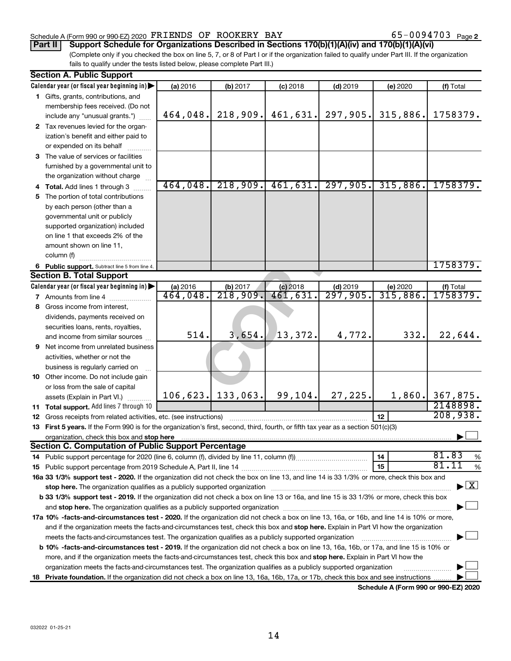### Schedule A (Form 990 or 990-EZ) 2020  $\texttt{FRIENDS}$  OF ROOKERY BAY 65-0094703 Page

## **Part II Support Schedule for Organizations Described in Sections 170(b)(1)(A)(iv) and 170(b)(1)(A)(vi)**

(Complete only if you checked the box on line 5, 7, or 8 of Part I or if the organization failed to qualify under Part III. If the organization fails to qualify under the tests listed below, please complete Part III.)

|    | <b>Section A. Public Support</b>                                                                                                           |          |                      |            |            |          |                                          |
|----|--------------------------------------------------------------------------------------------------------------------------------------------|----------|----------------------|------------|------------|----------|------------------------------------------|
|    | Calendar year (or fiscal year beginning in)                                                                                                | (a) 2016 | (b) 2017             | $(c)$ 2018 | $(d)$ 2019 | (e) 2020 | (f) Total                                |
|    | 1 Gifts, grants, contributions, and                                                                                                        |          |                      |            |            |          |                                          |
|    | membership fees received. (Do not                                                                                                          |          |                      |            |            |          |                                          |
|    | include any "unusual grants.")                                                                                                             | 464,048. | 218,909.             | 461,631.   | 297,905.   | 315,886. | 1758379.                                 |
|    | 2 Tax revenues levied for the organ-                                                                                                       |          |                      |            |            |          |                                          |
|    | ization's benefit and either paid to                                                                                                       |          |                      |            |            |          |                                          |
|    | or expended on its behalf                                                                                                                  |          |                      |            |            |          |                                          |
|    | 3 The value of services or facilities                                                                                                      |          |                      |            |            |          |                                          |
|    | furnished by a governmental unit to                                                                                                        |          |                      |            |            |          |                                          |
|    | the organization without charge                                                                                                            |          |                      |            |            |          |                                          |
|    |                                                                                                                                            | 464,048. | 218,909.             | 461,631.   | 297,905.   | 315,886. | 1758379.                                 |
|    | 4 Total. Add lines 1 through 3                                                                                                             |          |                      |            |            |          |                                          |
|    | 5 The portion of total contributions                                                                                                       |          |                      |            |            |          |                                          |
|    | by each person (other than a                                                                                                               |          |                      |            |            |          |                                          |
|    | governmental unit or publicly                                                                                                              |          |                      |            |            |          |                                          |
|    | supported organization) included                                                                                                           |          |                      |            |            |          |                                          |
|    | on line 1 that exceeds 2% of the                                                                                                           |          |                      |            |            |          |                                          |
|    | amount shown on line 11,                                                                                                                   |          |                      |            |            |          |                                          |
|    | column (f)                                                                                                                                 |          |                      |            |            |          |                                          |
|    | 6 Public support. Subtract line 5 from line 4.                                                                                             |          |                      |            |            |          | 1758379.                                 |
|    | <b>Section B. Total Support</b>                                                                                                            |          |                      |            |            |          |                                          |
|    | Calendar year (or fiscal year beginning in)                                                                                                | (a) 2016 | (b) 2017             | $(c)$ 2018 | $(d)$ 2019 | (e) 2020 | (f) Total                                |
|    | <b>7</b> Amounts from line 4                                                                                                               | 464,048. | $\overline{218,909}$ | 461,631.   | 297,905.   | 315,886. | 1758379.                                 |
|    | 8 Gross income from interest,                                                                                                              |          |                      |            |            |          |                                          |
|    | dividends, payments received on                                                                                                            |          |                      |            |            |          |                                          |
|    | securities loans, rents, royalties,                                                                                                        |          |                      |            |            |          |                                          |
|    | and income from similar sources                                                                                                            | 514.     | 3,654.               | 13,372.    | 4,772.     | 332.     | 22,644.                                  |
|    | 9 Net income from unrelated business                                                                                                       |          |                      |            |            |          |                                          |
|    | activities, whether or not the                                                                                                             |          |                      |            |            |          |                                          |
|    | business is regularly carried on                                                                                                           |          |                      |            |            |          |                                          |
|    | 10 Other income. Do not include gain                                                                                                       |          |                      |            |            |          |                                          |
|    | or loss from the sale of capital                                                                                                           |          |                      |            |            |          |                                          |
|    | assets (Explain in Part VI.)                                                                                                               |          | $106, 623.$ 133,063. | 99,104.    | 27,225.    |          | $1,860$ . 367,875.                       |
|    | 11 Total support. Add lines 7 through 10                                                                                                   |          |                      |            |            |          | 2148898.                                 |
|    | <b>12</b> Gross receipts from related activities, etc. (see instructions)                                                                  |          |                      |            |            | 12       | 208,938.                                 |
|    | 13 First 5 years. If the Form 990 is for the organization's first, second, third, fourth, or fifth tax year as a section 501(c)(3)         |          |                      |            |            |          |                                          |
|    | organization, check this box and stop here                                                                                                 |          |                      |            |            |          |                                          |
|    | <b>Section C. Computation of Public Support Percentage</b>                                                                                 |          |                      |            |            |          |                                          |
|    |                                                                                                                                            |          |                      |            |            | 14       | 81.83<br>%                               |
|    |                                                                                                                                            |          |                      |            |            | 15       | 81.11<br>$\%$                            |
|    | 16a 33 1/3% support test - 2020. If the organization did not check the box on line 13, and line 14 is 33 1/3% or more, check this box and  |          |                      |            |            |          |                                          |
|    | stop here. The organization qualifies as a publicly supported organization                                                                 |          |                      |            |            |          | $\blacktriangleright$ $\boxed{\text{X}}$ |
|    | b 33 1/3% support test - 2019. If the organization did not check a box on line 13 or 16a, and line 15 is 33 1/3% or more, check this box   |          |                      |            |            |          |                                          |
|    |                                                                                                                                            |          |                      |            |            |          |                                          |
|    | 17a 10% -facts-and-circumstances test - 2020. If the organization did not check a box on line 13, 16a, or 16b, and line 14 is 10% or more, |          |                      |            |            |          |                                          |
|    | and if the organization meets the facts-and-circumstances test, check this box and stop here. Explain in Part VI how the organization      |          |                      |            |            |          |                                          |
|    |                                                                                                                                            |          |                      |            |            |          |                                          |
|    | meets the facts-and-circumstances test. The organization qualifies as a publicly supported organization                                    |          |                      |            |            |          |                                          |
|    | b 10% -facts-and-circumstances test - 2019. If the organization did not check a box on line 13, 16a, 16b, or 17a, and line 15 is 10% or    |          |                      |            |            |          |                                          |
|    | more, and if the organization meets the facts-and-circumstances test, check this box and stop here. Explain in Part VI how the             |          |                      |            |            |          |                                          |
|    | organization meets the facts-and-circumstances test. The organization qualifies as a publicly supported organization                       |          |                      |            |            |          |                                          |
| 18 | Private foundation. If the organization did not check a box on line 13, 16a, 16b, 17a, or 17b, check this box and see instructions         |          |                      |            |            |          |                                          |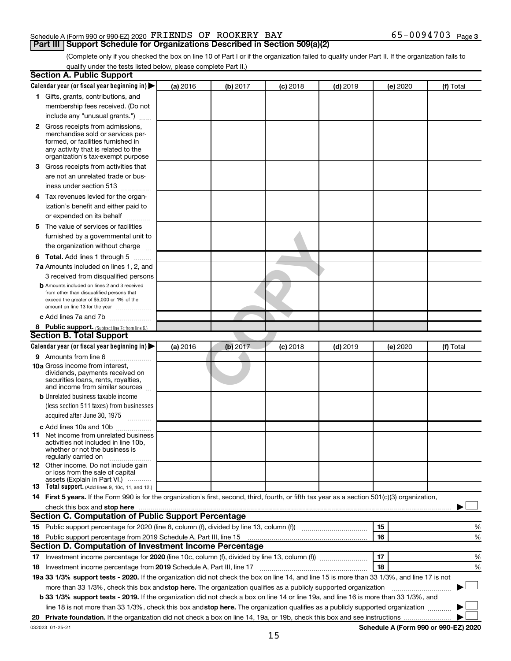### Schedule A (Form 990 or 990-EZ) 2020  $\texttt{FRIENDS}$  OF ROOKERY BAY 65-0094703 Page

**Part III Support Schedule for Organizations Described in Section 509(a)(2)** 

(Complete only if you checked the box on line 10 of Part I or if the organization failed to qualify under Part II. If the organization fails to qualify under the tests listed below, please complete Part II.)

|   | <b>Section A. Public Support</b>                                                                                                                                                                                              |          |          |            |            |          |                                      |
|---|-------------------------------------------------------------------------------------------------------------------------------------------------------------------------------------------------------------------------------|----------|----------|------------|------------|----------|--------------------------------------|
|   | Calendar year (or fiscal year beginning in)                                                                                                                                                                                   | (a) 2016 | (b) 2017 | $(c)$ 2018 | $(d)$ 2019 | (e) 2020 | (f) Total                            |
|   | 1 Gifts, grants, contributions, and                                                                                                                                                                                           |          |          |            |            |          |                                      |
|   | membership fees received. (Do not                                                                                                                                                                                             |          |          |            |            |          |                                      |
|   | include any "unusual grants.")                                                                                                                                                                                                |          |          |            |            |          |                                      |
|   | <b>2</b> Gross receipts from admissions,<br>merchandise sold or services per-<br>formed, or facilities furnished in<br>any activity that is related to the<br>organization's tax-exempt purpose                               |          |          |            |            |          |                                      |
|   | 3 Gross receipts from activities that                                                                                                                                                                                         |          |          |            |            |          |                                      |
|   | are not an unrelated trade or bus-<br>iness under section 513                                                                                                                                                                 |          |          |            |            |          |                                      |
| 4 | Tax revenues levied for the organ-                                                                                                                                                                                            |          |          |            |            |          |                                      |
|   | ization's benefit and either paid to                                                                                                                                                                                          |          |          |            |            |          |                                      |
|   | or expended on its behalf                                                                                                                                                                                                     |          |          |            |            |          |                                      |
|   | 5 The value of services or facilities                                                                                                                                                                                         |          |          |            |            |          |                                      |
|   | furnished by a governmental unit to                                                                                                                                                                                           |          |          |            |            |          |                                      |
|   | the organization without charge                                                                                                                                                                                               |          |          |            |            |          |                                      |
|   | <b>6 Total.</b> Add lines 1 through 5                                                                                                                                                                                         |          |          |            |            |          |                                      |
|   | 7a Amounts included on lines 1, 2, and                                                                                                                                                                                        |          |          |            |            |          |                                      |
|   | 3 received from disqualified persons                                                                                                                                                                                          |          |          |            |            |          |                                      |
|   | <b>b</b> Amounts included on lines 2 and 3 received<br>from other than disqualified persons that<br>exceed the greater of \$5,000 or 1% of the<br>amount on line 13 for the year                                              |          |          |            |            |          |                                      |
|   | c Add lines 7a and 7b                                                                                                                                                                                                         |          |          |            |            |          |                                      |
|   | 8 Public support. (Subtract line 7c from line 6.)                                                                                                                                                                             |          |          |            |            |          |                                      |
|   | <b>Section B. Total Support</b>                                                                                                                                                                                               |          |          |            |            |          |                                      |
|   | Calendar year (or fiscal year beginning in) $\blacktriangleright$                                                                                                                                                             | (a) 2016 | (b) 2017 | $(c)$ 2018 | $(d)$ 2019 | (e) 2020 | (f) Total                            |
|   | <b>9</b> Amounts from line 6                                                                                                                                                                                                  |          |          |            |            |          |                                      |
|   | <b>10a</b> Gross income from interest,<br>dividends, payments received on<br>securities loans, rents, royalties,<br>and income from similar sources                                                                           |          |          |            |            |          |                                      |
|   | <b>b</b> Unrelated business taxable income                                                                                                                                                                                    |          |          |            |            |          |                                      |
|   | (less section 511 taxes) from businesses<br>acquired after June 30, 1975<br>1.1.1.1.1.1.1.1.1                                                                                                                                 |          |          |            |            |          |                                      |
|   | c Add lines 10a and 10b                                                                                                                                                                                                       |          |          |            |            |          |                                      |
|   | <b>11</b> Net income from unrelated business<br>activities not included in line 10b.<br>whether or not the business is<br>regularly carried on                                                                                |          |          |            |            |          |                                      |
|   | <b>12</b> Other income. Do not include gain<br>or loss from the sale of capital<br>assets (Explain in Part VI.)                                                                                                               |          |          |            |            |          |                                      |
|   | <b>13</b> Total support. (Add lines 9, 10c, 11, and 12.)                                                                                                                                                                      |          |          |            |            |          |                                      |
|   | 14 First 5 years. If the Form 990 is for the organization's first, second, third, fourth, or fifth tax year as a section 501(c)(3) organization,                                                                              |          |          |            |            |          |                                      |
|   | check this box and stop here manufactured and stop here and stop here are manufactured and stop here and stop here and stop here and stop here and stop here and stop here and stop here and stop here and stop here and stop |          |          |            |            |          |                                      |
|   | Section C. Computation of Public Support Percentage                                                                                                                                                                           |          |          |            |            |          |                                      |
|   |                                                                                                                                                                                                                               |          |          |            |            | 15       | %                                    |
|   | 16 Public support percentage from 2019 Schedule A, Part III, line 15                                                                                                                                                          |          |          |            |            | 16       | %                                    |
|   | Section D. Computation of Investment Income Percentage                                                                                                                                                                        |          |          |            |            |          |                                      |
|   |                                                                                                                                                                                                                               |          |          |            |            | 17       | %                                    |
|   | 18 Investment income percentage from 2019 Schedule A, Part III, line 17                                                                                                                                                       |          |          |            |            | 18       | %                                    |
|   | 19a 33 1/3% support tests - 2020. If the organization did not check the box on line 14, and line 15 is more than 33 1/3%, and line 17 is not                                                                                  |          |          |            |            |          |                                      |
|   | more than 33 1/3%, check this box and stop here. The organization qualifies as a publicly supported organization                                                                                                              |          |          |            |            |          |                                      |
|   | <b>b 33 1/3% support tests - 2019.</b> If the organization did not check a box on line 14 or line 19a, and line 16 is more than 33 1/3%, and                                                                                  |          |          |            |            |          |                                      |
|   | line 18 is not more than 33 1/3%, check this box and stop here. The organization qualifies as a publicly supported organization <i>manner</i>                                                                                 |          |          |            |            |          |                                      |
|   |                                                                                                                                                                                                                               |          |          |            |            |          |                                      |
|   | 032023 01-25-21                                                                                                                                                                                                               |          |          |            |            |          | Schedule A (Form 990 or 990-EZ) 2020 |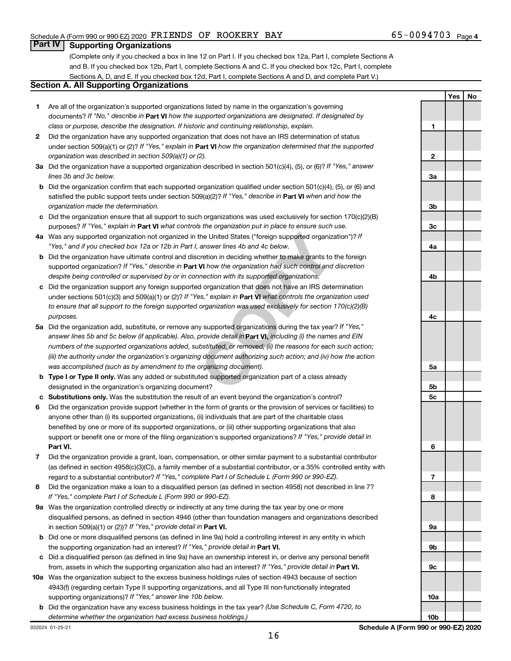**Yes No**

### **Part IV Supporting Organizations**

(Complete only if you checked a box in line 12 on Part I. If you checked box 12a, Part I, complete Sections A and B. If you checked box 12b, Part I, complete Sections A and C. If you checked box 12c, Part I, complete Sections A, D, and E. If you checked box 12d, Part I, complete Sections A and D, and complete Part V.)

### **Section A. All Supporting Organizations**

- **1** Are all of the organization's supported organizations listed by name in the organization's governing documents? If "No," describe in Part VI how the supported organizations are designated. If designated by *class or purpose, describe the designation. If historic and continuing relationship, explain.*
- **2** Did the organization have any supported organization that does not have an IRS determination of status under section 509(a)(1) or (2)? If "Yes," explain in Part **VI** how the organization determined that the supported *organization was described in section 509(a)(1) or (2).*
- **3a** Did the organization have a supported organization described in section 501(c)(4), (5), or (6)? If "Yes," answer *lines 3b and 3c below.*
- **b** Did the organization confirm that each supported organization qualified under section 501(c)(4), (5), or (6) and satisfied the public support tests under section 509(a)(2)? If "Yes," describe in Part VI when and how the *organization made the determination.*
- **c** Did the organization ensure that all support to such organizations was used exclusively for section 170(c)(2)(B) purposes? If "Yes," explain in Part VI what controls the organization put in place to ensure such use.
- **4 a** *If* Was any supported organization not organized in the United States ("foreign supported organization")? *"Yes," and if you checked box 12a or 12b in Part I, answer lines 4b and 4c below.*
- **b** Did the organization have ultimate control and discretion in deciding whether to make grants to the foreign supported organization? If "Yes," describe in Part VI how the organization had such control and discretion *despite being controlled or supervised by or in connection with its supported organizations.*
- **c** Did the organization support any foreign supported organization that does not have an IRS determination under sections 501(c)(3) and 509(a)(1) or (2)? If "Yes," explain in Part VI what controls the organization used *to ensure that all support to the foreign supported organization was used exclusively for section 170(c)(2)(B) purposes.*
- the United States ("foreign supported organization")? *l*<br>answer lines 4b and 4c below.<br>Consider the foreign supported organization")? *l*<br>answer lines 4b and 4c below.<br>**VI** how the organization had such control and discre **5a** Did the organization add, substitute, or remove any supported organizations during the tax year? If "Yes," answer lines 5b and 5c below (if applicable). Also, provide detail in **Part VI,** including (i) the names and EIN *numbers of the supported organizations added, substituted, or removed; (ii) the reasons for each such action; (iii) the authority under the organization's organizing document authorizing such action; and (iv) how the action was accomplished (such as by amendment to the organizing document).*
- **b Type I or Type II only.** Was any added or substituted supported organization part of a class already designated in the organization's organizing document?
- **c Substitutions only.**  Was the substitution the result of an event beyond the organization's control?
- **6** Did the organization provide support (whether in the form of grants or the provision of services or facilities) to **Part VI.** support or benefit one or more of the filing organization's supported organizations? If "Yes," provide detail in anyone other than (i) its supported organizations, (ii) individuals that are part of the charitable class benefited by one or more of its supported organizations, or (iii) other supporting organizations that also
- **7** Did the organization provide a grant, loan, compensation, or other similar payment to a substantial contributor regard to a substantial contributor? If "Yes," complete Part I of Schedule L (Form 990 or 990-EZ). (as defined in section 4958(c)(3)(C)), a family member of a substantial contributor, or a 35% controlled entity with
- **8** Did the organization make a loan to a disqualified person (as defined in section 4958) not described in line 7? *If "Yes," complete Part I of Schedule L (Form 990 or 990-EZ).*
- **9 a** Was the organization controlled directly or indirectly at any time during the tax year by one or more in section 509(a)(1) or (2))? If "Yes," provide detail in **Part VI.** disqualified persons, as defined in section 4946 (other than foundation managers and organizations described
- **b** Did one or more disqualified persons (as defined in line 9a) hold a controlling interest in any entity in which the supporting organization had an interest? If "Yes," provide detail in Part VI.
- **c** Did a disqualified person (as defined in line 9a) have an ownership interest in, or derive any personal benefit from, assets in which the supporting organization also had an interest? If "Yes," provide detail in Part VI.
- **10 a** Was the organization subject to the excess business holdings rules of section 4943 because of section supporting organizations)? If "Yes," answer line 10b below. 4943(f) (regarding certain Type II supporting organizations, and all Type III non-functionally integrated
	- **b** Did the organization have any excess business holdings in the tax year? (Use Schedule C, Form 4720, to *determine whether the organization had excess business holdings.)*

**1 2 3a 3b 3c 4a 4b 4c 5a 5b 5c 6 7 8 9a 9b 9c 10a**

**10b**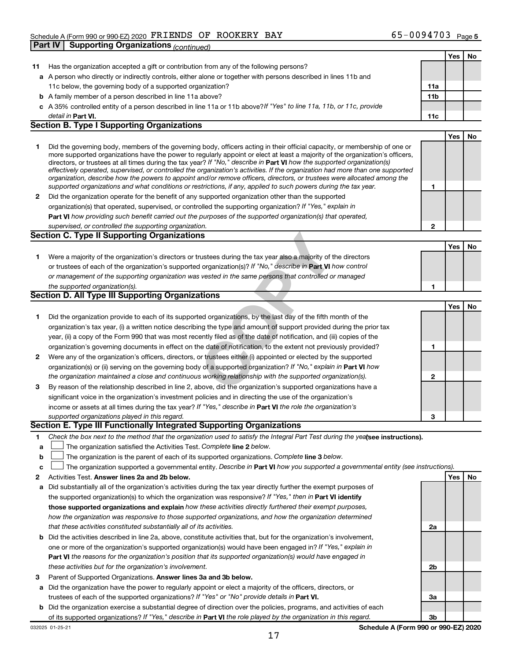|     |                                                                                                                                                                                                                                                            |              | Yes | No |
|-----|------------------------------------------------------------------------------------------------------------------------------------------------------------------------------------------------------------------------------------------------------------|--------------|-----|----|
| 11. | Has the organization accepted a gift or contribution from any of the following persons?                                                                                                                                                                    |              |     |    |
|     | a A person who directly or indirectly controls, either alone or together with persons described in lines 11b and                                                                                                                                           |              |     |    |
|     | 11c below, the governing body of a supported organization?                                                                                                                                                                                                 | 11a          |     |    |
|     | <b>b</b> A family member of a person described in line 11a above?                                                                                                                                                                                          | 11b          |     |    |
|     | c A 35% controlled entity of a person described in line 11a or 11b above? If "Yes" to line 11a, 11b, or 11c, provide                                                                                                                                       |              |     |    |
|     | detail in <b>Part VI.</b>                                                                                                                                                                                                                                  | 11c          |     |    |
|     | <b>Section B. Type I Supporting Organizations</b>                                                                                                                                                                                                          |              |     |    |
|     |                                                                                                                                                                                                                                                            |              | Yes | No |
| 1   | Did the governing body, members of the governing body, officers acting in their official capacity, or membership of one or                                                                                                                                 |              |     |    |
|     | more supported organizations have the power to regularly appoint or elect at least a majority of the organization's officers,                                                                                                                              |              |     |    |
|     | directors, or trustees at all times during the tax year? If "No," describe in Part VI how the supported organization(s)                                                                                                                                    |              |     |    |
|     | effectively operated, supervised, or controlled the organization's activities. If the organization had more than one supported<br>organization, describe how the powers to appoint and/or remove officers, directors, or trustees were allocated among the |              |     |    |
|     | supported organizations and what conditions or restrictions, if any, applied to such powers during the tax year.                                                                                                                                           | 1            |     |    |
| 2   | Did the organization operate for the benefit of any supported organization other than the supported                                                                                                                                                        |              |     |    |
|     | organization(s) that operated, supervised, or controlled the supporting organization? If "Yes," explain in                                                                                                                                                 |              |     |    |
|     | Part VI how providing such benefit carried out the purposes of the supported organization(s) that operated,                                                                                                                                                |              |     |    |
|     | supervised, or controlled the supporting organization.                                                                                                                                                                                                     | $\mathbf{2}$ |     |    |
|     | <b>Section C. Type II Supporting Organizations</b>                                                                                                                                                                                                         |              |     |    |
|     |                                                                                                                                                                                                                                                            |              | Yes | No |
| 1   | Were a majority of the organization's directors or trustees during the tax year also a majority of the directors                                                                                                                                           |              |     |    |
|     | or trustees of each of the organization's supported organization(s)? If "No," describe in Part VI how control                                                                                                                                              |              |     |    |
|     | or management of the supporting organization was vested in the same persons that controlled or managed                                                                                                                                                     |              |     |    |
|     | the supported organization(s).                                                                                                                                                                                                                             | 1            |     |    |
|     | Section D. All Type III Supporting Organizations                                                                                                                                                                                                           |              |     |    |
|     |                                                                                                                                                                                                                                                            |              | Yes | No |
| 1   | Did the organization provide to each of its supported organizations, by the last day of the fifth month of the                                                                                                                                             |              |     |    |
|     | organization's tax year, (i) a written notice describing the type and amount of support provided during the prior tax                                                                                                                                      |              |     |    |
|     | year, (ii) a copy of the Form 990 that was most recently filed as of the date of notification, and (iii) copies of the                                                                                                                                     |              |     |    |
|     | organization's governing documents in effect on the date of notification, to the extent not previously provided?                                                                                                                                           | 1            |     |    |
| 2   | Were any of the organization's officers, directors, or trustees either (i) appointed or elected by the supported                                                                                                                                           |              |     |    |
|     | organization(s) or (ii) serving on the governing body of a supported organization? If "No," explain in Part VI how                                                                                                                                         |              |     |    |
|     | the organization maintained a close and continuous working relationship with the supported organization(s).                                                                                                                                                | $\mathbf{2}$ |     |    |
| 3   | By reason of the relationship described in line 2, above, did the organization's supported organizations have a                                                                                                                                            |              |     |    |
|     | significant voice in the organization's investment policies and in directing the use of the organization's                                                                                                                                                 |              |     |    |
|     | income or assets at all times during the tax year? If "Yes," describe in Part VI the role the organization's                                                                                                                                               |              |     |    |
|     | supported organizations played in this regard.                                                                                                                                                                                                             | 3            |     |    |
|     | Section E. Type III Functionally Integrated Supporting Organizations                                                                                                                                                                                       |              |     |    |
| 1   | Check the box next to the method that the organization used to satisfy the Integral Part Test during the yealsee instructions).                                                                                                                            |              |     |    |
| а   | The organization satisfied the Activities Test. Complete line 2 below.                                                                                                                                                                                     |              |     |    |
| b   | The organization is the parent of each of its supported organizations. Complete line 3 below.                                                                                                                                                              |              |     |    |
| c   | The organization supported a governmental entity. Describe in Part VI how you supported a governmental entity (see instructions).                                                                                                                          |              |     |    |
| 2   | Activities Test. Answer lines 2a and 2b below.                                                                                                                                                                                                             |              | Yes | No |
| а   | Did substantially all of the organization's activities during the tax year directly further the exempt purposes of                                                                                                                                         |              |     |    |
|     | the supported organization(s) to which the organization was responsive? If "Yes," then in Part VI identify                                                                                                                                                 |              |     |    |
|     | those supported organizations and explain how these activities directly furthered their exempt purposes,                                                                                                                                                   |              |     |    |
|     | how the organization was responsive to those supported organizations, and how the organization determined                                                                                                                                                  |              |     |    |
|     | that these activities constituted substantially all of its activities.                                                                                                                                                                                     | 2a           |     |    |
| b   | Did the activities described in line 2a, above, constitute activities that, but for the organization's involvement,                                                                                                                                        |              |     |    |
|     | one or more of the organization's supported organization(s) would have been engaged in? If "Yes," explain in                                                                                                                                               |              |     |    |
|     | <b>Part VI</b> the reasons for the organization's position that its supported organization(s) would have engaged in                                                                                                                                        |              |     |    |
|     | these activities but for the organization's involvement.                                                                                                                                                                                                   | 2b           |     |    |
| З   | Parent of Supported Organizations. Answer lines 3a and 3b below.                                                                                                                                                                                           |              |     |    |
| а   | Did the organization have the power to regularly appoint or elect a majority of the officers, directors, or                                                                                                                                                |              |     |    |
|     | trustees of each of the supported organizations? If "Yes" or "No" provide details in Part VI.                                                                                                                                                              | За           |     |    |
| b   | Did the organization exercise a substantial degree of direction over the policies, programs, and activities of each                                                                                                                                        |              |     |    |
|     | of its supported organizations? If "Yes," describe in Part VI the role played by the organization in this regard.                                                                                                                                          | 3b           |     |    |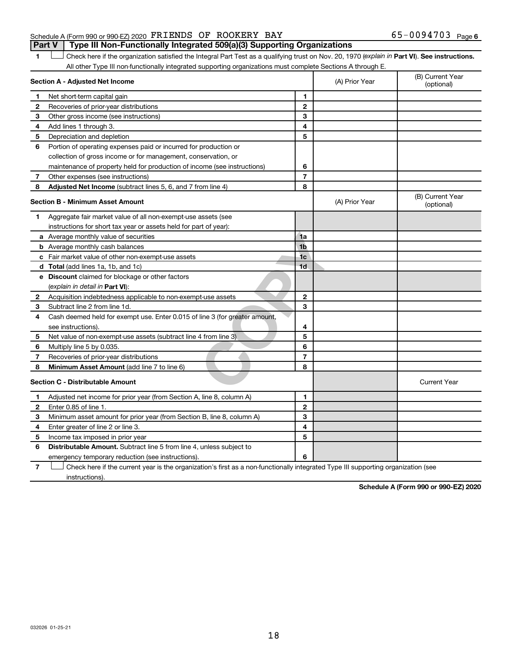### Schedule A (Form 990 or 990-EZ) 2020  $\texttt{FRIENDS}$  OF ROOKERY BAY 65-0094703 Page **Part V Type III Non-Functionally Integrated 509(a)(3) Supporting Organizations**

1 **Letter See instructions.** Check here if the organization satisfied the Integral Part Test as a qualifying trust on Nov. 20, 1970 (*explain in* Part **VI**). See instructions. All other Type III non-functionally integrated supporting organizations must complete Sections A through E.

|              | Section A - Adjusted Net Income                                             |                | (A) Prior Year | (B) Current Year<br>(optional) |
|--------------|-----------------------------------------------------------------------------|----------------|----------------|--------------------------------|
| 1            | Net short-term capital gain                                                 | 1              |                |                                |
| 2            | Recoveries of prior-year distributions                                      | $\mathbf{2}$   |                |                                |
| 3            | Other gross income (see instructions)                                       | 3              |                |                                |
| 4            | Add lines 1 through 3.                                                      | 4              |                |                                |
| 5            | Depreciation and depletion                                                  | 5              |                |                                |
| 6            | Portion of operating expenses paid or incurred for production or            |                |                |                                |
|              | collection of gross income or for management, conservation, or              |                |                |                                |
|              | maintenance of property held for production of income (see instructions)    | 6              |                |                                |
| 7            | Other expenses (see instructions)                                           | $\overline{7}$ |                |                                |
| 8            | Adjusted Net Income (subtract lines 5, 6, and 7 from line 4)                | 8              |                |                                |
|              | <b>Section B - Minimum Asset Amount</b>                                     |                | (A) Prior Year | (B) Current Year<br>(optional) |
| 1.           | Aggregate fair market value of all non-exempt-use assets (see               |                |                |                                |
|              | instructions for short tax year or assets held for part of year):           |                |                |                                |
|              | a Average monthly value of securities                                       | 1a             |                |                                |
|              | <b>b</b> Average monthly cash balances                                      | 1 <sub>b</sub> |                |                                |
|              | c Fair market value of other non-exempt-use assets                          | 1 <sub>c</sub> |                |                                |
|              | d Total (add lines 1a, 1b, and 1c)                                          | 1 <sub>d</sub> |                |                                |
|              | <b>e</b> Discount claimed for blockage or other factors                     |                |                |                                |
|              | (explain in detail in Part VI):                                             |                |                |                                |
| 2            | Acquisition indebtedness applicable to non-exempt-use assets                | $\mathbf{2}$   |                |                                |
| 3            | Subtract line 2 from line 1d.                                               | 3              |                |                                |
| 4            | Cash deemed held for exempt use. Enter 0.015 of line 3 (for greater amount, |                |                |                                |
|              | see instructions).                                                          | 4              |                |                                |
| 5            | Net value of non-exempt-use assets (subtract line 4 from line 3)            | 5              |                |                                |
| 6            | Multiply line 5 by 0.035.                                                   | 6              |                |                                |
| 7            | Recoveries of prior-year distributions                                      | $\overline{7}$ |                |                                |
| 8            | Minimum Asset Amount (add line 7 to line 6)                                 | 8              |                |                                |
|              | <b>Section C - Distributable Amount</b>                                     |                |                | <b>Current Year</b>            |
| 1            | Adjusted net income for prior year (from Section A, line 8, column A)       | 1              |                |                                |
| $\mathbf{2}$ | Enter 0.85 of line 1.                                                       | $\mathbf{2}$   |                |                                |
| З            | Minimum asset amount for prior year (from Section B, line 8, column A)      | 3              |                |                                |
| 4            | Enter greater of line 2 or line 3.                                          | 4              |                |                                |
| 5            | Income tax imposed in prior year                                            | 5              |                |                                |
| 6            | <b>Distributable Amount.</b> Subtract line 5 from line 4, unless subject to |                |                |                                |
|              | emergency temporary reduction (see instructions).                           | 6              |                |                                |
|              |                                                                             |                |                |                                |

**7** Check here if the current year is the organization's first as a non-functionally integrated Type III supporting organization (see † instructions).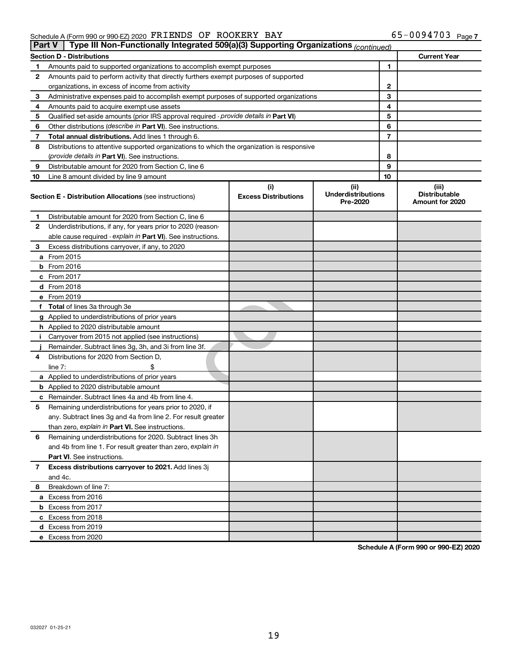#### Schedule A (Form 990 or 990-EZ) 2020 Page FRIENDS OF ROOKERY BAY 65-0094703

|    | Type III Non-Functionally Integrated 509(a)(3) Supporting Organizations (continued)<br>∣ Part V |                                    |                                               |                                                  |  |  |  |
|----|-------------------------------------------------------------------------------------------------|------------------------------------|-----------------------------------------------|--------------------------------------------------|--|--|--|
|    | Section D - Distributions                                                                       |                                    |                                               | <b>Current Year</b>                              |  |  |  |
| 1  | Amounts paid to supported organizations to accomplish exempt purposes                           | 1                                  |                                               |                                                  |  |  |  |
| 2  | Amounts paid to perform activity that directly furthers exempt purposes of supported            |                                    |                                               |                                                  |  |  |  |
|    | organizations, in excess of income from activity                                                | 2                                  |                                               |                                                  |  |  |  |
| 3  | Administrative expenses paid to accomplish exempt purposes of supported organizations           |                                    | 3                                             |                                                  |  |  |  |
| 4  | Amounts paid to acquire exempt-use assets                                                       |                                    | 4                                             |                                                  |  |  |  |
| 5  | Qualified set-aside amounts (prior IRS approval required - provide details in Part VI)          |                                    | 5                                             |                                                  |  |  |  |
| 6  | Other distributions (describe in Part VI). See instructions.                                    |                                    | 6                                             |                                                  |  |  |  |
| 7  | Total annual distributions. Add lines 1 through 6.                                              |                                    | 7                                             |                                                  |  |  |  |
| 8  | Distributions to attentive supported organizations to which the organization is responsive      |                                    |                                               |                                                  |  |  |  |
|    | (provide details in Part VI). See instructions.                                                 |                                    | 8                                             |                                                  |  |  |  |
| 9  | Distributable amount for 2020 from Section C, line 6                                            |                                    | 9                                             |                                                  |  |  |  |
| 10 | Line 8 amount divided by line 9 amount                                                          |                                    | 10                                            |                                                  |  |  |  |
|    | <b>Section E - Distribution Allocations (see instructions)</b>                                  | (i)<br><b>Excess Distributions</b> | (ii)<br><b>Underdistributions</b><br>Pre-2020 | (iii)<br><b>Distributable</b><br>Amount for 2020 |  |  |  |
| 1  | Distributable amount for 2020 from Section C, line 6                                            |                                    |                                               |                                                  |  |  |  |
| 2  | Underdistributions, if any, for years prior to 2020 (reason-                                    |                                    |                                               |                                                  |  |  |  |
|    | able cause required - explain in Part VI). See instructions.                                    |                                    |                                               |                                                  |  |  |  |
| 3  | Excess distributions carryover, if any, to 2020                                                 |                                    |                                               |                                                  |  |  |  |
|    | a From 2015                                                                                     |                                    |                                               |                                                  |  |  |  |
|    | <b>b</b> From 2016                                                                              |                                    |                                               |                                                  |  |  |  |
|    | c From 2017                                                                                     |                                    |                                               |                                                  |  |  |  |
|    | <b>d</b> From 2018                                                                              |                                    |                                               |                                                  |  |  |  |
|    | e From 2019                                                                                     |                                    |                                               |                                                  |  |  |  |
|    | f Total of lines 3a through 3e                                                                  |                                    |                                               |                                                  |  |  |  |
|    | g Applied to underdistributions of prior years                                                  |                                    |                                               |                                                  |  |  |  |
|    | h Applied to 2020 distributable amount                                                          |                                    |                                               |                                                  |  |  |  |
| Ť. | Carryover from 2015 not applied (see instructions)                                              |                                    |                                               |                                                  |  |  |  |
|    | Remainder. Subtract lines 3g, 3h, and 3i from line 3f.                                          |                                    |                                               |                                                  |  |  |  |
| 4  | Distributions for 2020 from Section D,                                                          |                                    |                                               |                                                  |  |  |  |
|    | line $7:$                                                                                       |                                    |                                               |                                                  |  |  |  |
|    | a Applied to underdistributions of prior years                                                  |                                    |                                               |                                                  |  |  |  |
|    | <b>b</b> Applied to 2020 distributable amount                                                   |                                    |                                               |                                                  |  |  |  |
| c  | Remainder. Subtract lines 4a and 4b from line 4.                                                |                                    |                                               |                                                  |  |  |  |
| 5  | Remaining underdistributions for years prior to 2020, if                                        |                                    |                                               |                                                  |  |  |  |
|    | any. Subtract lines 3g and 4a from line 2. For result greater                                   |                                    |                                               |                                                  |  |  |  |
|    | than zero, explain in Part VI. See instructions.                                                |                                    |                                               |                                                  |  |  |  |
| 6  | Remaining underdistributions for 2020. Subtract lines 3h                                        |                                    |                                               |                                                  |  |  |  |
|    | and 4b from line 1. For result greater than zero, explain in                                    |                                    |                                               |                                                  |  |  |  |
|    | <b>Part VI.</b> See instructions.                                                               |                                    |                                               |                                                  |  |  |  |
| 7  | Excess distributions carryover to 2021. Add lines 3j                                            |                                    |                                               |                                                  |  |  |  |
|    | and 4c.                                                                                         |                                    |                                               |                                                  |  |  |  |
| 8  | Breakdown of line 7:                                                                            |                                    |                                               |                                                  |  |  |  |
|    | a Excess from 2016                                                                              |                                    |                                               |                                                  |  |  |  |
|    | <b>b</b> Excess from 2017                                                                       |                                    |                                               |                                                  |  |  |  |
|    | c Excess from 2018                                                                              |                                    |                                               |                                                  |  |  |  |
|    | d Excess from 2019                                                                              |                                    |                                               |                                                  |  |  |  |
|    | e Excess from 2020                                                                              |                                    |                                               |                                                  |  |  |  |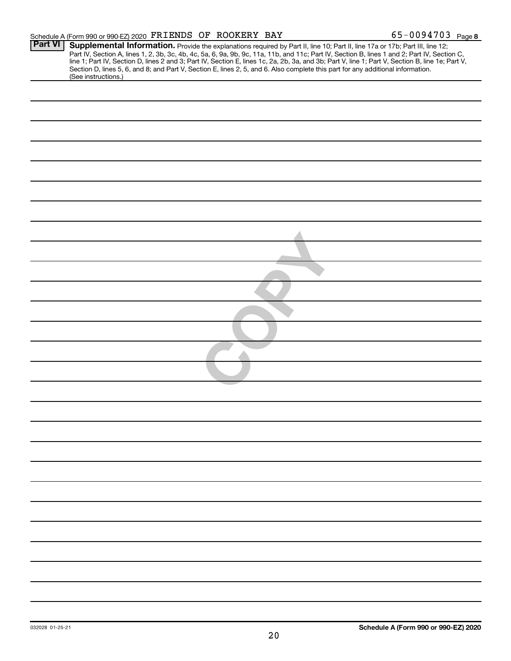|                | Schedule A (Form 990 or 990-EZ) 2020 FRIENDS OF ROOKERY BAY                                                                                                                                                                                                                                                                                                                                                                                                                                                                                                                                 | $65 - 0094703$ Page 8 |  |
|----------------|---------------------------------------------------------------------------------------------------------------------------------------------------------------------------------------------------------------------------------------------------------------------------------------------------------------------------------------------------------------------------------------------------------------------------------------------------------------------------------------------------------------------------------------------------------------------------------------------|-----------------------|--|
| <b>Part VI</b> | Supplemental Information. Provide the explanations required by Part II, line 10; Part II, line 17a or 17b; Part III, line 12;<br>Part IV, Section A, lines 1, 2, 3b, 3c, 4b, 4c, 5a, 6, 9a, 9b, 9c, 11a, 11b, and 11c; Part IV, Section B, lines 1 and 2; Part IV, Section C,<br>line 1; Part IV, Section D, lines 2 and 3; Part IV, Section E, lines 1c, 2a, 2b, 3a, and 3b; Part V, line 1; Part V, Section B, line 1e; Part V,<br>Section D, lines 5, 6, and 8; and Part V, Section E, lines 2, 5, and 6. Also complete this part for any additional information.<br>(See instructions.) |                       |  |
|                |                                                                                                                                                                                                                                                                                                                                                                                                                                                                                                                                                                                             |                       |  |
|                |                                                                                                                                                                                                                                                                                                                                                                                                                                                                                                                                                                                             |                       |  |
|                |                                                                                                                                                                                                                                                                                                                                                                                                                                                                                                                                                                                             |                       |  |
|                |                                                                                                                                                                                                                                                                                                                                                                                                                                                                                                                                                                                             |                       |  |
|                |                                                                                                                                                                                                                                                                                                                                                                                                                                                                                                                                                                                             |                       |  |
|                |                                                                                                                                                                                                                                                                                                                                                                                                                                                                                                                                                                                             |                       |  |
|                |                                                                                                                                                                                                                                                                                                                                                                                                                                                                                                                                                                                             |                       |  |
|                |                                                                                                                                                                                                                                                                                                                                                                                                                                                                                                                                                                                             |                       |  |
|                |                                                                                                                                                                                                                                                                                                                                                                                                                                                                                                                                                                                             |                       |  |
|                |                                                                                                                                                                                                                                                                                                                                                                                                                                                                                                                                                                                             |                       |  |
|                |                                                                                                                                                                                                                                                                                                                                                                                                                                                                                                                                                                                             |                       |  |
|                |                                                                                                                                                                                                                                                                                                                                                                                                                                                                                                                                                                                             |                       |  |
|                |                                                                                                                                                                                                                                                                                                                                                                                                                                                                                                                                                                                             |                       |  |
|                |                                                                                                                                                                                                                                                                                                                                                                                                                                                                                                                                                                                             |                       |  |
|                |                                                                                                                                                                                                                                                                                                                                                                                                                                                                                                                                                                                             |                       |  |
|                |                                                                                                                                                                                                                                                                                                                                                                                                                                                                                                                                                                                             |                       |  |
|                |                                                                                                                                                                                                                                                                                                                                                                                                                                                                                                                                                                                             |                       |  |
|                |                                                                                                                                                                                                                                                                                                                                                                                                                                                                                                                                                                                             |                       |  |
|                |                                                                                                                                                                                                                                                                                                                                                                                                                                                                                                                                                                                             |                       |  |
|                |                                                                                                                                                                                                                                                                                                                                                                                                                                                                                                                                                                                             |                       |  |
|                |                                                                                                                                                                                                                                                                                                                                                                                                                                                                                                                                                                                             |                       |  |
|                |                                                                                                                                                                                                                                                                                                                                                                                                                                                                                                                                                                                             |                       |  |
|                |                                                                                                                                                                                                                                                                                                                                                                                                                                                                                                                                                                                             |                       |  |
|                |                                                                                                                                                                                                                                                                                                                                                                                                                                                                                                                                                                                             |                       |  |
|                |                                                                                                                                                                                                                                                                                                                                                                                                                                                                                                                                                                                             |                       |  |
|                |                                                                                                                                                                                                                                                                                                                                                                                                                                                                                                                                                                                             |                       |  |
|                |                                                                                                                                                                                                                                                                                                                                                                                                                                                                                                                                                                                             |                       |  |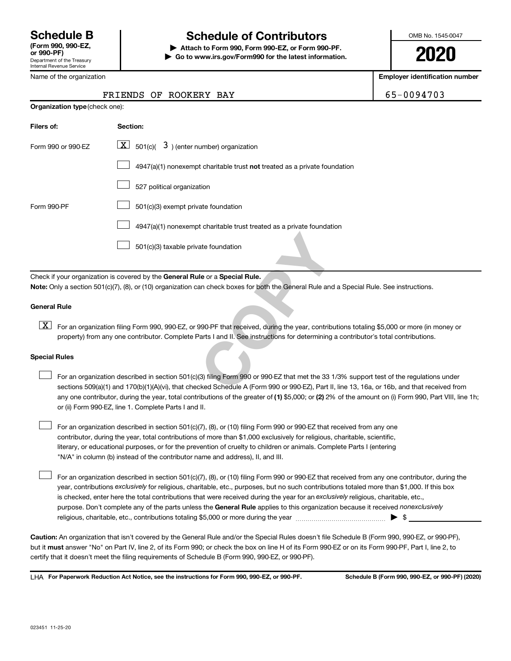Department of the Treasury Internal Revenue Service

## **Schedule B Schedule of Contributors**

**or 990-PF) | Attach to Form 990, Form 990-EZ, or Form 990-PF. | Go to www.irs.gov/Form990 for the latest information.** OMB No. 1545-0047

**2020**

**Employer identification number**

|  | FRIENDS OF ROOKERY BAY | $165 - 0094703$ |
|--|------------------------|-----------------|
|  |                        |                 |

|  | Name of the organization |  |
|--|--------------------------|--|
|  |                          |  |

| <b>Organization type</b> (check one): |                                                                                                                                                                                                                                                                  |
|---------------------------------------|------------------------------------------------------------------------------------------------------------------------------------------------------------------------------------------------------------------------------------------------------------------|
| Filers of:                            | Section:                                                                                                                                                                                                                                                         |
| Form 990 or 990-EZ                    | $\lfloor x \rfloor$ 501(c)( 3) (enter number) organization                                                                                                                                                                                                       |
|                                       | $4947(a)(1)$ nonexempt charitable trust not treated as a private foundation                                                                                                                                                                                      |
|                                       | 527 political organization                                                                                                                                                                                                                                       |
| Form 990-PF                           | 501(c)(3) exempt private foundation                                                                                                                                                                                                                              |
|                                       | 4947(a)(1) nonexempt charitable trust treated as a private foundation                                                                                                                                                                                            |
|                                       | 501(c)(3) taxable private foundation                                                                                                                                                                                                                             |
|                                       | Check if your organization is covered by the General Rule or a Special Rule.<br>Note: Only a section 501(c)(7), (8), or (10) organization can check boxes for both the General Rule and a Special Rule. See instructio                                           |
|                                       |                                                                                                                                                                                                                                                                  |
| <b>General Rule</b>                   |                                                                                                                                                                                                                                                                  |
| $\lfloor x \rfloor$                   | For an organization filing Form 990, 990-EZ, or 990-PF that received, during the year, contributions totaling \$5,000 or more<br>property) from any one contributor. Complete Parts I and II. See instructions for determining a contributor's total contributio |
| <b>Special Rules</b>                  |                                                                                                                                                                                                                                                                  |
|                                       | For an organization described in section 501(c)(3) filing Form 990 or 990-EZ that met the 33 1/3% support test of the regula<br>sections 509(a)(1) and 170(b)(1)(A)(vi), that checked Schedule A (Form 990 or 990-EZ), Part II, line 13, 16a, or 16b, and that   |

#### **General Rule**

[X] For an organization filing Form 990, 990-EZ, or 990-PF that received, during the year, contributions totaling \$5,000 or more (in money or property) from any one contributor. Complete Parts I and II. See instructions for determining a contributor's total contributions.

#### **Special Rules**

 $\Box$ 

any one contributor, during the year, total contributions of the greater of (1) \$5,000; or (2) 2% of the amount on (i) Form 990, Part VIII, line 1h; For an organization described in section 501(c)(3) filing Form 990 or 990-EZ that met the 33 1/3% support test of the regulations under sections 509(a)(1) and 170(b)(1)(A)(vi), that checked Schedule A (Form 990 or 990-EZ), Part II, line 13, 16a, or 16b, and that received from or (ii) Form 990-EZ, line 1. Complete Parts I and II.  $\Box$ 

For an organization described in section 501(c)(7), (8), or (10) filing Form 990 or 990-EZ that received from any one contributor, during the year, total contributions of more than \$1,000 exclusively for religious, charitable, scientific, literary, or educational purposes, or for the prevention of cruelty to children or animals. Complete Parts I (entering "N/A" in column (b) instead of the contributor name and address), II, and III.  $\Box$ 

purpose. Don't complete any of the parts unless the General Rule applies to this organization because it received nonexclusively year, contributions exclusively for religious, charitable, etc., purposes, but no such contributions totaled more than \$1,000. If this box is checked, enter here the total contributions that were received during the year for an exclusively religious, charitable, etc., For an organization described in section 501(c)(7), (8), or (10) filing Form 990 or 990-EZ that received from any one contributor, during the religious, charitable, etc., contributions totaling \$5,000 or more during the year  $~\ldots\ldots\ldots\ldots\ldots\ldots\ldots\ldots\blacktriangleright~$ \$

**Caution:**  An organization that isn't covered by the General Rule and/or the Special Rules doesn't file Schedule B (Form 990, 990-EZ, or 990-PF),  **must** but it answer "No" on Part IV, line 2, of its Form 990; or check the box on line H of its Form 990-EZ or on its Form 990-PF, Part I, line 2, to certify that it doesn't meet the filing requirements of Schedule B (Form 990, 990-EZ, or 990-PF).

**For Paperwork Reduction Act Notice, see the instructions for Form 990, 990-EZ, or 990-PF. Schedule B (Form 990, 990-EZ, or 990-PF) (2020)** LHA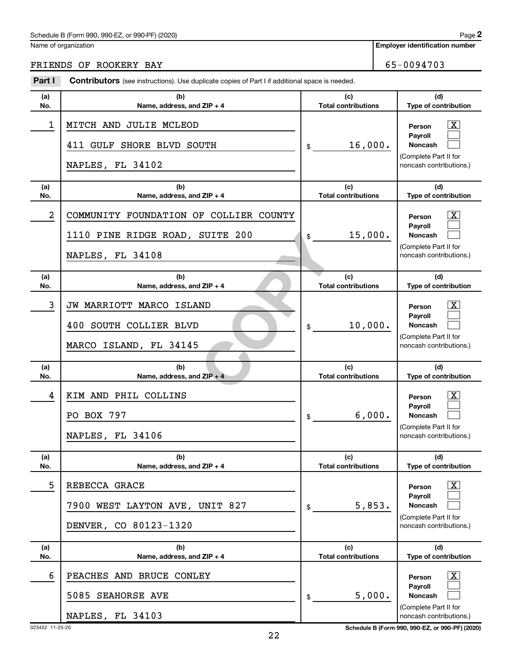### Schedule B (Form 990, 990-EZ, or 990-PF) (2020)

Name of organization

### FRIENDS OF ROOKERY BAY 65-0094703

| Part I     | <b>Contributors</b> (see instructions). Use duplicate copies of Part I if additional space is needed. |                                   |                                                                                                                  |
|------------|-------------------------------------------------------------------------------------------------------|-----------------------------------|------------------------------------------------------------------------------------------------------------------|
| (a)<br>No. | (b)<br>Name, address, and ZIP + 4                                                                     | (c)<br><b>Total contributions</b> | (d)<br>Type of contribution                                                                                      |
| 1          | MITCH AND JULIE MCLEOD<br>411 GULF SHORE BLVD SOUTH<br>NAPLES, FL 34102                               | 16,000.<br>\$                     | $\overline{\mathbf{X}}$<br>Person<br>Payroll<br>Noncash<br>(Complete Part II for<br>noncash contributions.)      |
| (a)<br>No. | (b)<br>Name, address, and ZIP + 4                                                                     | (c)<br><b>Total contributions</b> | (d)<br>Type of contribution                                                                                      |
| 2          | COMMUNITY FOUNDATION OF COLLIER COUNTY<br>1110 PINE RIDGE ROAD, SUITE 200<br>NAPLES, FL 34108         | 15,000.<br>\$                     | $\overline{\text{X}}$<br>Person<br>Payroll<br>Noncash<br>(Complete Part II for<br>noncash contributions.)        |
| (a)<br>No. | (b)<br>Name, address, and ZIP + 4                                                                     | (c)<br><b>Total contributions</b> | (d)<br>Type of contribution                                                                                      |
| 3          | JW MARRIOTT MARCO ISLAND<br>400 SOUTH COLLIER BLVD<br>MARCO ISLAND, FL 34145                          | 10,000.<br>\$                     | $\overline{\text{X}}$<br>Person<br>Payroll<br><b>Noncash</b><br>(Complete Part II for<br>noncash contributions.) |
| (a)<br>No. | (b)<br>Name, address, and ZIP + 4                                                                     | (c)<br><b>Total contributions</b> | (d)<br>Type of contribution                                                                                      |
| 4          | KIM AND PHIL COLLINS<br>PO BOX 797<br>NAPLES, FL 34106                                                | 6,000.<br>\$                      | $\overline{\text{X}}$<br>Person<br>Payroll<br><b>Noncash</b><br>(Complete Part II for<br>noncash contributions.) |
| (a)<br>No. | (b)<br>Name, address, and $ZIP + 4$                                                                   | (c)<br><b>Total contributions</b> | (d)<br>Type of contribution                                                                                      |
| 5          | REBECCA GRACE<br>7900 WEST LAYTON AVE, UNIT 827<br>DENVER, CO 80123-1320                              | 5,853.<br>\$                      | $\overline{\text{X}}$<br>Person<br>Payroll<br>Noncash<br>(Complete Part II for<br>noncash contributions.)        |
| (a)<br>No. | (b)<br>Name, address, and $ZIP + 4$                                                                   | (c)<br><b>Total contributions</b> | (d)<br>Type of contribution                                                                                      |
| 6          | PEACHES AND BRUCE CONLEY<br>5085 SEAHORSE AVE<br>NAPLES, FL 34103                                     | 5,000.<br>\$                      | $\overline{\text{X}}$<br>Person<br>Payroll<br>Noncash<br>(Complete Part II for<br>noncash contributions.)        |

023452 11-25-20 **Schedule B (Form 990, 990-EZ, or 990-PF) (2020)**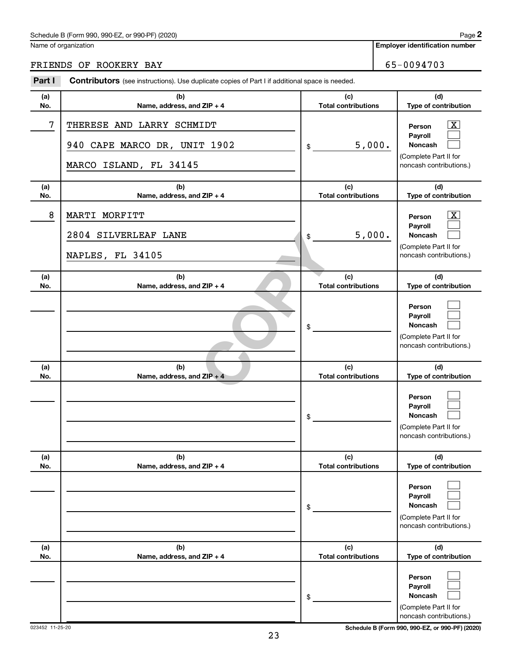Name of organization

**Employer identification number**

FRIENDS OF ROOKERY BAY **65-0094703** 

#### 12P + 4<br>
12P + 4<br>
12P + 4<br>
12P + 4<br>
Total contribution **(a) No. (b) Name, address, and ZIP + 4 (c) Total contributions (d) Type of contribution Person Payroll Noncash (a) No. (b) Name, address, and ZIP + 4 (c) Total contributions (d) Type of contribution Person Payroll Noncash (a) No. (b) Name, address, and ZIP + 4 (c) Total contributions (d) Type of contribution Person Payroll Noncash (a) No. (b) Name, address, and ZIP + 4 (c) Total contributions (d) Type of contribution Person Payroll Noncash (a) No. (b) Name, address, and ZIP + 4 (c) Total contributions (d) Type of contribution Person Payroll Noncash (a) No. (b) Name, address, and ZIP + 4 (c) Total contributions (d) Type of contribution Person Payroll Noncash Part I** Contributors (see instructions). Use duplicate copies of Part I if additional space is needed. \$ (Complete Part II for noncash contributions.) \$ (Complete Part II for noncash contributions.) \$ (Complete Part II for noncash contributions.) \$ (Complete Part II for noncash contributions.) \$ (Complete Part II for noncash contributions.) \$ (Complete Part II for noncash contributions.) †  $\Box$  $\Box$  $\overline{\mathbf{X}}$  $\Box$  $\Box$  $\Box$  $\Box$  $\Box$  $\Box$  $\Box$  $\Box$  $\Box$  $\Box$  $\Box$  $\Box$  $\Box$  $\Box$ 7 | THERESE AND LARRY SCHMIDT 940 CAPE MARCO DR, UNIT  $1902$   $| \text{ } \text{ }$  5,000. MARCO ISLAND, FL 34145 8 | MARTI MORFITT 2804 SILVERLEAF LANE 5,000. NAPLES, FL 34105

023452 11-25-20 **Schedule B (Form 990, 990-EZ, or 990-PF) (2020)**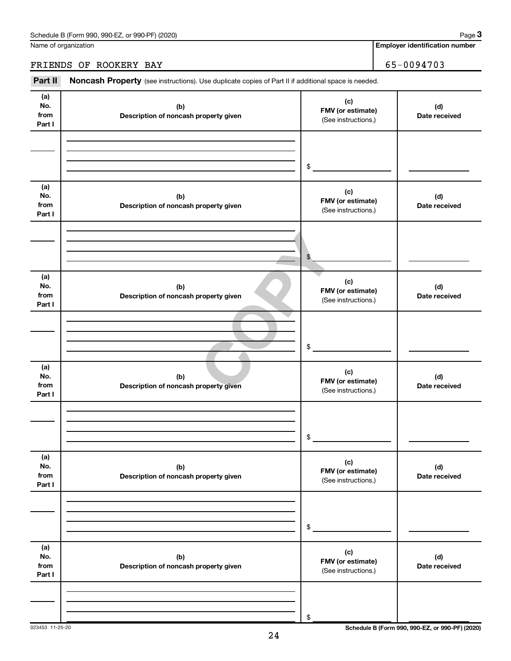Name of organization

### FRIENDS OF ROOKERY BAY 65-0094703

Part II Noncash Property (see instructions). Use duplicate copies of Part II if additional space is needed.

| (a)<br>No.<br>from<br>Part I | (b)<br>Description of noncash property given | (c)<br>FMV (or estimate)<br>(See instructions.) | (d)<br>Date received                            |
|------------------------------|----------------------------------------------|-------------------------------------------------|-------------------------------------------------|
|                              |                                              | \$                                              |                                                 |
| (a)<br>No.<br>from<br>Part I | (b)<br>Description of noncash property given | (c)<br>FMV (or estimate)<br>(See instructions.) | (d)<br>Date received                            |
|                              |                                              | \$                                              |                                                 |
| (a)<br>No.<br>from<br>Part I | (b)<br>Description of noncash property given | (c)<br>FMV (or estimate)<br>(See instructions.) | (d)<br>Date received                            |
|                              |                                              | \$                                              |                                                 |
| (a)<br>No.<br>from<br>Part I | (b)<br>Description of noncash property given | (c)<br>FMV (or estimate)<br>(See instructions.) | (d)<br>Date received                            |
|                              |                                              | $\$$                                            |                                                 |
| (a)<br>No.<br>from<br>Part I | (b)<br>Description of noncash property given | (c)<br>FMV (or estimate)<br>(See instructions.) | (d)<br>Date received                            |
|                              |                                              | $\,$                                            |                                                 |
| (a)<br>No.<br>from<br>Part I | (b)<br>Description of noncash property given | (c)<br>FMV (or estimate)<br>(See instructions.) | (d)<br>Date received                            |
|                              |                                              | \$                                              |                                                 |
| 023453 11-25-20              |                                              |                                                 | Schedule B (Form 990, 990-EZ, or 990-PF) (2020) |

**3**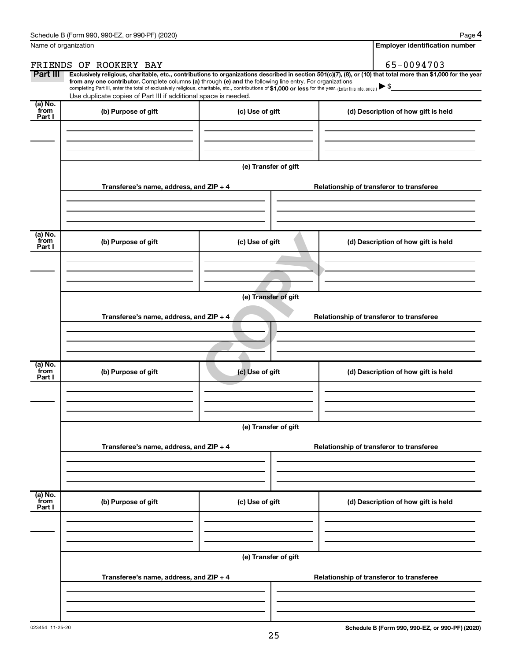| Name of organization      |                                                                                                                                                                                                                                                                                                                                           | <b>Employer identification number</b> |                                                                                                                                                                |
|---------------------------|-------------------------------------------------------------------------------------------------------------------------------------------------------------------------------------------------------------------------------------------------------------------------------------------------------------------------------------------|---------------------------------------|----------------------------------------------------------------------------------------------------------------------------------------------------------------|
|                           | FRIENDS OF ROOKERY BAY                                                                                                                                                                                                                                                                                                                    |                                       | 65-0094703                                                                                                                                                     |
| Part III                  | from any one contributor. Complete columns (a) through (e) and the following line entry. For organizations<br>completing Part III, enter the total of exclusively religious, charitable, etc., contributions of \$1,000 or less for the year. (Enter this info. once.)<br>Use duplicate copies of Part III if additional space is needed. |                                       | Exclusively religious, charitable, etc., contributions to organizations described in section 501(c)(7), (8), or (10) that total more than \$1,000 for the year |
| (a) No.<br>from<br>Part I | (b) Purpose of gift                                                                                                                                                                                                                                                                                                                       | (c) Use of gift                       | (d) Description of how gift is held                                                                                                                            |
|                           |                                                                                                                                                                                                                                                                                                                                           | (e) Transfer of gift                  |                                                                                                                                                                |
|                           | Transferee's name, address, and ZIP + 4                                                                                                                                                                                                                                                                                                   |                                       | Relationship of transferor to transferee                                                                                                                       |
| (a) No.<br>from<br>Part I | (b) Purpose of gift                                                                                                                                                                                                                                                                                                                       | (c) Use of gift                       | (d) Description of how gift is held                                                                                                                            |
|                           | Transferee's name, address, and ZIP + 4                                                                                                                                                                                                                                                                                                   | (e) Transfer of gift                  | Relationship of transferor to transferee                                                                                                                       |
| (a) No.<br>from<br>Part I | (b) Purpose of gift                                                                                                                                                                                                                                                                                                                       | (c) Use of gift                       | (d) Description of how gift is held                                                                                                                            |
|                           | Transferee's name, address, and ZIP + 4                                                                                                                                                                                                                                                                                                   | (e) Transfer of gift                  | Relationship of transferor to transferee                                                                                                                       |
| (a) No.<br>from<br>Part I | (b) Purpose of gift                                                                                                                                                                                                                                                                                                                       | (c) Use of gift                       | (d) Description of how gift is held                                                                                                                            |
|                           |                                                                                                                                                                                                                                                                                                                                           |                                       |                                                                                                                                                                |
|                           | Transferee's name, address, and ZIP + 4                                                                                                                                                                                                                                                                                                   | (e) Transfer of gift                  | Relationship of transferor to transferee                                                                                                                       |
|                           |                                                                                                                                                                                                                                                                                                                                           |                                       |                                                                                                                                                                |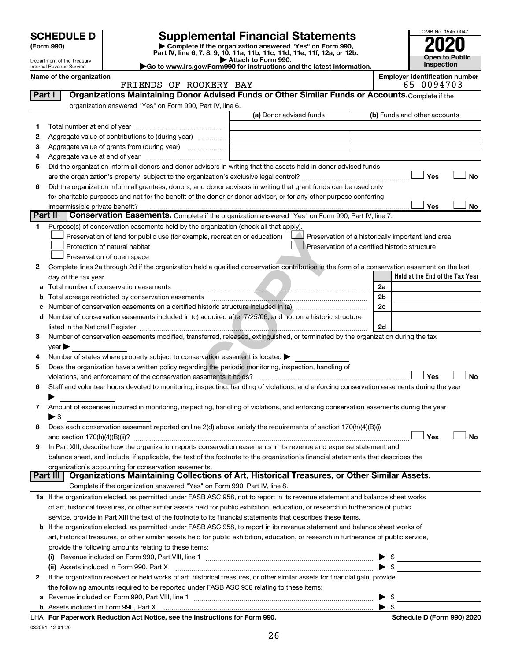| (Form 990) |  |
|------------|--|
|------------|--|

# **SCHEDULE D Supplemental Financial Statements**<br> **Form 990 2020**<br> **Part IV** line 6.7.8.9.10, 11a, 11b, 11d, 11d, 11d, 11d, 11d, 12a, 0r, 12b

**(Form 990) | Complete if the organization answered "Yes" on Form 990, Part IV, line 6, 7, 8, 9, 10, 11a, 11b, 11c, 11d, 11e, 11f, 12a, or 12b.**

**| Attach to Form 990. |Go to www.irs.gov/Form990 for instructions and the latest information.**



Department of the Treasury Internal Revenue Service

| Name of the organization |                        | <b>Employer identification number</b> |
|--------------------------|------------------------|---------------------------------------|
|                          | FRIENDS OF POOFFRY BAY | $65 - 0091703$                        |

|         | FRIENDS OF ROOKERY BAY                                                                                                                         | 65-0094703                                         |
|---------|------------------------------------------------------------------------------------------------------------------------------------------------|----------------------------------------------------|
| Part I  | Organizations Maintaining Donor Advised Funds or Other Similar Funds or Accounts. Complete if the                                              |                                                    |
|         | organization answered "Yes" on Form 990, Part IV, line 6.                                                                                      |                                                    |
|         | (a) Donor advised funds                                                                                                                        | (b) Funds and other accounts                       |
| 1       |                                                                                                                                                |                                                    |
| 2       | Aggregate value of contributions to (during year)                                                                                              |                                                    |
| З       | Aggregate value of grants from (during year)                                                                                                   |                                                    |
| 4       |                                                                                                                                                |                                                    |
| 5       | Did the organization inform all donors and donor advisors in writing that the assets held in donor advised funds                               |                                                    |
|         |                                                                                                                                                | Yes<br>No                                          |
| 6       | Did the organization inform all grantees, donors, and donor advisors in writing that grant funds can be used only                              |                                                    |
|         | for charitable purposes and not for the benefit of the donor or donor advisor, or for any other purpose conferring                             |                                                    |
|         |                                                                                                                                                | Yes<br>No                                          |
| Part II | Conservation Easements. Complete if the organization answered "Yes" on Form 990, Part IV, line 7.                                              |                                                    |
| 1       | Purpose(s) of conservation easements held by the organization (check all that apply).                                                          |                                                    |
|         | Preservation of land for public use (for example, recreation or education)                                                                     | Preservation of a historically important land area |
|         | Protection of natural habitat                                                                                                                  | Preservation of a certified historic structure     |
|         | Preservation of open space                                                                                                                     |                                                    |
|         |                                                                                                                                                |                                                    |
| 2       | Complete lines 2a through 2d if the organization held a qualified conservation contribution in the form of a conservation easement on the last | Held at the End of the Tax Year                    |
|         | day of the tax year.                                                                                                                           |                                                    |
|         |                                                                                                                                                | 2a                                                 |
| b       | Total acreage restricted by conservation easements                                                                                             | 2b                                                 |
|         |                                                                                                                                                | 2c                                                 |
| d       | Number of conservation easements included in (c) acquired after 7/25/06, and not on a historic structure                                       |                                                    |
|         |                                                                                                                                                | 2d                                                 |
| 3       | Number of conservation easements modified, transferred, released, extinguished, or terminated by the organization during the tax               |                                                    |
|         | $year \triangleright$                                                                                                                          |                                                    |
| 4       | Number of states where property subject to conservation easement is located >                                                                  |                                                    |
| 5       | Does the organization have a written policy regarding the periodic monitoring, inspection, handling of                                         |                                                    |
|         | violations, and enforcement of the conservation easements it holds?                                                                            | Yes<br>No                                          |
| 6       | Staff and volunteer hours devoted to monitoring, inspecting, handling of violations, and enforcing conservation easements during the year      |                                                    |
|         |                                                                                                                                                |                                                    |
| 7       | Amount of expenses incurred in monitoring, inspecting, handling of violations, and enforcing conservation easements during the year            |                                                    |
|         | $\blacktriangleright$ \$                                                                                                                       |                                                    |
| 8       | Does each conservation easement reported on line 2(d) above satisfy the requirements of section 170(h)(4)(B)(i)                                |                                                    |
|         |                                                                                                                                                | Yes<br>No                                          |
| 9       | In Part XIII, describe how the organization reports conservation easements in its revenue and expense statement and                            |                                                    |
|         | balance sheet, and include, if applicable, the text of the footnote to the organization's financial statements that describes the              |                                                    |
|         | organization's accounting for conservation easements.                                                                                          |                                                    |
|         | Organizations Maintaining Collections of Art, Historical Treasures, or Other Similar Assets.<br>Part III                                       |                                                    |
|         | Complete if the organization answered "Yes" on Form 990, Part IV, line 8.                                                                      |                                                    |
|         | 1a If the organization elected, as permitted under FASB ASC 958, not to report in its revenue statement and balance sheet works                |                                                    |
|         | of art, historical treasures, or other similar assets held for public exhibition, education, or research in furtherance of public              |                                                    |
|         | service, provide in Part XIII the text of the footnote to its financial statements that describes these items.                                 |                                                    |
|         | b If the organization elected, as permitted under FASB ASC 958, to report in its revenue statement and balance sheet works of                  |                                                    |
|         | art, historical treasures, or other similar assets held for public exhibition, education, or research in furtherance of public service,        |                                                    |
|         | provide the following amounts relating to these items:                                                                                         |                                                    |
|         | (i)                                                                                                                                            | - \$                                               |
|         | (ii) Assets included in Form 990, Part X                                                                                                       | $\blacktriangleright$ \$                           |
| 2       | If the organization received or held works of art, historical treasures, or other similar assets for financial gain, provide                   |                                                    |
|         | the following amounts required to be reported under FASB ASC 958 relating to these items:                                                      |                                                    |
|         |                                                                                                                                                | -\$                                                |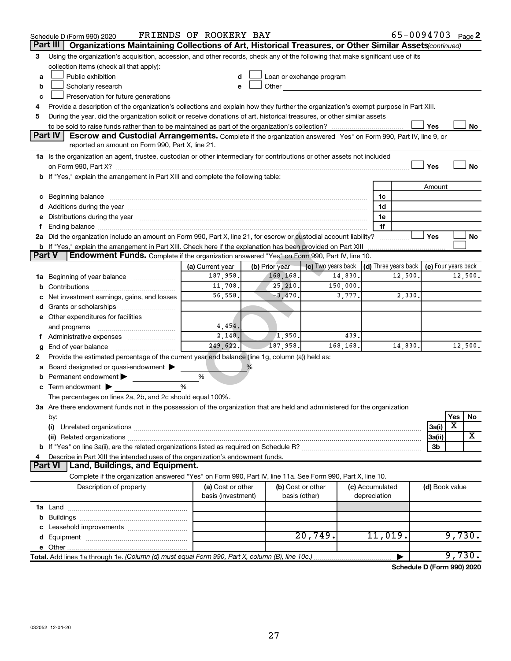|               | Schedule D (Form 990) 2020                                                                                                                                                                                                     | FRIENDS OF ROOKERY BAY       |                            |                                                                                                                                                                                                                                |          |                 |         |                | 65-0094703 Page 2 |
|---------------|--------------------------------------------------------------------------------------------------------------------------------------------------------------------------------------------------------------------------------|------------------------------|----------------------------|--------------------------------------------------------------------------------------------------------------------------------------------------------------------------------------------------------------------------------|----------|-----------------|---------|----------------|-------------------|
|               | Part III<br>Organizations Maintaining Collections of Art, Historical Treasures, or Other Similar Assets (continued)                                                                                                            |                              |                            |                                                                                                                                                                                                                                |          |                 |         |                |                   |
| 3             | Using the organization's acquisition, accession, and other records, check any of the following that make significant use of its                                                                                                |                              |                            |                                                                                                                                                                                                                                |          |                 |         |                |                   |
|               | collection items (check all that apply):                                                                                                                                                                                       |                              |                            |                                                                                                                                                                                                                                |          |                 |         |                |                   |
| a             | Public exhibition                                                                                                                                                                                                              |                              |                            | Loan or exchange program                                                                                                                                                                                                       |          |                 |         |                |                   |
| b             | Scholarly research                                                                                                                                                                                                             |                              |                            | Other the contract of the contract of the contract of the contract of the contract of the contract of the contract of the contract of the contract of the contract of the contract of the contract of the contract of the cont |          |                 |         |                |                   |
| с             | Preservation for future generations                                                                                                                                                                                            |                              |                            |                                                                                                                                                                                                                                |          |                 |         |                |                   |
| 4             | Provide a description of the organization's collections and explain how they further the organization's exempt purpose in Part XIII.                                                                                           |                              |                            |                                                                                                                                                                                                                                |          |                 |         |                |                   |
| 5             | During the year, did the organization solicit or receive donations of art, historical treasures, or other similar assets                                                                                                       |                              |                            |                                                                                                                                                                                                                                |          |                 |         |                |                   |
|               |                                                                                                                                                                                                                                |                              |                            |                                                                                                                                                                                                                                |          |                 |         | Yes            | No                |
|               | Part IV<br><b>Escrow and Custodial Arrangements.</b> Complete if the organization answered "Yes" on Form 990, Part IV, line 9, or                                                                                              |                              |                            |                                                                                                                                                                                                                                |          |                 |         |                |                   |
|               | reported an amount on Form 990, Part X, line 21.                                                                                                                                                                               |                              |                            |                                                                                                                                                                                                                                |          |                 |         |                |                   |
|               | 1a Is the organization an agent, trustee, custodian or other intermediary for contributions or other assets not included                                                                                                       |                              |                            |                                                                                                                                                                                                                                |          |                 |         |                |                   |
|               |                                                                                                                                                                                                                                |                              |                            |                                                                                                                                                                                                                                |          |                 |         | Yes            | <b>No</b>         |
|               | b If "Yes," explain the arrangement in Part XIII and complete the following table:                                                                                                                                             |                              |                            |                                                                                                                                                                                                                                |          |                 |         |                |                   |
|               |                                                                                                                                                                                                                                |                              |                            |                                                                                                                                                                                                                                |          |                 |         | Amount         |                   |
|               | c Beginning balance measurements and the contract of the contract of the contract of the contract of the contract of the contract of the contract of the contract of the contract of the contract of the contract of the contr |                              |                            |                                                                                                                                                                                                                                |          | 1c              |         |                |                   |
|               |                                                                                                                                                                                                                                |                              |                            |                                                                                                                                                                                                                                |          | 1d              |         |                |                   |
|               | e Distributions during the year manufactured and continuum and contact the year manufactured and contact the year manufactured and contact the year manufactured and contact the year manufactured and contact the year manufa |                              |                            |                                                                                                                                                                                                                                |          | 1e              |         |                |                   |
|               |                                                                                                                                                                                                                                |                              |                            |                                                                                                                                                                                                                                |          | 1f              |         |                |                   |
|               | 2a Did the organization include an amount on Form 990, Part X, line 21, for escrow or custodial account liability?                                                                                                             |                              |                            |                                                                                                                                                                                                                                |          |                 |         | Yes            | No                |
| <b>Part V</b> | <b>b</b> If "Yes," explain the arrangement in Part XIII. Check here if the explanation has been provided on Part XIII<br>Endowment Funds. Complete if the organization answered "Yes" on Form 990, Part IV, line 10.           |                              |                            |                                                                                                                                                                                                                                |          |                 |         |                |                   |
|               |                                                                                                                                                                                                                                |                              |                            |                                                                                                                                                                                                                                |          |                 |         |                |                   |
|               |                                                                                                                                                                                                                                | (a) Current year<br>187,958. | (b) Prior year<br>168,168. | (c) Two years back $\vert$ (d) Three years back $\vert$ (e) Four years back                                                                                                                                                    | 14,830.  |                 | 12,500. |                | 12,500.           |
|               | 1a Beginning of year balance                                                                                                                                                                                                   | 11,708.                      | 25,210.                    |                                                                                                                                                                                                                                | 150,000. |                 |         |                |                   |
| b             |                                                                                                                                                                                                                                | 56,558.                      | $-3,470.$                  |                                                                                                                                                                                                                                | 3,777.   |                 | 2,330.  |                |                   |
|               | Net investment earnings, gains, and losses                                                                                                                                                                                     |                              |                            |                                                                                                                                                                                                                                |          |                 |         |                |                   |
|               | d Grants or scholarships                                                                                                                                                                                                       |                              |                            |                                                                                                                                                                                                                                |          |                 |         |                |                   |
|               | e Other expenditures for facilities                                                                                                                                                                                            | 4,454.                       |                            |                                                                                                                                                                                                                                |          |                 |         |                |                   |
|               | and programs                                                                                                                                                                                                                   | 2,148.                       | 1,950.                     |                                                                                                                                                                                                                                | 439.     |                 |         |                |                   |
|               |                                                                                                                                                                                                                                | 249,622.                     | 187,958.                   |                                                                                                                                                                                                                                | 168,168. |                 | 14,830. |                | 12,500.           |
| g<br>2        | Provide the estimated percentage of the current year end balance (line 1g, column (a)) held as:                                                                                                                                |                              |                            |                                                                                                                                                                                                                                |          |                 |         |                |                   |
| а             | Board designated or quasi-endowment >                                                                                                                                                                                          |                              | %                          |                                                                                                                                                                                                                                |          |                 |         |                |                   |
| b             | Permanent endowment                                                                                                                                                                                                            | %                            |                            |                                                                                                                                                                                                                                |          |                 |         |                |                   |
|               | $\mathbf c$ Term endowment $\blacktriangleright$                                                                                                                                                                               | %                            |                            |                                                                                                                                                                                                                                |          |                 |         |                |                   |
|               | The percentages on lines 2a, 2b, and 2c should equal 100%.                                                                                                                                                                     |                              |                            |                                                                                                                                                                                                                                |          |                 |         |                |                   |
|               | 3a Are there endowment funds not in the possession of the organization that are held and administered for the organization                                                                                                     |                              |                            |                                                                                                                                                                                                                                |          |                 |         |                |                   |
|               | by:                                                                                                                                                                                                                            |                              |                            |                                                                                                                                                                                                                                |          |                 |         |                | Yes<br>No         |
|               | (i)                                                                                                                                                                                                                            |                              |                            |                                                                                                                                                                                                                                |          |                 |         | 3a(i)          | X                 |
|               | (ii) Related organizations [11] Related organizations [11] Maximum material contract to the contract of the contract of the contract of the contract of the contract of the contract of the contract of the contract of the co |                              |                            |                                                                                                                                                                                                                                |          |                 |         | 3a(ii)         | X                 |
|               |                                                                                                                                                                                                                                |                              |                            |                                                                                                                                                                                                                                |          |                 |         | 3b             |                   |
| 4             | Describe in Part XIII the intended uses of the organization's endowment funds.                                                                                                                                                 |                              |                            |                                                                                                                                                                                                                                |          |                 |         |                |                   |
|               | <b>Part VI</b><br>Land, Buildings, and Equipment.                                                                                                                                                                              |                              |                            |                                                                                                                                                                                                                                |          |                 |         |                |                   |
|               | Complete if the organization answered "Yes" on Form 990, Part IV, line 11a. See Form 990, Part X, line 10.                                                                                                                     |                              |                            |                                                                                                                                                                                                                                |          |                 |         |                |                   |
|               | Description of property                                                                                                                                                                                                        | (a) Cost or other            |                            | (b) Cost or other                                                                                                                                                                                                              |          | (c) Accumulated |         | (d) Book value |                   |
|               |                                                                                                                                                                                                                                | basis (investment)           |                            | basis (other)                                                                                                                                                                                                                  |          | depreciation    |         |                |                   |
|               |                                                                                                                                                                                                                                |                              |                            |                                                                                                                                                                                                                                |          |                 |         |                |                   |
| b             |                                                                                                                                                                                                                                |                              |                            |                                                                                                                                                                                                                                |          |                 |         |                |                   |
| с             | Leasehold improvements                                                                                                                                                                                                         |                              |                            |                                                                                                                                                                                                                                |          |                 |         |                |                   |
|               |                                                                                                                                                                                                                                |                              |                            | 20,749.                                                                                                                                                                                                                        |          | 11,019.         |         |                | 9,730.            |
|               |                                                                                                                                                                                                                                |                              |                            |                                                                                                                                                                                                                                |          |                 |         |                |                   |
|               | Total. Add lines 1a through 1e. (Column (d) must equal Form 990, Part X, column (B), line 10c.)                                                                                                                                |                              |                            |                                                                                                                                                                                                                                |          |                 |         |                | 9,730.            |

**Schedule D (Form 990) 2020**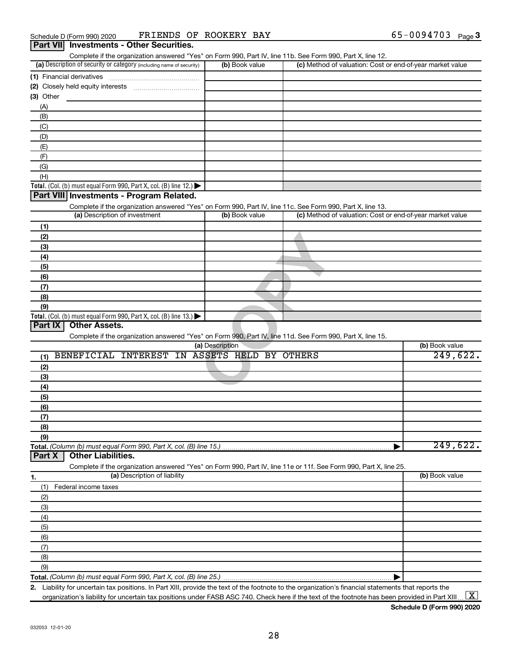| (a) Description of security or category (including name of security)                                              | (b) Book value  | Complete if the organization answered "Yes" on Form 990, Part IV, line 11b. See Form 990, Part X, line 12.<br>(c) Method of valuation: Cost or end-of-year market value |                      |
|-------------------------------------------------------------------------------------------------------------------|-----------------|-------------------------------------------------------------------------------------------------------------------------------------------------------------------------|----------------------|
| (1) Financial derivatives                                                                                         |                 |                                                                                                                                                                         |                      |
|                                                                                                                   |                 |                                                                                                                                                                         |                      |
| (3) Other                                                                                                         |                 |                                                                                                                                                                         |                      |
| (A)                                                                                                               |                 |                                                                                                                                                                         |                      |
| (B)                                                                                                               |                 |                                                                                                                                                                         |                      |
|                                                                                                                   |                 |                                                                                                                                                                         |                      |
| (C)                                                                                                               |                 |                                                                                                                                                                         |                      |
| (D)                                                                                                               |                 |                                                                                                                                                                         |                      |
| (E)                                                                                                               |                 |                                                                                                                                                                         |                      |
| (F)                                                                                                               |                 |                                                                                                                                                                         |                      |
| (G)                                                                                                               |                 |                                                                                                                                                                         |                      |
| (H)                                                                                                               |                 |                                                                                                                                                                         |                      |
| <b>Total.</b> (Col. (b) must equal Form 990, Part X, col. (B) line 12.) $\blacktriangleright$                     |                 |                                                                                                                                                                         |                      |
| Part VIII Investments - Program Related.                                                                          |                 |                                                                                                                                                                         |                      |
| Complete if the organization answered "Yes" on Form 990, Part IV, line 11c. See Form 990, Part X, line 13.        |                 |                                                                                                                                                                         |                      |
| (a) Description of investment                                                                                     | (b) Book value  | (c) Method of valuation: Cost or end-of-year market value                                                                                                               |                      |
| (1)                                                                                                               |                 |                                                                                                                                                                         |                      |
| (2)                                                                                                               |                 |                                                                                                                                                                         |                      |
| (3)                                                                                                               |                 |                                                                                                                                                                         |                      |
| (4)                                                                                                               |                 |                                                                                                                                                                         |                      |
|                                                                                                                   |                 |                                                                                                                                                                         |                      |
| (5)                                                                                                               |                 |                                                                                                                                                                         |                      |
| (6)                                                                                                               |                 |                                                                                                                                                                         |                      |
| (7)                                                                                                               |                 |                                                                                                                                                                         |                      |
| (8)                                                                                                               |                 |                                                                                                                                                                         |                      |
| (9)                                                                                                               |                 |                                                                                                                                                                         |                      |
|                                                                                                                   |                 |                                                                                                                                                                         |                      |
| <b>Total.</b> (Col. (b) must equal Form 990, Part X, col. (B) line 13.)                                           |                 |                                                                                                                                                                         |                      |
| <b>Other Assets.</b><br>Part IX                                                                                   |                 |                                                                                                                                                                         |                      |
| Complete if the organization answered "Yes" on Form 990, Part IV, line 11d. See Form 990, Part X, line 15.        |                 |                                                                                                                                                                         |                      |
|                                                                                                                   | (a) Description |                                                                                                                                                                         | (b) Book value       |
| BENEFICIAL INTEREST IN ASSETS HELD BY OTHERS<br>(1)                                                               |                 |                                                                                                                                                                         |                      |
| (2)                                                                                                               |                 |                                                                                                                                                                         |                      |
|                                                                                                                   |                 |                                                                                                                                                                         |                      |
| (3)                                                                                                               |                 |                                                                                                                                                                         |                      |
| (4)                                                                                                               |                 |                                                                                                                                                                         |                      |
| (5)                                                                                                               |                 |                                                                                                                                                                         |                      |
| (6)                                                                                                               |                 |                                                                                                                                                                         |                      |
| (7)                                                                                                               |                 |                                                                                                                                                                         |                      |
| (8)                                                                                                               |                 |                                                                                                                                                                         |                      |
| (9)                                                                                                               |                 |                                                                                                                                                                         |                      |
| Total. (Column (b) must equal Form 990, Part X, col. (B) line 15.)                                                |                 |                                                                                                                                                                         | 249,622.<br>249,622. |
| <b>Other Liabilities.</b><br>Part X                                                                               |                 |                                                                                                                                                                         |                      |
| Complete if the organization answered "Yes" on Form 990, Part IV, line 11e or 11f. See Form 990, Part X, line 25. |                 |                                                                                                                                                                         |                      |
| (a) Description of liability                                                                                      |                 |                                                                                                                                                                         | (b) Book value       |
| Federal income taxes<br>(1)                                                                                       |                 |                                                                                                                                                                         |                      |
| (2)                                                                                                               |                 |                                                                                                                                                                         |                      |
|                                                                                                                   |                 |                                                                                                                                                                         |                      |
| (3)                                                                                                               |                 |                                                                                                                                                                         |                      |
| (4)                                                                                                               |                 |                                                                                                                                                                         |                      |
| (5)                                                                                                               |                 |                                                                                                                                                                         |                      |
| (6)                                                                                                               |                 |                                                                                                                                                                         |                      |
| 1.<br>(7)                                                                                                         |                 |                                                                                                                                                                         |                      |
| (8)<br>(9)                                                                                                        |                 |                                                                                                                                                                         |                      |

**2.** Liability for uncertain tax positions. In Part XIII, provide the text of the footnote to the organization's financial statements that reports the organization's liability for uncertain tax positions under FASB ASC 740. Check here if the text of the footnote has been provided in Part XIII ...  $\fbox{\bf X}$ 

**Schedule D (Form 990) 2020**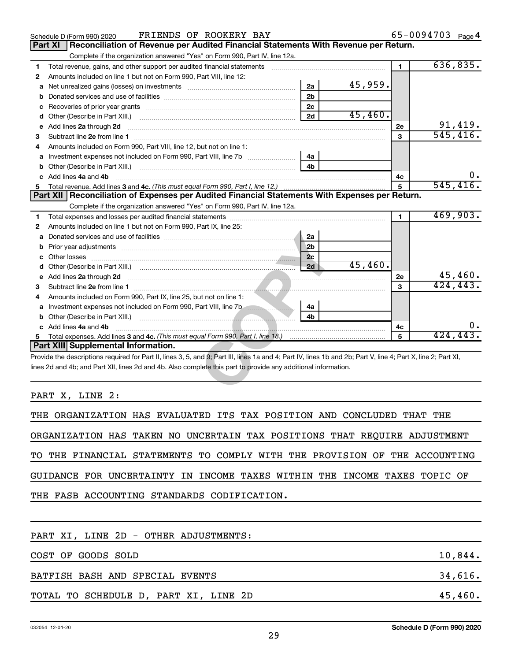|                | FRIENDS OF ROOKERY BAY<br>Schedule D (Form 990) 2020                                                                                                           |                | 65-0094703 Page 4   |
|----------------|----------------------------------------------------------------------------------------------------------------------------------------------------------------|----------------|---------------------|
| <b>Part XI</b> | Reconciliation of Revenue per Audited Financial Statements With Revenue per Return.                                                                            |                |                     |
|                | Complete if the organization answered "Yes" on Form 990, Part IV, line 12a.                                                                                    |                |                     |
| 1              | Total revenue, gains, and other support per audited financial statements                                                                                       | $\blacksquare$ | 636,835.            |
| $\mathbf{2}$   | Amounts included on line 1 but not on Form 990, Part VIII, line 12:                                                                                            |                |                     |
| a              | 45,959.<br>2a                                                                                                                                                  |                |                     |
| b              | 2 <sub>b</sub>                                                                                                                                                 |                |                     |
| c              | 2c                                                                                                                                                             |                |                     |
| d              | 45,460.<br>2d                                                                                                                                                  |                |                     |
| e              | Add lines 2a through 2d                                                                                                                                        | 2е             | 91,419.<br>545,416. |
| З              |                                                                                                                                                                | $\mathbf{a}$   |                     |
| 4              | Amounts included on Form 990, Part VIII, line 12, but not on line 1:                                                                                           |                |                     |
| a              | 4a                                                                                                                                                             |                |                     |
| b              | 4b<br>Other (Describe in Part XIII.)                                                                                                                           |                |                     |
| C              | Add lines 4a and 4b                                                                                                                                            | 4c             | ο.                  |
| 5              |                                                                                                                                                                | 5              | 545, 416.           |
|                | Part XII   Reconciliation of Expenses per Audited Financial Statements With Expenses per Return.                                                               |                |                     |
|                | Complete if the organization answered "Yes" on Form 990, Part IV, line 12a.                                                                                    |                |                     |
| 1              |                                                                                                                                                                | 1.             | 469,903.            |
| 2              | Amounts included on line 1 but not on Form 990, Part IX, line 25:                                                                                              |                |                     |
| a              | 2a                                                                                                                                                             |                |                     |
| b              | 2 <sub>b</sub><br>Prior year adjustments <i>www.www.www.www.www.www.www.www.www.</i> ww.                                                                       |                |                     |
|                | 2c                                                                                                                                                             |                |                     |
| d              | 45,460.<br>2d                                                                                                                                                  |                |                     |
| е              | Add lines 2a through 2d                                                                                                                                        | 2е             | $45,460$ .          |
| 3              |                                                                                                                                                                | 3              | 424,443.            |
| 4              | Amounts included on Form 990, Part IX, line 25, but not on line 1:                                                                                             |                |                     |
|                | 4а                                                                                                                                                             |                |                     |
|                | 4 <sub>b</sub>                                                                                                                                                 |                |                     |
|                | Add lines 4a and 4b                                                                                                                                            | 4с             | О.                  |
| 5.             |                                                                                                                                                                | 5              | 424,443.            |
|                | Part XIII Supplemental Information.                                                                                                                            |                |                     |
|                | Provide the descriptions required for Part II, lines 3, 5, and 9; Part III, lines 1a and 4; Part IV, lines 1b and 2b; Part V, line 4; Part X, line 2; Part XI, |                |                     |
|                | lines 2d and 4b; and Part XII, lines 2d and 4b. Also complete this part to provide any additional information.                                                 |                |                     |
|                |                                                                                                                                                                |                |                     |
|                |                                                                                                                                                                |                |                     |

PART X, LINE 2:

| THE ORGANIZATION HAS EVALUATED ITS TAX POSITION AND CONCLUDED THAT THE     |  |
|----------------------------------------------------------------------------|--|
| ORGANIZATION HAS TAKEN NO UNCERTAIN TAX POSITIONS THAT REQUIRE ADJUSTMENT  |  |
| TO THE FINANCIAL STATEMENTS TO COMPLY WITH THE PROVISION OF THE ACCOUNTING |  |
| GUIDANCE FOR UNCERTAINTY IN INCOME TAXES WITHIN THE INCOME TAXES TOPIC OF  |  |
| THE FASB ACCOUNTING STANDARDS CODIFICATION.                                |  |
|                                                                            |  |
| PART XI, LINE 2D - OTHER ADJUSTMENTS:                                      |  |
| COST OF GOODS SOLD<br>10,844.                                              |  |
| 34,616.<br>BATFISH BASH AND SPECIAL EVENTS                                 |  |

TOTAL TO SCHEDULE D, PART XI, LINE 2D 45,460.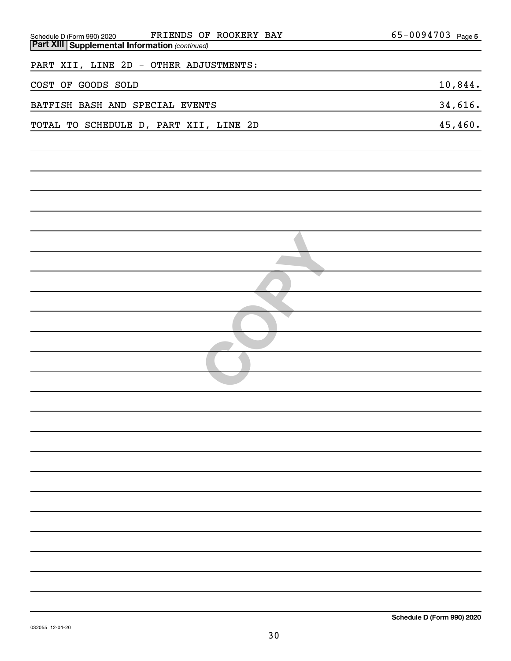| FRIENDS OF ROOKERY BAY<br>Schedule D (Form 990) 2020 FRIENDS OF<br><b>Part XIII Supplemental Information</b> (continued) | $65 - 0094703$ Page 5 |
|--------------------------------------------------------------------------------------------------------------------------|-----------------------|
|                                                                                                                          |                       |
| PART XII, LINE 2D - OTHER ADJUSTMENTS:                                                                                   |                       |
| COST OF GOODS SOLD                                                                                                       | 10,844.               |
| BATFISH BASH AND SPECIAL EVENTS                                                                                          | 34,616.               |
| TOTAL TO SCHEDULE D, PART XII, LINE 2D                                                                                   | 45,460.               |
|                                                                                                                          |                       |
|                                                                                                                          |                       |
|                                                                                                                          |                       |
|                                                                                                                          |                       |
|                                                                                                                          |                       |
|                                                                                                                          |                       |
|                                                                                                                          |                       |
|                                                                                                                          |                       |
|                                                                                                                          |                       |
|                                                                                                                          |                       |
|                                                                                                                          |                       |
|                                                                                                                          |                       |
|                                                                                                                          |                       |
|                                                                                                                          |                       |
|                                                                                                                          |                       |
|                                                                                                                          |                       |
|                                                                                                                          |                       |
|                                                                                                                          |                       |
|                                                                                                                          |                       |
|                                                                                                                          |                       |
|                                                                                                                          |                       |
|                                                                                                                          |                       |
|                                                                                                                          |                       |
|                                                                                                                          |                       |
|                                                                                                                          |                       |
|                                                                                                                          |                       |
|                                                                                                                          |                       |
|                                                                                                                          |                       |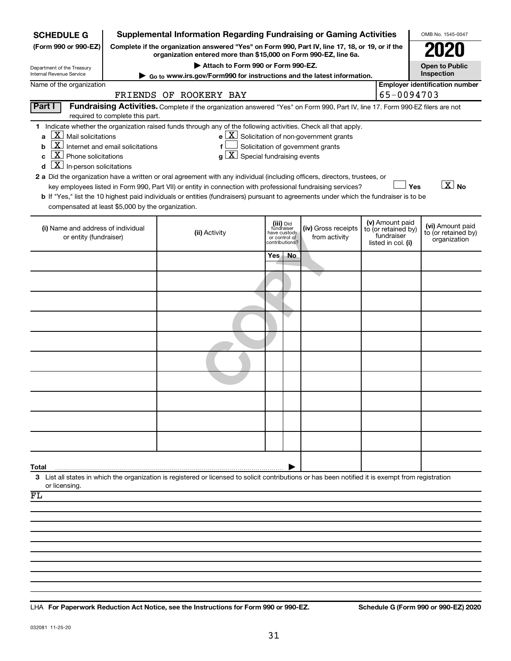| <b>Supplemental Information Regarding Fundraising or Gaming Activities</b><br><b>SCHEDULE G</b> |                                                                                                                                                                     |                                                                                                                                                                                                                                           |      |                                         |                                                              |  | OMB No. 1545-0047                |                                         |  |
|-------------------------------------------------------------------------------------------------|---------------------------------------------------------------------------------------------------------------------------------------------------------------------|-------------------------------------------------------------------------------------------------------------------------------------------------------------------------------------------------------------------------------------------|------|-----------------------------------------|--------------------------------------------------------------|--|----------------------------------|-----------------------------------------|--|
| (Form 990 or 990-EZ)                                                                            | Complete if the organization answered "Yes" on Form 990, Part IV, line 17, 18, or 19, or if the<br>organization entered more than \$15,000 on Form 990-EZ, line 6a. |                                                                                                                                                                                                                                           |      |                                         |                                                              |  |                                  |                                         |  |
| Department of the Treasury                                                                      | Attach to Form 990 or Form 990-EZ.                                                                                                                                  |                                                                                                                                                                                                                                           |      |                                         |                                                              |  |                                  | <b>Open to Public</b>                   |  |
| Internal Revenue Service                                                                        | Go to www.irs.gov/Form990 for instructions and the latest information.                                                                                              |                                                                                                                                                                                                                                           |      |                                         |                                                              |  |                                  | Inspection                              |  |
| Name of the organization                                                                        | 65-0094703<br>FRIENDS OF ROOKERY BAY                                                                                                                                |                                                                                                                                                                                                                                           |      |                                         |                                                              |  |                                  | <b>Employer identification number</b>   |  |
| Part I                                                                                          | Fundraising Activities. Complete if the organization answered "Yes" on Form 990, Part IV, line 17. Form 990-EZ filers are not                                       |                                                                                                                                                                                                                                           |      |                                         |                                                              |  |                                  |                                         |  |
|                                                                                                 | required to complete this part.                                                                                                                                     | 1 Indicate whether the organization raised funds through any of the following activities. Check all that apply.                                                                                                                           |      |                                         |                                                              |  |                                  |                                         |  |
| $X$ Mail solicitations<br>a                                                                     |                                                                                                                                                                     |                                                                                                                                                                                                                                           |      |                                         | $e$ $\boxed{\text{X}}$ Solicitation of non-government grants |  |                                  |                                         |  |
| <u>x</u><br>b                                                                                   | Internet and email solicitations                                                                                                                                    | f                                                                                                                                                                                                                                         |      |                                         | Solicitation of government grants                            |  |                                  |                                         |  |
| $X$ Phone solicitations<br>C                                                                    |                                                                                                                                                                     | $g\left[\frac{\textbf{X}}{\textbf{X}}\right]$ Special fundraising events                                                                                                                                                                  |      |                                         |                                                              |  |                                  |                                         |  |
| $\mathbf{X}$ In-person solicitations<br>d                                                       |                                                                                                                                                                     |                                                                                                                                                                                                                                           |      |                                         |                                                              |  |                                  |                                         |  |
|                                                                                                 |                                                                                                                                                                     | 2 a Did the organization have a written or oral agreement with any individual (including officers, directors, trustees, or<br>key employees listed in Form 990, Part VII) or entity in connection with professional fundraising services? |      |                                         |                                                              |  | Yes                              | $\overline{X}$ No                       |  |
|                                                                                                 |                                                                                                                                                                     | b If "Yes," list the 10 highest paid individuals or entities (fundraisers) pursuant to agreements under which the fundraiser is to be                                                                                                     |      |                                         |                                                              |  |                                  |                                         |  |
| compensated at least \$5,000 by the organization.                                               |                                                                                                                                                                     |                                                                                                                                                                                                                                           |      |                                         |                                                              |  |                                  |                                         |  |
|                                                                                                 |                                                                                                                                                                     |                                                                                                                                                                                                                                           |      |                                         |                                                              |  | (v) Amount paid                  |                                         |  |
| (i) Name and address of individual                                                              |                                                                                                                                                                     | (ii) Activity                                                                                                                                                                                                                             |      | (iii) Did<br>fundraiser<br>have custody | (iv) Gross receipts                                          |  | to (or retained by)              | (vi) Amount paid<br>to (or retained by) |  |
| or entity (fundraiser)                                                                          |                                                                                                                                                                     |                                                                                                                                                                                                                                           |      | or control of<br>contributions?         | from activity                                                |  | fundraiser<br>listed in col. (i) | organization                            |  |
|                                                                                                 |                                                                                                                                                                     |                                                                                                                                                                                                                                           | Yes. | No                                      |                                                              |  |                                  |                                         |  |
|                                                                                                 |                                                                                                                                                                     |                                                                                                                                                                                                                                           |      |                                         |                                                              |  |                                  |                                         |  |
|                                                                                                 |                                                                                                                                                                     |                                                                                                                                                                                                                                           |      |                                         |                                                              |  |                                  |                                         |  |
|                                                                                                 |                                                                                                                                                                     |                                                                                                                                                                                                                                           |      |                                         |                                                              |  |                                  |                                         |  |
|                                                                                                 |                                                                                                                                                                     |                                                                                                                                                                                                                                           |      |                                         |                                                              |  |                                  |                                         |  |
|                                                                                                 |                                                                                                                                                                     |                                                                                                                                                                                                                                           |      |                                         |                                                              |  |                                  |                                         |  |
|                                                                                                 |                                                                                                                                                                     |                                                                                                                                                                                                                                           |      |                                         |                                                              |  |                                  |                                         |  |
|                                                                                                 |                                                                                                                                                                     |                                                                                                                                                                                                                                           |      |                                         |                                                              |  |                                  |                                         |  |
|                                                                                                 |                                                                                                                                                                     |                                                                                                                                                                                                                                           |      |                                         |                                                              |  |                                  |                                         |  |
|                                                                                                 |                                                                                                                                                                     |                                                                                                                                                                                                                                           |      |                                         |                                                              |  |                                  |                                         |  |
|                                                                                                 |                                                                                                                                                                     |                                                                                                                                                                                                                                           |      |                                         |                                                              |  |                                  |                                         |  |
|                                                                                                 |                                                                                                                                                                     |                                                                                                                                                                                                                                           |      |                                         |                                                              |  |                                  |                                         |  |
| Total                                                                                           |                                                                                                                                                                     | 3 List all states in which the organization is registered or licensed to solicit contributions or has been notified it is exempt from registration                                                                                        |      |                                         |                                                              |  |                                  |                                         |  |
| or licensing<br>FL                                                                              |                                                                                                                                                                     |                                                                                                                                                                                                                                           |      |                                         |                                                              |  |                                  |                                         |  |
|                                                                                                 |                                                                                                                                                                     |                                                                                                                                                                                                                                           |      |                                         |                                                              |  |                                  |                                         |  |
|                                                                                                 |                                                                                                                                                                     |                                                                                                                                                                                                                                           |      |                                         |                                                              |  |                                  |                                         |  |
|                                                                                                 |                                                                                                                                                                     |                                                                                                                                                                                                                                           |      |                                         |                                                              |  |                                  |                                         |  |
|                                                                                                 |                                                                                                                                                                     |                                                                                                                                                                                                                                           |      |                                         |                                                              |  |                                  |                                         |  |
|                                                                                                 |                                                                                                                                                                     |                                                                                                                                                                                                                                           |      |                                         |                                                              |  |                                  |                                         |  |
|                                                                                                 |                                                                                                                                                                     |                                                                                                                                                                                                                                           |      |                                         |                                                              |  |                                  |                                         |  |
|                                                                                                 |                                                                                                                                                                     |                                                                                                                                                                                                                                           |      |                                         |                                                              |  |                                  |                                         |  |
|                                                                                                 |                                                                                                                                                                     |                                                                                                                                                                                                                                           |      |                                         |                                                              |  |                                  |                                         |  |
|                                                                                                 |                                                                                                                                                                     |                                                                                                                                                                                                                                           |      |                                         |                                                              |  |                                  |                                         |  |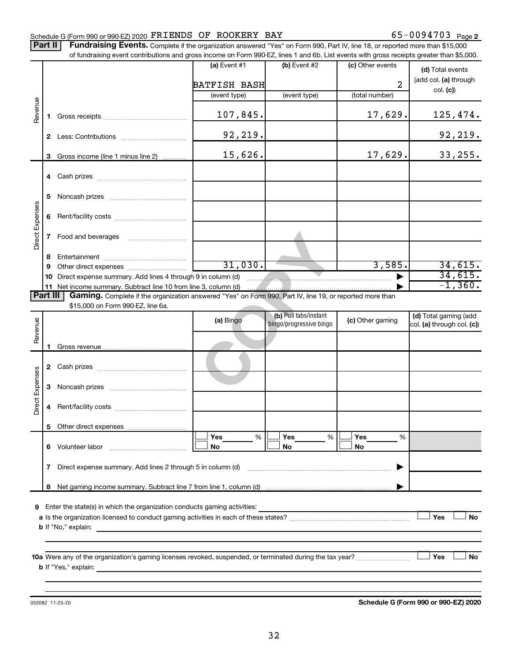### Schedule G (Form 990 or 990-EZ) 2020  $\texttt{FRIENDS}$  OF ROOKERY BAY  $65-0094703$  Page

65-0094703 Page 2

Part II | Fundraising Events. Complete if the organization answered "Yes" on Form 990, Part IV, line 18, or reported more than \$15,000 of fundraising event contributions and gross income on Form 990-EZ, lines 1 and 6b. List events with gross receipts greater than \$5,000.

|                 |                                                                          |                                                                                                                                                                                                                                                             | (a) Event $#1$                       | (b) Event #2            | (c) Other events         | (d) Total events           |  |  |  |
|-----------------|--------------------------------------------------------------------------|-------------------------------------------------------------------------------------------------------------------------------------------------------------------------------------------------------------------------------------------------------------|--------------------------------------|-------------------------|--------------------------|----------------------------|--|--|--|
| Revenue         |                                                                          |                                                                                                                                                                                                                                                             |                                      |                         |                          | (add col. (a) through      |  |  |  |
|                 |                                                                          |                                                                                                                                                                                                                                                             | <b>BATFISH BASH</b>                  |                         | 2                        | col. (c)                   |  |  |  |
|                 |                                                                          |                                                                                                                                                                                                                                                             | (event type)                         | (event type)            | (total number)           |                            |  |  |  |
|                 | 1.                                                                       |                                                                                                                                                                                                                                                             | 107,845.                             |                         | 17,629.                  | 125,474.                   |  |  |  |
|                 | 2                                                                        |                                                                                                                                                                                                                                                             | 92,219.                              |                         |                          | 92, 219.                   |  |  |  |
|                 | 3                                                                        | Gross income (line 1 minus line 2)                                                                                                                                                                                                                          | 15,626.                              |                         | 17,629.                  | 33, 255.                   |  |  |  |
|                 |                                                                          |                                                                                                                                                                                                                                                             |                                      |                         |                          |                            |  |  |  |
|                 | 5                                                                        |                                                                                                                                                                                                                                                             |                                      |                         |                          |                            |  |  |  |
| Direct Expenses | 6                                                                        |                                                                                                                                                                                                                                                             |                                      |                         |                          |                            |  |  |  |
|                 | $\mathbf{7}$                                                             |                                                                                                                                                                                                                                                             |                                      |                         |                          |                            |  |  |  |
|                 | 8                                                                        |                                                                                                                                                                                                                                                             |                                      |                         |                          |                            |  |  |  |
|                 | 9                                                                        |                                                                                                                                                                                                                                                             | 31,030.                              |                         | 3,585.                   | 34,615.                    |  |  |  |
|                 | 10                                                                       | Direct expense summary. Add lines 4 through 9 in column (d)                                                                                                                                                                                                 |                                      | $\blacksquare$          |                          | 34,615.                    |  |  |  |
|                 |                                                                          | 11 Net income summary. Subtract line 10 from line 3, column (d)                                                                                                                                                                                             |                                      |                         |                          | $-1,360.$                  |  |  |  |
| <b>Part III</b> |                                                                          | Gaming. Complete if the organization answered "Yes" on Form 990, Part IV, line 19, or reported more than                                                                                                                                                    |                                      |                         |                          |                            |  |  |  |
|                 |                                                                          | \$15,000 on Form 990-EZ, line 6a.                                                                                                                                                                                                                           |                                      | (b) Pull tabs/instant   |                          | (d) Total gaming (add      |  |  |  |
|                 |                                                                          |                                                                                                                                                                                                                                                             | (a) Bingo                            | bingo/progressive bingo | (c) Other gaming         | col. (a) through col. (c)) |  |  |  |
| Revenue         | 1.                                                                       |                                                                                                                                                                                                                                                             |                                      |                         |                          |                            |  |  |  |
|                 | 2                                                                        |                                                                                                                                                                                                                                                             |                                      |                         |                          |                            |  |  |  |
| Direct Expenses | 3                                                                        |                                                                                                                                                                                                                                                             |                                      |                         |                          |                            |  |  |  |
|                 | 4                                                                        |                                                                                                                                                                                                                                                             |                                      |                         |                          |                            |  |  |  |
|                 | 5.                                                                       |                                                                                                                                                                                                                                                             |                                      |                         |                          |                            |  |  |  |
|                 | 6                                                                        |                                                                                                                                                                                                                                                             | $\sqrt{1 + 2 \cdot 1}$<br>$\%$<br>No | $\prod$ Yes<br>%<br>No  | $\rfloor$ Yes<br>%<br>No |                            |  |  |  |
|                 | 7                                                                        |                                                                                                                                                                                                                                                             |                                      |                         |                          |                            |  |  |  |
|                 | 8                                                                        |                                                                                                                                                                                                                                                             |                                      |                         |                          |                            |  |  |  |
|                 |                                                                          |                                                                                                                                                                                                                                                             |                                      |                         |                          |                            |  |  |  |
| 9               | Enter the state(s) in which the organization conducts gaming activities: |                                                                                                                                                                                                                                                             |                                      |                         |                          |                            |  |  |  |
|                 | Yes<br>No                                                                |                                                                                                                                                                                                                                                             |                                      |                         |                          |                            |  |  |  |
|                 |                                                                          | <b>b</b> If "No," explain:<br>the control of the control of the control of the control of the control of the control of the control of the control of the control of the control of the control of the control of the control of the control of the control |                                      |                         |                          |                            |  |  |  |
|                 |                                                                          |                                                                                                                                                                                                                                                             |                                      |                         |                          |                            |  |  |  |
|                 | Yes<br>No<br><b>b</b> If "Yes," explain:                                 |                                                                                                                                                                                                                                                             |                                      |                         |                          |                            |  |  |  |
|                 |                                                                          |                                                                                                                                                                                                                                                             |                                      |                         |                          |                            |  |  |  |

032082 11-25-20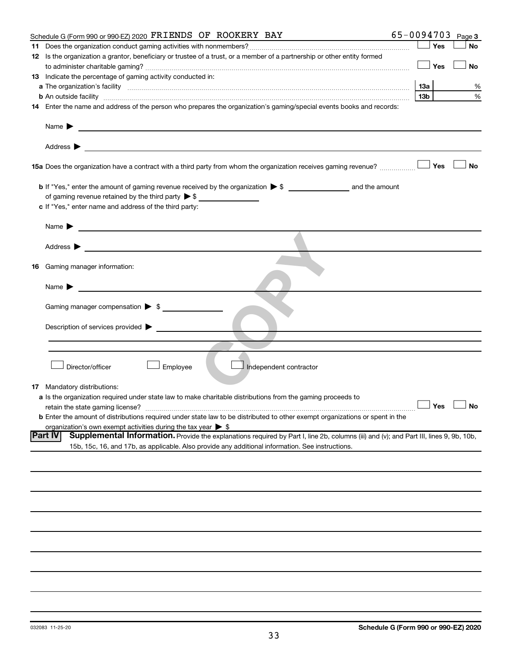| Schedule G (Form 990 or 990-EZ) 2020 FRIENDS OF ROOKERY BAY                                                                                                                                                                                                        | 65-0094703             |     | Page 3               |
|--------------------------------------------------------------------------------------------------------------------------------------------------------------------------------------------------------------------------------------------------------------------|------------------------|-----|----------------------|
| 11.                                                                                                                                                                                                                                                                |                        | Yes | No                   |
| 12 Is the organization a grantor, beneficiary or trustee of a trust, or a member of a partnership or other entity formed                                                                                                                                           |                        |     |                      |
|                                                                                                                                                                                                                                                                    |                        | Yes | <b>No</b>            |
| 13 Indicate the percentage of gaming activity conducted in:                                                                                                                                                                                                        |                        |     |                      |
|                                                                                                                                                                                                                                                                    |                        |     | %                    |
|                                                                                                                                                                                                                                                                    | 13a<br>13 <sub>b</sub> |     | %                    |
|                                                                                                                                                                                                                                                                    |                        |     |                      |
| 14 Enter the name and address of the person who prepares the organization's gaming/special events books and records:                                                                                                                                               |                        |     |                      |
| Name $\blacktriangleright$<br><u>and the contract of the contract of the contract of the contract of the contract of the contract of</u>                                                                                                                           |                        |     |                      |
|                                                                                                                                                                                                                                                                    |                        |     |                      |
|                                                                                                                                                                                                                                                                    |                        | Yes | <b>No</b>            |
|                                                                                                                                                                                                                                                                    |                        |     |                      |
| of gaming revenue retained by the third party $\triangleright$ \$                                                                                                                                                                                                  |                        |     |                      |
|                                                                                                                                                                                                                                                                    |                        |     |                      |
| c If "Yes," enter name and address of the third party:                                                                                                                                                                                                             |                        |     |                      |
| Name $\blacktriangleright$<br><u>and the state of the state of the state of the state of the state of the state of the state of the state of the state of the state of the state of the state of the state of the state of the state of the state of the state</u> |                        |     |                      |
|                                                                                                                                                                                                                                                                    |                        |     |                      |
|                                                                                                                                                                                                                                                                    |                        |     |                      |
|                                                                                                                                                                                                                                                                    |                        |     |                      |
| Gaming manager information:<br>16                                                                                                                                                                                                                                  |                        |     |                      |
|                                                                                                                                                                                                                                                                    |                        |     |                      |
| Name $\blacktriangleright$                                                                                                                                                                                                                                         |                        |     |                      |
|                                                                                                                                                                                                                                                                    |                        |     |                      |
| Gaming manager compensation > \$                                                                                                                                                                                                                                   |                        |     |                      |
|                                                                                                                                                                                                                                                                    |                        |     |                      |
| Description of services provided >                                                                                                                                                                                                                                 |                        |     |                      |
|                                                                                                                                                                                                                                                                    |                        |     |                      |
|                                                                                                                                                                                                                                                                    |                        |     |                      |
|                                                                                                                                                                                                                                                                    |                        |     |                      |
| Director/officer<br>Employee<br>Independent contractor                                                                                                                                                                                                             |                        |     |                      |
|                                                                                                                                                                                                                                                                    |                        |     |                      |
| <b>17</b> Mandatory distributions:                                                                                                                                                                                                                                 |                        |     |                      |
| <b>a</b> Is the organization required under state law to make charitable distributions from the gaming proceeds to                                                                                                                                                 |                        |     |                      |
|                                                                                                                                                                                                                                                                    |                        |     | $\Box$ Yes $\Box$ No |
| <b>b</b> Enter the amount of distributions required under state law to be distributed to other exempt organizations or spent in the                                                                                                                                |                        |     |                      |
| organization's own exempt activities during the tax year $\triangleright$ \$                                                                                                                                                                                       |                        |     |                      |
| <b>Part IV</b><br>Supplemental Information. Provide the explanations required by Part I, line 2b, columns (iii) and (v); and Part III, lines 9, 9b, 10b,                                                                                                           |                        |     |                      |
| 15b, 15c, 16, and 17b, as applicable. Also provide any additional information. See instructions.                                                                                                                                                                   |                        |     |                      |
|                                                                                                                                                                                                                                                                    |                        |     |                      |
|                                                                                                                                                                                                                                                                    |                        |     |                      |
|                                                                                                                                                                                                                                                                    |                        |     |                      |
|                                                                                                                                                                                                                                                                    |                        |     |                      |
|                                                                                                                                                                                                                                                                    |                        |     |                      |
|                                                                                                                                                                                                                                                                    |                        |     |                      |
|                                                                                                                                                                                                                                                                    |                        |     |                      |
|                                                                                                                                                                                                                                                                    |                        |     |                      |
|                                                                                                                                                                                                                                                                    |                        |     |                      |
|                                                                                                                                                                                                                                                                    |                        |     |                      |
|                                                                                                                                                                                                                                                                    |                        |     |                      |
|                                                                                                                                                                                                                                                                    |                        |     |                      |